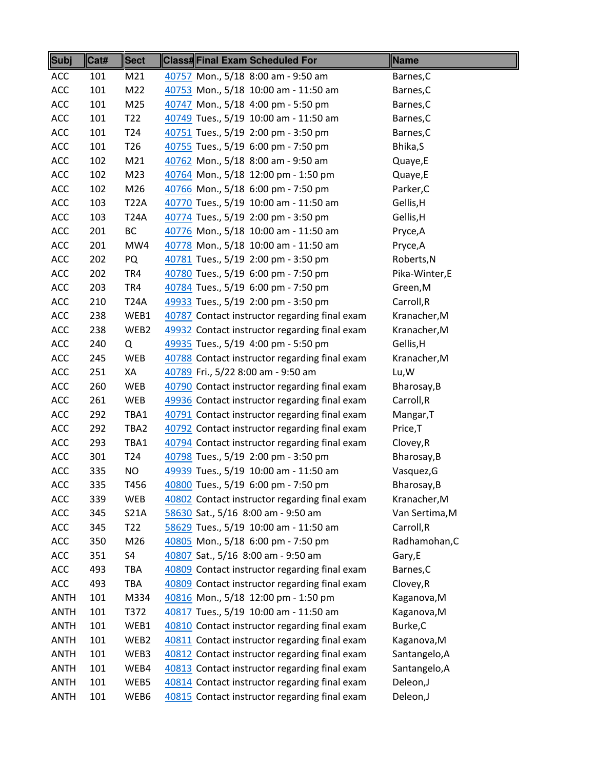| <b>Subj</b>    | Cat# | <b>Sect</b>     | Class#Final Exam Scheduled For                | Name           |
|----------------|------|-----------------|-----------------------------------------------|----------------|
| <b>ACC</b>     | 101  | M21             | 40757 Mon., 5/18 8:00 am - 9:50 am            | Barnes, C      |
| ACC            | 101  | M22             | 40753 Mon., 5/18 10:00 am - 11:50 am          | Barnes, C      |
| ACC            | 101  | M25             | 40747 Mon., 5/18 4:00 pm - 5:50 pm            | Barnes, C      |
| ACC            | 101  | T <sub>22</sub> | 40749 Tues., 5/19 10:00 am - 11:50 am         | Barnes, C      |
| ACC            | 101  | T <sub>24</sub> | 40751 Tues., 5/19 2:00 pm - 3:50 pm           | Barnes, C      |
| ACC            | 101  | T <sub>26</sub> | 40755 Tues., 5/19 6:00 pm - 7:50 pm           | Bhika, S       |
| ACC            | 102  | M21             | 40762 Mon., 5/18 8:00 am - 9:50 am            | Quaye,E        |
| ACC            | 102  | M23             | 40764 Mon., 5/18 12:00 pm - 1:50 pm           | Quaye,E        |
| ACC            | 102  | M26             | 40766 Mon., 5/18 6:00 pm - 7:50 pm            | Parker, C      |
| ACC            | 103  | <b>T22A</b>     | 40770 Tues., 5/19 10:00 am - 11:50 am         | Gellis, H      |
| ACC            | 103  | <b>T24A</b>     | 40774 Tues., 5/19 2:00 pm - 3:50 pm           | Gellis, H      |
| ACC            | 201  | <b>BC</b>       | 40776 Mon., 5/18 10:00 am - 11:50 am          | Pryce, A       |
| ACC            | 201  | MW4             | 40778 Mon., 5/18 10:00 am - 11:50 am          | Pryce, A       |
| ACC            | 202  | PQ              | 40781 Tues., 5/19 2:00 pm - 3:50 pm           | Roberts, N     |
| ACC            | 202  | TR4             | 40780 Tues., 5/19 6:00 pm - 7:50 pm           | Pika-Winter,E  |
| ACC            | 203  | TR4             | 40784 Tues., 5/19 6:00 pm - 7:50 pm           | Green, M       |
| ACC            | 210  | <b>T24A</b>     | 49933 Tues., 5/19 2:00 pm - 3:50 pm           | Carroll, R     |
| ACC            | 238  | WEB1            | 40787 Contact instructor regarding final exam | Kranacher, M   |
| ACC            | 238  | WEB2            | 49932 Contact instructor regarding final exam | Kranacher, M   |
| ACC            | 240  | Q               | 49935 Tues., 5/19 4:00 pm - 5:50 pm           | Gellis, H      |
| ACC            | 245  | <b>WEB</b>      | 40788 Contact instructor regarding final exam | Kranacher, M   |
| ACC            | 251  | XA              | 40789 Fri., 5/22 8:00 am - 9:50 am            | Lu, W          |
| ACC            | 260  | WEB             | 40790 Contact instructor regarding final exam | Bharosay, B    |
| ACC            | 261  | WEB             | 49936 Contact instructor regarding final exam | Carroll,R      |
| ACC            | 292  | TBA1            | 40791 Contact instructor regarding final exam | Mangar, T      |
| ACC            | 292  | TBA2            | 40792 Contact instructor regarding final exam | Price, T       |
| ACC            | 293  | TBA1            | 40794 Contact instructor regarding final exam | Clovey, R      |
| ACC            | 301  | T <sub>24</sub> | 40798 Tues., 5/19 2:00 pm - 3:50 pm           | Bharosay, B    |
| ACC            | 335  | NO.             | 49939 Tues., 5/19 10:00 am - 11:50 am         | Vasquez, G     |
| $\mathsf{ACC}$ | 335  | T456            | 40800 Tues., 5/19 6:00 pm - 7:50 pm           | Bharosay, B    |
| ACC            | 339  | WEB             | 40802 Contact instructor regarding final exam | Kranacher, M   |
| ACC            | 345  | <b>S21A</b>     | 58630 Sat., 5/16 8:00 am - 9:50 am            | Van Sertima, M |
| ACC            | 345  | T <sub>22</sub> | 58629 Tues., 5/19 10:00 am - 11:50 am         | Carroll, R     |
| ACC            | 350  | M26             | 40805 Mon., 5/18 6:00 pm - 7:50 pm            | Radhamohan, C  |
| ACC            | 351  | S4              | 40807 Sat., 5/16 8:00 am - 9:50 am            | Gary,E         |
| ACC            | 493  | <b>TBA</b>      | 40809 Contact instructor regarding final exam | Barnes, C      |
| ACC            | 493  | <b>TBA</b>      | 40809 Contact instructor regarding final exam | Clovey, R      |
| <b>ANTH</b>    | 101  | M334            | 40816 Mon., 5/18 12:00 pm - 1:50 pm           | Kaganova, M    |
| <b>ANTH</b>    | 101  | T372            | 40817 Tues., 5/19 10:00 am - 11:50 am         | Kaganova, M    |
| <b>ANTH</b>    | 101  | WEB1            | 40810 Contact instructor regarding final exam | Burke,C        |
| <b>ANTH</b>    | 101  | WEB2            | 40811 Contact instructor regarding final exam | Kaganova, M    |
| <b>ANTH</b>    | 101  | WEB3            | 40812 Contact instructor regarding final exam | Santangelo, A  |
| <b>ANTH</b>    | 101  | WEB4            | 40813 Contact instructor regarding final exam | Santangelo, A  |
| <b>ANTH</b>    | 101  | WEB5            | 40814 Contact instructor regarding final exam | Deleon,J       |
| <b>ANTH</b>    | 101  | WEB6            | 40815 Contact instructor regarding final exam | Deleon,J       |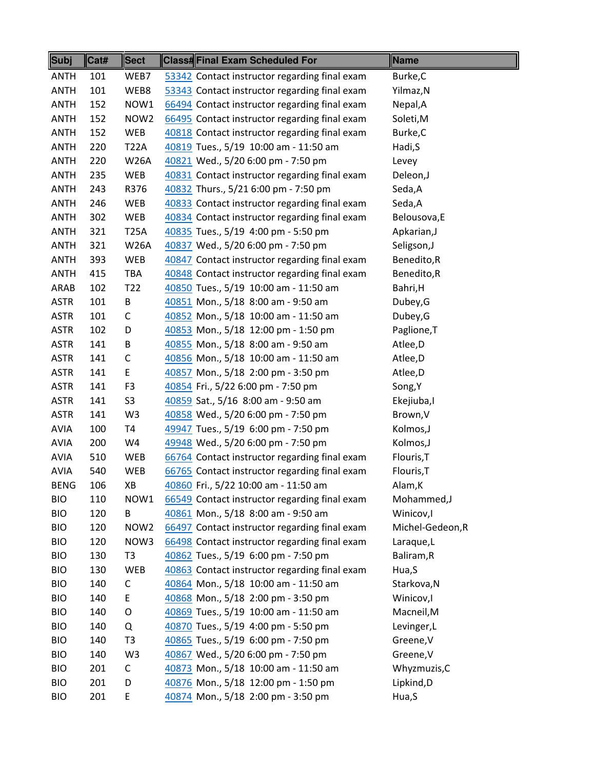| <b>ANTH</b><br>WEB7<br>Burke, C<br>101<br>53342 Contact instructor regarding final exam<br><b>ANTH</b><br>101<br>WEB8<br>53343 Contact instructor regarding final exam<br>Yilmaz, N<br><b>ANTH</b><br>152<br>NOW1<br>66494 Contact instructor regarding final exam<br>Nepal, A<br>NOW <sub>2</sub><br><b>ANTH</b><br>152<br>66495 Contact instructor regarding final exam<br>Soleti, M<br><b>ANTH</b><br>152<br>WEB<br>40818 Contact instructor regarding final exam<br>Burke, C<br><b>ANTH</b><br>220<br><b>T22A</b><br>40819 Tues., 5/19 10:00 am - 11:50 am<br>Hadi, S<br><b>ANTH</b><br>220<br><b>W26A</b><br>40821 Wed., 5/20 6:00 pm - 7:50 pm<br>Levey<br>40831 Contact instructor regarding final exam<br><b>ANTH</b><br>235<br>WEB<br>Deleon,J<br><b>ANTH</b><br>R376<br>40832 Thurs., 5/21 6:00 pm - 7:50 pm<br>Seda,A<br>243<br><b>ANTH</b><br>246<br>WEB<br>40833 Contact instructor regarding final exam<br>Seda,A<br><b>ANTH</b><br>302<br>WEB<br>40834 Contact instructor regarding final exam<br>Belousova, E<br><b>ANTH</b><br>321<br><b>T25A</b><br>40835 Tues., 5/19 4:00 pm - 5:50 pm<br>Apkarian, J<br><b>ANTH</b><br><b>W26A</b><br>40837 Wed., 5/20 6:00 pm - 7:50 pm<br>321<br>Seligson, J<br><b>ANTH</b><br>393<br>WEB<br>40847 Contact instructor regarding final exam<br>Benedito,R<br><b>ANTH</b><br>415<br>TBA<br>40848 Contact instructor regarding final exam<br>Benedito,R<br>T <sub>22</sub><br>ARAB<br>102<br>40850 Tues., 5/19 10:00 am - 11:50 am<br>Bahri, H<br>B<br><b>ASTR</b><br>101<br>40851 Mon., 5/18 8:00 am - 9:50 am<br>Dubey, G<br>40852 Mon., 5/18 10:00 am - 11:50 am<br><b>ASTR</b><br>101<br>С<br>Dubey, G<br><b>ASTR</b><br>102<br>40853 Mon., 5/18 12:00 pm - 1:50 pm<br>Paglione, T<br>D<br><b>ASTR</b><br>141<br>40855 Mon., 5/18 8:00 am - 9:50 am<br>Atlee, D<br>В<br><b>ASTR</b><br>C<br>141<br>40856 Mon., 5/18 10:00 am - 11:50 am<br>Atlee, D<br>40857 Mon., 5/18 2:00 pm - 3:50 pm<br><b>ASTR</b><br>141<br>E<br>Atlee, D<br><b>ASTR</b><br>F <sub>3</sub><br>40854 Fri., 5/22 6:00 pm - 7:50 pm<br>141<br>Song, Y<br>S <sub>3</sub><br><b>ASTR</b><br>141<br>40859 Sat., 5/16 8:00 am - 9:50 am<br>Ekejiuba,I<br><b>ASTR</b><br>141<br>W <sub>3</sub><br>40858 Wed., 5/20 6:00 pm - 7:50 pm<br>Brown, V<br><b>AVIA</b><br><b>T4</b><br>49947 Tues., 5/19 6:00 pm - 7:50 pm<br>100<br>Kolmos, J<br>AVIA<br>W4<br>49948 Wed., 5/20 6:00 pm - 7:50 pm<br>200<br>Kolmos, J<br><b>AVIA</b><br>510<br>WEB<br>66764 Contact instructor regarding final exam<br>Flouris, T<br><b>AVIA</b><br>66765 Contact instructor regarding final exam<br>Flouris, T<br>540<br><b>WEB</b><br>106<br>XB<br>40860 Fri., 5/22 10:00 am - 11:50 am<br><b>BENG</b><br>Alam, K<br><b>BIO</b><br>110<br>Mohammed, J<br>NOW1<br>66549 Contact instructor regarding final exam<br><b>BIO</b><br>120<br>40861 Mon., 5/18 8:00 am - 9:50 am<br>Winicov,I<br>В<br>Michel-Gedeon, R<br><b>BIO</b><br>120<br>NOW <sub>2</sub><br>66497 Contact instructor regarding final exam<br><b>BIO</b><br>NOW3<br>66498 Contact instructor regarding final exam<br>120<br>Laraque,L<br><b>BIO</b><br>T <sub>3</sub><br>40862 Tues., 5/19 6:00 pm - 7:50 pm<br>130<br>Baliram, R<br><b>BIO</b><br>130<br>WEB<br>40863 Contact instructor regarding final exam<br>Hua, S<br>40864 Mon., 5/18 10:00 am - 11:50 am<br><b>BIO</b><br>140<br>С<br>Starkova, N | <b>Subj</b> | Cat# | <b>Sect</b> | <b>Class#Final Exam Scheduled For</b> | Name      |
|----------------------------------------------------------------------------------------------------------------------------------------------------------------------------------------------------------------------------------------------------------------------------------------------------------------------------------------------------------------------------------------------------------------------------------------------------------------------------------------------------------------------------------------------------------------------------------------------------------------------------------------------------------------------------------------------------------------------------------------------------------------------------------------------------------------------------------------------------------------------------------------------------------------------------------------------------------------------------------------------------------------------------------------------------------------------------------------------------------------------------------------------------------------------------------------------------------------------------------------------------------------------------------------------------------------------------------------------------------------------------------------------------------------------------------------------------------------------------------------------------------------------------------------------------------------------------------------------------------------------------------------------------------------------------------------------------------------------------------------------------------------------------------------------------------------------------------------------------------------------------------------------------------------------------------------------------------------------------------------------------------------------------------------------------------------------------------------------------------------------------------------------------------------------------------------------------------------------------------------------------------------------------------------------------------------------------------------------------------------------------------------------------------------------------------------------------------------------------------------------------------------------------------------------------------------------------------------------------------------------------------------------------------------------------------------------------------------------------------------------------------------------------------------------------------------------------------------------------------------------------------------------------------------------------------------------------------------------------------------------------------------------------------------------------------------------------------------------------------------------------------------------------------------------------------------------------------------------------------------------------------------------------------------------------------------------------------------------------------------------------|-------------|------|-------------|---------------------------------------|-----------|
|                                                                                                                                                                                                                                                                                                                                                                                                                                                                                                                                                                                                                                                                                                                                                                                                                                                                                                                                                                                                                                                                                                                                                                                                                                                                                                                                                                                                                                                                                                                                                                                                                                                                                                                                                                                                                                                                                                                                                                                                                                                                                                                                                                                                                                                                                                                                                                                                                                                                                                                                                                                                                                                                                                                                                                                                                                                                                                                                                                                                                                                                                                                                                                                                                                                                                                                                                                            |             |      |             |                                       |           |
|                                                                                                                                                                                                                                                                                                                                                                                                                                                                                                                                                                                                                                                                                                                                                                                                                                                                                                                                                                                                                                                                                                                                                                                                                                                                                                                                                                                                                                                                                                                                                                                                                                                                                                                                                                                                                                                                                                                                                                                                                                                                                                                                                                                                                                                                                                                                                                                                                                                                                                                                                                                                                                                                                                                                                                                                                                                                                                                                                                                                                                                                                                                                                                                                                                                                                                                                                                            |             |      |             |                                       |           |
|                                                                                                                                                                                                                                                                                                                                                                                                                                                                                                                                                                                                                                                                                                                                                                                                                                                                                                                                                                                                                                                                                                                                                                                                                                                                                                                                                                                                                                                                                                                                                                                                                                                                                                                                                                                                                                                                                                                                                                                                                                                                                                                                                                                                                                                                                                                                                                                                                                                                                                                                                                                                                                                                                                                                                                                                                                                                                                                                                                                                                                                                                                                                                                                                                                                                                                                                                                            |             |      |             |                                       |           |
|                                                                                                                                                                                                                                                                                                                                                                                                                                                                                                                                                                                                                                                                                                                                                                                                                                                                                                                                                                                                                                                                                                                                                                                                                                                                                                                                                                                                                                                                                                                                                                                                                                                                                                                                                                                                                                                                                                                                                                                                                                                                                                                                                                                                                                                                                                                                                                                                                                                                                                                                                                                                                                                                                                                                                                                                                                                                                                                                                                                                                                                                                                                                                                                                                                                                                                                                                                            |             |      |             |                                       |           |
|                                                                                                                                                                                                                                                                                                                                                                                                                                                                                                                                                                                                                                                                                                                                                                                                                                                                                                                                                                                                                                                                                                                                                                                                                                                                                                                                                                                                                                                                                                                                                                                                                                                                                                                                                                                                                                                                                                                                                                                                                                                                                                                                                                                                                                                                                                                                                                                                                                                                                                                                                                                                                                                                                                                                                                                                                                                                                                                                                                                                                                                                                                                                                                                                                                                                                                                                                                            |             |      |             |                                       |           |
|                                                                                                                                                                                                                                                                                                                                                                                                                                                                                                                                                                                                                                                                                                                                                                                                                                                                                                                                                                                                                                                                                                                                                                                                                                                                                                                                                                                                                                                                                                                                                                                                                                                                                                                                                                                                                                                                                                                                                                                                                                                                                                                                                                                                                                                                                                                                                                                                                                                                                                                                                                                                                                                                                                                                                                                                                                                                                                                                                                                                                                                                                                                                                                                                                                                                                                                                                                            |             |      |             |                                       |           |
|                                                                                                                                                                                                                                                                                                                                                                                                                                                                                                                                                                                                                                                                                                                                                                                                                                                                                                                                                                                                                                                                                                                                                                                                                                                                                                                                                                                                                                                                                                                                                                                                                                                                                                                                                                                                                                                                                                                                                                                                                                                                                                                                                                                                                                                                                                                                                                                                                                                                                                                                                                                                                                                                                                                                                                                                                                                                                                                                                                                                                                                                                                                                                                                                                                                                                                                                                                            |             |      |             |                                       |           |
|                                                                                                                                                                                                                                                                                                                                                                                                                                                                                                                                                                                                                                                                                                                                                                                                                                                                                                                                                                                                                                                                                                                                                                                                                                                                                                                                                                                                                                                                                                                                                                                                                                                                                                                                                                                                                                                                                                                                                                                                                                                                                                                                                                                                                                                                                                                                                                                                                                                                                                                                                                                                                                                                                                                                                                                                                                                                                                                                                                                                                                                                                                                                                                                                                                                                                                                                                                            |             |      |             |                                       |           |
|                                                                                                                                                                                                                                                                                                                                                                                                                                                                                                                                                                                                                                                                                                                                                                                                                                                                                                                                                                                                                                                                                                                                                                                                                                                                                                                                                                                                                                                                                                                                                                                                                                                                                                                                                                                                                                                                                                                                                                                                                                                                                                                                                                                                                                                                                                                                                                                                                                                                                                                                                                                                                                                                                                                                                                                                                                                                                                                                                                                                                                                                                                                                                                                                                                                                                                                                                                            |             |      |             |                                       |           |
|                                                                                                                                                                                                                                                                                                                                                                                                                                                                                                                                                                                                                                                                                                                                                                                                                                                                                                                                                                                                                                                                                                                                                                                                                                                                                                                                                                                                                                                                                                                                                                                                                                                                                                                                                                                                                                                                                                                                                                                                                                                                                                                                                                                                                                                                                                                                                                                                                                                                                                                                                                                                                                                                                                                                                                                                                                                                                                                                                                                                                                                                                                                                                                                                                                                                                                                                                                            |             |      |             |                                       |           |
|                                                                                                                                                                                                                                                                                                                                                                                                                                                                                                                                                                                                                                                                                                                                                                                                                                                                                                                                                                                                                                                                                                                                                                                                                                                                                                                                                                                                                                                                                                                                                                                                                                                                                                                                                                                                                                                                                                                                                                                                                                                                                                                                                                                                                                                                                                                                                                                                                                                                                                                                                                                                                                                                                                                                                                                                                                                                                                                                                                                                                                                                                                                                                                                                                                                                                                                                                                            |             |      |             |                                       |           |
|                                                                                                                                                                                                                                                                                                                                                                                                                                                                                                                                                                                                                                                                                                                                                                                                                                                                                                                                                                                                                                                                                                                                                                                                                                                                                                                                                                                                                                                                                                                                                                                                                                                                                                                                                                                                                                                                                                                                                                                                                                                                                                                                                                                                                                                                                                                                                                                                                                                                                                                                                                                                                                                                                                                                                                                                                                                                                                                                                                                                                                                                                                                                                                                                                                                                                                                                                                            |             |      |             |                                       |           |
|                                                                                                                                                                                                                                                                                                                                                                                                                                                                                                                                                                                                                                                                                                                                                                                                                                                                                                                                                                                                                                                                                                                                                                                                                                                                                                                                                                                                                                                                                                                                                                                                                                                                                                                                                                                                                                                                                                                                                                                                                                                                                                                                                                                                                                                                                                                                                                                                                                                                                                                                                                                                                                                                                                                                                                                                                                                                                                                                                                                                                                                                                                                                                                                                                                                                                                                                                                            |             |      |             |                                       |           |
|                                                                                                                                                                                                                                                                                                                                                                                                                                                                                                                                                                                                                                                                                                                                                                                                                                                                                                                                                                                                                                                                                                                                                                                                                                                                                                                                                                                                                                                                                                                                                                                                                                                                                                                                                                                                                                                                                                                                                                                                                                                                                                                                                                                                                                                                                                                                                                                                                                                                                                                                                                                                                                                                                                                                                                                                                                                                                                                                                                                                                                                                                                                                                                                                                                                                                                                                                                            |             |      |             |                                       |           |
|                                                                                                                                                                                                                                                                                                                                                                                                                                                                                                                                                                                                                                                                                                                                                                                                                                                                                                                                                                                                                                                                                                                                                                                                                                                                                                                                                                                                                                                                                                                                                                                                                                                                                                                                                                                                                                                                                                                                                                                                                                                                                                                                                                                                                                                                                                                                                                                                                                                                                                                                                                                                                                                                                                                                                                                                                                                                                                                                                                                                                                                                                                                                                                                                                                                                                                                                                                            |             |      |             |                                       |           |
|                                                                                                                                                                                                                                                                                                                                                                                                                                                                                                                                                                                                                                                                                                                                                                                                                                                                                                                                                                                                                                                                                                                                                                                                                                                                                                                                                                                                                                                                                                                                                                                                                                                                                                                                                                                                                                                                                                                                                                                                                                                                                                                                                                                                                                                                                                                                                                                                                                                                                                                                                                                                                                                                                                                                                                                                                                                                                                                                                                                                                                                                                                                                                                                                                                                                                                                                                                            |             |      |             |                                       |           |
|                                                                                                                                                                                                                                                                                                                                                                                                                                                                                                                                                                                                                                                                                                                                                                                                                                                                                                                                                                                                                                                                                                                                                                                                                                                                                                                                                                                                                                                                                                                                                                                                                                                                                                                                                                                                                                                                                                                                                                                                                                                                                                                                                                                                                                                                                                                                                                                                                                                                                                                                                                                                                                                                                                                                                                                                                                                                                                                                                                                                                                                                                                                                                                                                                                                                                                                                                                            |             |      |             |                                       |           |
|                                                                                                                                                                                                                                                                                                                                                                                                                                                                                                                                                                                                                                                                                                                                                                                                                                                                                                                                                                                                                                                                                                                                                                                                                                                                                                                                                                                                                                                                                                                                                                                                                                                                                                                                                                                                                                                                                                                                                                                                                                                                                                                                                                                                                                                                                                                                                                                                                                                                                                                                                                                                                                                                                                                                                                                                                                                                                                                                                                                                                                                                                                                                                                                                                                                                                                                                                                            |             |      |             |                                       |           |
|                                                                                                                                                                                                                                                                                                                                                                                                                                                                                                                                                                                                                                                                                                                                                                                                                                                                                                                                                                                                                                                                                                                                                                                                                                                                                                                                                                                                                                                                                                                                                                                                                                                                                                                                                                                                                                                                                                                                                                                                                                                                                                                                                                                                                                                                                                                                                                                                                                                                                                                                                                                                                                                                                                                                                                                                                                                                                                                                                                                                                                                                                                                                                                                                                                                                                                                                                                            |             |      |             |                                       |           |
|                                                                                                                                                                                                                                                                                                                                                                                                                                                                                                                                                                                                                                                                                                                                                                                                                                                                                                                                                                                                                                                                                                                                                                                                                                                                                                                                                                                                                                                                                                                                                                                                                                                                                                                                                                                                                                                                                                                                                                                                                                                                                                                                                                                                                                                                                                                                                                                                                                                                                                                                                                                                                                                                                                                                                                                                                                                                                                                                                                                                                                                                                                                                                                                                                                                                                                                                                                            |             |      |             |                                       |           |
|                                                                                                                                                                                                                                                                                                                                                                                                                                                                                                                                                                                                                                                                                                                                                                                                                                                                                                                                                                                                                                                                                                                                                                                                                                                                                                                                                                                                                                                                                                                                                                                                                                                                                                                                                                                                                                                                                                                                                                                                                                                                                                                                                                                                                                                                                                                                                                                                                                                                                                                                                                                                                                                                                                                                                                                                                                                                                                                                                                                                                                                                                                                                                                                                                                                                                                                                                                            |             |      |             |                                       |           |
|                                                                                                                                                                                                                                                                                                                                                                                                                                                                                                                                                                                                                                                                                                                                                                                                                                                                                                                                                                                                                                                                                                                                                                                                                                                                                                                                                                                                                                                                                                                                                                                                                                                                                                                                                                                                                                                                                                                                                                                                                                                                                                                                                                                                                                                                                                                                                                                                                                                                                                                                                                                                                                                                                                                                                                                                                                                                                                                                                                                                                                                                                                                                                                                                                                                                                                                                                                            |             |      |             |                                       |           |
|                                                                                                                                                                                                                                                                                                                                                                                                                                                                                                                                                                                                                                                                                                                                                                                                                                                                                                                                                                                                                                                                                                                                                                                                                                                                                                                                                                                                                                                                                                                                                                                                                                                                                                                                                                                                                                                                                                                                                                                                                                                                                                                                                                                                                                                                                                                                                                                                                                                                                                                                                                                                                                                                                                                                                                                                                                                                                                                                                                                                                                                                                                                                                                                                                                                                                                                                                                            |             |      |             |                                       |           |
|                                                                                                                                                                                                                                                                                                                                                                                                                                                                                                                                                                                                                                                                                                                                                                                                                                                                                                                                                                                                                                                                                                                                                                                                                                                                                                                                                                                                                                                                                                                                                                                                                                                                                                                                                                                                                                                                                                                                                                                                                                                                                                                                                                                                                                                                                                                                                                                                                                                                                                                                                                                                                                                                                                                                                                                                                                                                                                                                                                                                                                                                                                                                                                                                                                                                                                                                                                            |             |      |             |                                       |           |
|                                                                                                                                                                                                                                                                                                                                                                                                                                                                                                                                                                                                                                                                                                                                                                                                                                                                                                                                                                                                                                                                                                                                                                                                                                                                                                                                                                                                                                                                                                                                                                                                                                                                                                                                                                                                                                                                                                                                                                                                                                                                                                                                                                                                                                                                                                                                                                                                                                                                                                                                                                                                                                                                                                                                                                                                                                                                                                                                                                                                                                                                                                                                                                                                                                                                                                                                                                            |             |      |             |                                       |           |
|                                                                                                                                                                                                                                                                                                                                                                                                                                                                                                                                                                                                                                                                                                                                                                                                                                                                                                                                                                                                                                                                                                                                                                                                                                                                                                                                                                                                                                                                                                                                                                                                                                                                                                                                                                                                                                                                                                                                                                                                                                                                                                                                                                                                                                                                                                                                                                                                                                                                                                                                                                                                                                                                                                                                                                                                                                                                                                                                                                                                                                                                                                                                                                                                                                                                                                                                                                            |             |      |             |                                       |           |
|                                                                                                                                                                                                                                                                                                                                                                                                                                                                                                                                                                                                                                                                                                                                                                                                                                                                                                                                                                                                                                                                                                                                                                                                                                                                                                                                                                                                                                                                                                                                                                                                                                                                                                                                                                                                                                                                                                                                                                                                                                                                                                                                                                                                                                                                                                                                                                                                                                                                                                                                                                                                                                                                                                                                                                                                                                                                                                                                                                                                                                                                                                                                                                                                                                                                                                                                                                            |             |      |             |                                       |           |
|                                                                                                                                                                                                                                                                                                                                                                                                                                                                                                                                                                                                                                                                                                                                                                                                                                                                                                                                                                                                                                                                                                                                                                                                                                                                                                                                                                                                                                                                                                                                                                                                                                                                                                                                                                                                                                                                                                                                                                                                                                                                                                                                                                                                                                                                                                                                                                                                                                                                                                                                                                                                                                                                                                                                                                                                                                                                                                                                                                                                                                                                                                                                                                                                                                                                                                                                                                            |             |      |             |                                       |           |
|                                                                                                                                                                                                                                                                                                                                                                                                                                                                                                                                                                                                                                                                                                                                                                                                                                                                                                                                                                                                                                                                                                                                                                                                                                                                                                                                                                                                                                                                                                                                                                                                                                                                                                                                                                                                                                                                                                                                                                                                                                                                                                                                                                                                                                                                                                                                                                                                                                                                                                                                                                                                                                                                                                                                                                                                                                                                                                                                                                                                                                                                                                                                                                                                                                                                                                                                                                            |             |      |             |                                       |           |
|                                                                                                                                                                                                                                                                                                                                                                                                                                                                                                                                                                                                                                                                                                                                                                                                                                                                                                                                                                                                                                                                                                                                                                                                                                                                                                                                                                                                                                                                                                                                                                                                                                                                                                                                                                                                                                                                                                                                                                                                                                                                                                                                                                                                                                                                                                                                                                                                                                                                                                                                                                                                                                                                                                                                                                                                                                                                                                                                                                                                                                                                                                                                                                                                                                                                                                                                                                            |             |      |             |                                       |           |
|                                                                                                                                                                                                                                                                                                                                                                                                                                                                                                                                                                                                                                                                                                                                                                                                                                                                                                                                                                                                                                                                                                                                                                                                                                                                                                                                                                                                                                                                                                                                                                                                                                                                                                                                                                                                                                                                                                                                                                                                                                                                                                                                                                                                                                                                                                                                                                                                                                                                                                                                                                                                                                                                                                                                                                                                                                                                                                                                                                                                                                                                                                                                                                                                                                                                                                                                                                            |             |      |             |                                       |           |
|                                                                                                                                                                                                                                                                                                                                                                                                                                                                                                                                                                                                                                                                                                                                                                                                                                                                                                                                                                                                                                                                                                                                                                                                                                                                                                                                                                                                                                                                                                                                                                                                                                                                                                                                                                                                                                                                                                                                                                                                                                                                                                                                                                                                                                                                                                                                                                                                                                                                                                                                                                                                                                                                                                                                                                                                                                                                                                                                                                                                                                                                                                                                                                                                                                                                                                                                                                            |             |      |             |                                       |           |
|                                                                                                                                                                                                                                                                                                                                                                                                                                                                                                                                                                                                                                                                                                                                                                                                                                                                                                                                                                                                                                                                                                                                                                                                                                                                                                                                                                                                                                                                                                                                                                                                                                                                                                                                                                                                                                                                                                                                                                                                                                                                                                                                                                                                                                                                                                                                                                                                                                                                                                                                                                                                                                                                                                                                                                                                                                                                                                                                                                                                                                                                                                                                                                                                                                                                                                                                                                            |             |      |             |                                       |           |
|                                                                                                                                                                                                                                                                                                                                                                                                                                                                                                                                                                                                                                                                                                                                                                                                                                                                                                                                                                                                                                                                                                                                                                                                                                                                                                                                                                                                                                                                                                                                                                                                                                                                                                                                                                                                                                                                                                                                                                                                                                                                                                                                                                                                                                                                                                                                                                                                                                                                                                                                                                                                                                                                                                                                                                                                                                                                                                                                                                                                                                                                                                                                                                                                                                                                                                                                                                            |             |      |             |                                       |           |
|                                                                                                                                                                                                                                                                                                                                                                                                                                                                                                                                                                                                                                                                                                                                                                                                                                                                                                                                                                                                                                                                                                                                                                                                                                                                                                                                                                                                                                                                                                                                                                                                                                                                                                                                                                                                                                                                                                                                                                                                                                                                                                                                                                                                                                                                                                                                                                                                                                                                                                                                                                                                                                                                                                                                                                                                                                                                                                                                                                                                                                                                                                                                                                                                                                                                                                                                                                            |             |      |             |                                       |           |
|                                                                                                                                                                                                                                                                                                                                                                                                                                                                                                                                                                                                                                                                                                                                                                                                                                                                                                                                                                                                                                                                                                                                                                                                                                                                                                                                                                                                                                                                                                                                                                                                                                                                                                                                                                                                                                                                                                                                                                                                                                                                                                                                                                                                                                                                                                                                                                                                                                                                                                                                                                                                                                                                                                                                                                                                                                                                                                                                                                                                                                                                                                                                                                                                                                                                                                                                                                            |             |      |             |                                       |           |
|                                                                                                                                                                                                                                                                                                                                                                                                                                                                                                                                                                                                                                                                                                                                                                                                                                                                                                                                                                                                                                                                                                                                                                                                                                                                                                                                                                                                                                                                                                                                                                                                                                                                                                                                                                                                                                                                                                                                                                                                                                                                                                                                                                                                                                                                                                                                                                                                                                                                                                                                                                                                                                                                                                                                                                                                                                                                                                                                                                                                                                                                                                                                                                                                                                                                                                                                                                            |             |      |             |                                       |           |
|                                                                                                                                                                                                                                                                                                                                                                                                                                                                                                                                                                                                                                                                                                                                                                                                                                                                                                                                                                                                                                                                                                                                                                                                                                                                                                                                                                                                                                                                                                                                                                                                                                                                                                                                                                                                                                                                                                                                                                                                                                                                                                                                                                                                                                                                                                                                                                                                                                                                                                                                                                                                                                                                                                                                                                                                                                                                                                                                                                                                                                                                                                                                                                                                                                                                                                                                                                            | <b>BIO</b>  | 140  | E           | 40868 Mon., 5/18 2:00 pm - 3:50 pm    | Winicov,I |
| 40869 Tues., 5/19 10:00 am - 11:50 am<br>Macneil, M<br><b>BIO</b><br>140<br>O                                                                                                                                                                                                                                                                                                                                                                                                                                                                                                                                                                                                                                                                                                                                                                                                                                                                                                                                                                                                                                                                                                                                                                                                                                                                                                                                                                                                                                                                                                                                                                                                                                                                                                                                                                                                                                                                                                                                                                                                                                                                                                                                                                                                                                                                                                                                                                                                                                                                                                                                                                                                                                                                                                                                                                                                                                                                                                                                                                                                                                                                                                                                                                                                                                                                                              |             |      |             |                                       |           |
| 40870 Tues., 5/19 4:00 pm - 5:50 pm<br><b>BIO</b><br>140<br>Levinger, L<br>Q                                                                                                                                                                                                                                                                                                                                                                                                                                                                                                                                                                                                                                                                                                                                                                                                                                                                                                                                                                                                                                                                                                                                                                                                                                                                                                                                                                                                                                                                                                                                                                                                                                                                                                                                                                                                                                                                                                                                                                                                                                                                                                                                                                                                                                                                                                                                                                                                                                                                                                                                                                                                                                                                                                                                                                                                                                                                                                                                                                                                                                                                                                                                                                                                                                                                                               |             |      |             |                                       |           |
| 40865 Tues., 5/19 6:00 pm - 7:50 pm<br><b>BIO</b><br>T <sub>3</sub><br>Greene, V<br>140                                                                                                                                                                                                                                                                                                                                                                                                                                                                                                                                                                                                                                                                                                                                                                                                                                                                                                                                                                                                                                                                                                                                                                                                                                                                                                                                                                                                                                                                                                                                                                                                                                                                                                                                                                                                                                                                                                                                                                                                                                                                                                                                                                                                                                                                                                                                                                                                                                                                                                                                                                                                                                                                                                                                                                                                                                                                                                                                                                                                                                                                                                                                                                                                                                                                                    |             |      |             |                                       |           |
| 40867 Wed., 5/20 6:00 pm - 7:50 pm<br><b>BIO</b><br>140<br>W <sub>3</sub><br>Greene, V                                                                                                                                                                                                                                                                                                                                                                                                                                                                                                                                                                                                                                                                                                                                                                                                                                                                                                                                                                                                                                                                                                                                                                                                                                                                                                                                                                                                                                                                                                                                                                                                                                                                                                                                                                                                                                                                                                                                                                                                                                                                                                                                                                                                                                                                                                                                                                                                                                                                                                                                                                                                                                                                                                                                                                                                                                                                                                                                                                                                                                                                                                                                                                                                                                                                                     |             |      |             |                                       |           |
| <b>BIO</b><br>40873 Mon., 5/18 10:00 am - 11:50 am<br>Whyzmuzis, C<br>201<br>С                                                                                                                                                                                                                                                                                                                                                                                                                                                                                                                                                                                                                                                                                                                                                                                                                                                                                                                                                                                                                                                                                                                                                                                                                                                                                                                                                                                                                                                                                                                                                                                                                                                                                                                                                                                                                                                                                                                                                                                                                                                                                                                                                                                                                                                                                                                                                                                                                                                                                                                                                                                                                                                                                                                                                                                                                                                                                                                                                                                                                                                                                                                                                                                                                                                                                             |             |      |             |                                       |           |
| <b>BIO</b><br>201<br>40876 Mon., 5/18 12:00 pm - 1:50 pm<br>Lipkind, D<br>D                                                                                                                                                                                                                                                                                                                                                                                                                                                                                                                                                                                                                                                                                                                                                                                                                                                                                                                                                                                                                                                                                                                                                                                                                                                                                                                                                                                                                                                                                                                                                                                                                                                                                                                                                                                                                                                                                                                                                                                                                                                                                                                                                                                                                                                                                                                                                                                                                                                                                                                                                                                                                                                                                                                                                                                                                                                                                                                                                                                                                                                                                                                                                                                                                                                                                                |             |      |             |                                       |           |
| 40874 Mon., 5/18 2:00 pm - 3:50 pm<br><b>BIO</b><br>201<br>E<br>Hua, S                                                                                                                                                                                                                                                                                                                                                                                                                                                                                                                                                                                                                                                                                                                                                                                                                                                                                                                                                                                                                                                                                                                                                                                                                                                                                                                                                                                                                                                                                                                                                                                                                                                                                                                                                                                                                                                                                                                                                                                                                                                                                                                                                                                                                                                                                                                                                                                                                                                                                                                                                                                                                                                                                                                                                                                                                                                                                                                                                                                                                                                                                                                                                                                                                                                                                                     |             |      |             |                                       |           |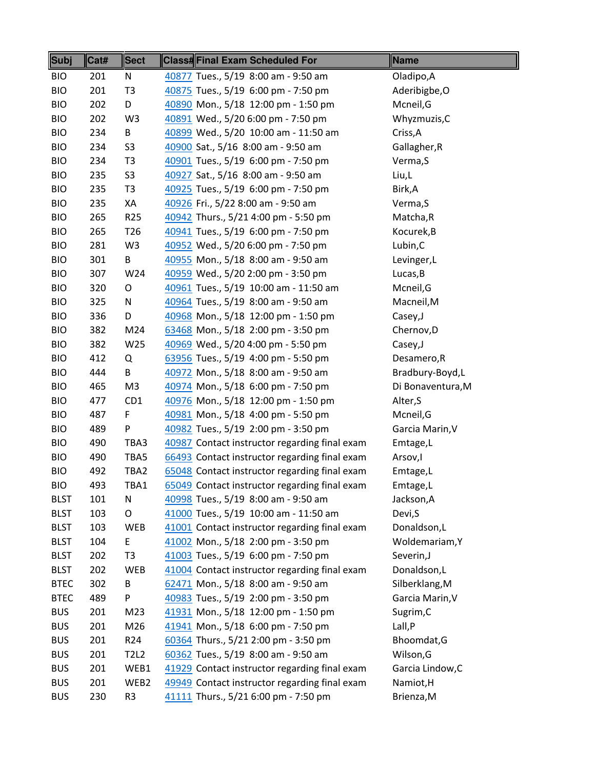| Subj        | Cat# | <b>Sect</b>     | <b>Class#Final Exam Scheduled For</b>         | Name              |
|-------------|------|-----------------|-----------------------------------------------|-------------------|
| <b>BIO</b>  | 201  | N               | 40877 Tues., 5/19 8:00 am - 9:50 am           | Oladipo, A        |
| <b>BIO</b>  | 201  | T <sub>3</sub>  | 40875 Tues., 5/19 6:00 pm - 7:50 pm           | Aderibigbe, O     |
| <b>BIO</b>  | 202  | D               | 40890 Mon., 5/18 12:00 pm - 1:50 pm           | Mcneil, G         |
| <b>BIO</b>  | 202  | W <sub>3</sub>  | 40891 Wed., 5/20 6:00 pm - 7:50 pm            | Whyzmuzis, C      |
| <b>BIO</b>  | 234  | B               | 40899 Wed., 5/20 10:00 am - 11:50 am          | Criss, A          |
| <b>BIO</b>  | 234  | S <sub>3</sub>  | 40900 Sat., 5/16 8:00 am - 9:50 am            | Gallagher, R      |
| <b>BIO</b>  | 234  | T <sub>3</sub>  | 40901 Tues., 5/19 6:00 pm - 7:50 pm           | Verma, S          |
| <b>BIO</b>  | 235  | S <sub>3</sub>  | 40927 Sat., 5/16 8:00 am - 9:50 am            | Liu,L             |
| <b>BIO</b>  | 235  | T <sub>3</sub>  | 40925 Tues., 5/19 6:00 pm - 7:50 pm           | Birk, A           |
| <b>BIO</b>  | 235  | XA              | 40926 Fri., 5/22 8:00 am - 9:50 am            | Verma, S          |
| <b>BIO</b>  | 265  | R <sub>25</sub> | 40942 Thurs., 5/21 4:00 pm - 5:50 pm          | Matcha, R         |
| <b>BIO</b>  | 265  | T <sub>26</sub> | 40941 Tues., 5/19 6:00 pm - 7:50 pm           | Kocurek, B        |
| <b>BIO</b>  | 281  | W <sub>3</sub>  | 40952 Wed., 5/20 6:00 pm - 7:50 pm            | Lubin, C          |
| <b>BIO</b>  | 301  | В               | 40955 Mon., 5/18 8:00 am - 9:50 am            | Levinger, L       |
| <b>BIO</b>  | 307  | W24             | 40959 Wed., 5/20 2:00 pm - 3:50 pm            | Lucas, B          |
| <b>BIO</b>  | 320  | O               | 40961 Tues., 5/19 10:00 am - 11:50 am         | Mcneil, G         |
| <b>BIO</b>  | 325  | N               | 40964 Tues., 5/19 8:00 am - 9:50 am           | Macneil, M        |
| <b>BIO</b>  | 336  | D               | 40968 Mon., 5/18 12:00 pm - 1:50 pm           | Casey, J          |
| <b>BIO</b>  | 382  | M24             | 63468 Mon., 5/18 2:00 pm - 3:50 pm            | Chernov, D        |
| <b>BIO</b>  | 382  | W25             | 40969 Wed., 5/20 4:00 pm - 5:50 pm            | Casey, J          |
| <b>BIO</b>  | 412  | Q               | 63956 Tues., 5/19 4:00 pm - 5:50 pm           | Desamero, R       |
| <b>BIO</b>  | 444  | B               | 40972 Mon., 5/18 8:00 am - 9:50 am            | Bradbury-Boyd,L   |
| <b>BIO</b>  | 465  | M <sub>3</sub>  | 40974 Mon., 5/18 6:00 pm - 7:50 pm            | Di Bonaventura, M |
| <b>BIO</b>  | 477  | CD <sub>1</sub> | 40976 Mon., 5/18 12:00 pm - 1:50 pm           | Alter, S          |
| <b>BIO</b>  | 487  | F               | 40981 Mon., 5/18 4:00 pm - 5:50 pm            | Mcneil, G         |
| <b>BIO</b>  | 489  | P               | 40982 Tues., 5/19 2:00 pm - 3:50 pm           | Garcia Marin, V   |
| <b>BIO</b>  | 490  | TBA3            | 40987 Contact instructor regarding final exam | Emtage,L          |
| <b>BIO</b>  | 490  | TBA5            | 66493 Contact instructor regarding final exam | Arsov, I          |
| <b>BIO</b>  | 492  | TBA2            | 65048 Contact instructor regarding final exam | Emtage,L          |
| <b>BIO</b>  | 493  | TBA1            | 65049 Contact instructor regarding final exam | Emtage,L          |
| <b>BLST</b> | 101  | N               | 40998 Tues., 5/19 8:00 am - 9:50 am           | Jackson, A        |
| <b>BLST</b> | 103  | O               | 41000 Tues., 5/19 10:00 am - 11:50 am         | Devi, S           |
| <b>BLST</b> | 103  | <b>WEB</b>      | 41001 Contact instructor regarding final exam | Donaldson,L       |
| <b>BLST</b> | 104  | E               | 41002 Mon., 5/18 2:00 pm - 3:50 pm            | Woldemariam, Y    |
| <b>BLST</b> | 202  | T <sub>3</sub>  | 41003 Tues., 5/19 6:00 pm - 7:50 pm           | Severin, J        |
| <b>BLST</b> | 202  | <b>WEB</b>      | 41004 Contact instructor regarding final exam | Donaldson,L       |
| <b>BTEC</b> | 302  | В               | 62471 Mon., 5/18 8:00 am - 9:50 am            | Silberklang, M    |
| <b>BTEC</b> | 489  | P               | 40983 Tues., 5/19 2:00 pm - 3:50 pm           | Garcia Marin, V   |
| <b>BUS</b>  | 201  | M23             | 41931 Mon., 5/18 12:00 pm - 1:50 pm           | Sugrim, C         |
| <b>BUS</b>  | 201  | M26             | 41941 Mon., 5/18 6:00 pm - 7:50 pm            | Lall, P           |
| <b>BUS</b>  | 201  | R <sub>24</sub> | 60364 Thurs., 5/21 2:00 pm - 3:50 pm          | Bhoomdat, G       |
| <b>BUS</b>  | 201  | <b>T2L2</b>     | 60362 Tues., 5/19 8:00 am - 9:50 am           | Wilson, G         |
| <b>BUS</b>  | 201  | WEB1            | 41929 Contact instructor regarding final exam | Garcia Lindow, C  |
| <b>BUS</b>  | 201  | WEB2            | 49949 Contact instructor regarding final exam | Namiot, H         |
| <b>BUS</b>  | 230  | R3              | 41111 Thurs., 5/21 6:00 pm - 7:50 pm          | Brienza, M        |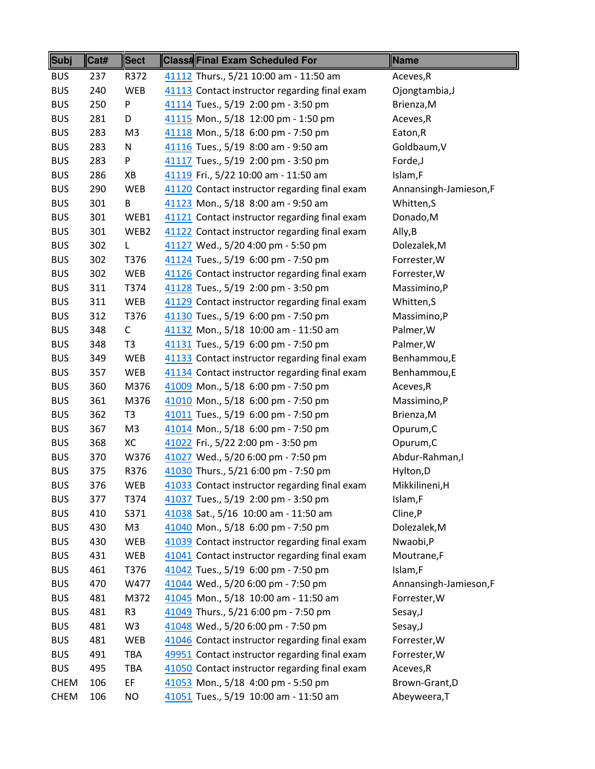| Subj        | Cat# | <b>Sect</b>    | <b>Class#Final Exam Scheduled For</b>         | <b>Name</b>           |
|-------------|------|----------------|-----------------------------------------------|-----------------------|
| <b>BUS</b>  | 237  | R372           | 41112 Thurs., 5/21 10:00 am - 11:50 am        | Aceves, R             |
| <b>BUS</b>  | 240  | <b>WEB</b>     | 41113 Contact instructor regarding final exam | Ojongtambia, J        |
| <b>BUS</b>  | 250  | P              | 41114 Tues., 5/19 2:00 pm - 3:50 pm           | Brienza, M            |
| <b>BUS</b>  | 281  | D              | 41115 Mon., 5/18 12:00 pm - 1:50 pm           | Aceves, R             |
| <b>BUS</b>  | 283  | M <sub>3</sub> | 41118 Mon., 5/18 6:00 pm - 7:50 pm            | Eaton, R              |
| <b>BUS</b>  | 283  | N              | 41116 Tues., 5/19 8:00 am - 9:50 am           | Goldbaum, V           |
| <b>BUS</b>  | 283  | P              | 41117 Tues., 5/19 2:00 pm - 3:50 pm           | Forde,J               |
| <b>BUS</b>  | 286  | XB             | 41119 Fri., 5/22 10:00 am - 11:50 am          | Islam,F               |
| <b>BUS</b>  | 290  | WEB            | 41120 Contact instructor regarding final exam | Annansingh-Jamieson,F |
| <b>BUS</b>  | 301  | B              | 41123 Mon., 5/18 8:00 am - 9:50 am            | Whitten, S            |
| <b>BUS</b>  | 301  | WEB1           | 41121 Contact instructor regarding final exam | Donado, M             |
| <b>BUS</b>  | 301  | WEB2           | 41122 Contact instructor regarding final exam | Ally, B               |
| <b>BUS</b>  | 302  | L              | 41127 Wed., 5/20 4:00 pm - 5:50 pm            | Dolezalek, M          |
| <b>BUS</b>  | 302  | T376           | 41124 Tues., 5/19 6:00 pm - 7:50 pm           | Forrester, W          |
| <b>BUS</b>  | 302  | <b>WEB</b>     | 41126 Contact instructor regarding final exam | Forrester, W          |
| <b>BUS</b>  | 311  | T374           | 41128 Tues., 5/19 2:00 pm - 3:50 pm           | Massimino,P           |
| <b>BUS</b>  | 311  | <b>WEB</b>     | 41129 Contact instructor regarding final exam | Whitten,S             |
| <b>BUS</b>  | 312  | T376           | 41130 Tues., 5/19 6:00 pm - 7:50 pm           | Massimino,P           |
| <b>BUS</b>  | 348  | $\mathsf{C}$   | 41132 Mon., 5/18 10:00 am - 11:50 am          | Palmer, W             |
| <b>BUS</b>  | 348  | T <sub>3</sub> | 41131 Tues., 5/19 6:00 pm - 7:50 pm           | Palmer, W             |
| <b>BUS</b>  | 349  | <b>WEB</b>     | 41133 Contact instructor regarding final exam | Benhammou,E           |
| <b>BUS</b>  | 357  | WEB            | 41134 Contact instructor regarding final exam | Benhammou,E           |
| <b>BUS</b>  | 360  | M376           | 41009 Mon., 5/18 6:00 pm - 7:50 pm            | Aceves, R             |
| <b>BUS</b>  |      | M376           |                                               |                       |
|             | 361  |                | 41010 Mon., 5/18 6:00 pm - 7:50 pm            | Massimino,P           |
| <b>BUS</b>  | 362  | T <sub>3</sub> | 41011 Tues., 5/19 6:00 pm - 7:50 pm           | Brienza, M            |
| <b>BUS</b>  | 367  | M <sub>3</sub> | 41014 Mon., 5/18 6:00 pm - 7:50 pm            | Opurum, C             |
| <b>BUS</b>  | 368  | XC             | 41022 Fri., 5/22 2:00 pm - 3:50 pm            | Opurum, C             |
| <b>BUS</b>  | 370  | W376           | 41027 Wed., 5/20 6:00 pm - 7:50 pm            | Abdur-Rahman, I       |
| <b>BUS</b>  | 375  | R376           | 41030 Thurs., 5/21 6:00 pm - 7:50 pm          | Hylton, D             |
| <b>BUS</b>  | 376  | WEB            | 41033 Contact instructor regarding final exam | Mikkilineni, H        |
| <b>BUS</b>  | 377  | T374           | 41037 Tues., 5/19 2:00 pm - 3:50 pm           | Islam,F               |
| <b>BUS</b>  | 410  | S371           | 41038 Sat., 5/16 10:00 am - 11:50 am          | Cline, P              |
| <b>BUS</b>  | 430  | M <sub>3</sub> | 41040 Mon., 5/18 6:00 pm - 7:50 pm            | Dolezalek, M          |
| <b>BUS</b>  | 430  | WEB            | 41039 Contact instructor regarding final exam | Nwaobi,P              |
| <b>BUS</b>  | 431  | WEB            | 41041 Contact instructor regarding final exam | Moutrane,F            |
| <b>BUS</b>  | 461  | T376           | 41042 Tues., 5/19 6:00 pm - 7:50 pm           | Islam,F               |
| <b>BUS</b>  | 470  | W477           | 41044 Wed., 5/20 6:00 pm - 7:50 pm            | Annansingh-Jamieson,F |
| <b>BUS</b>  | 481  | M372           | 41045 Mon., 5/18 10:00 am - 11:50 am          | Forrester, W          |
| <b>BUS</b>  | 481  | R3             | 41049 Thurs., 5/21 6:00 pm - 7:50 pm          | Sesay, J              |
| <b>BUS</b>  | 481  | W <sub>3</sub> | 41048 Wed., 5/20 6:00 pm - 7:50 pm            | Sesay, J              |
| <b>BUS</b>  | 481  | WEB            | 41046 Contact instructor regarding final exam | Forrester, W          |
| <b>BUS</b>  | 491  | TBA            | 49951 Contact instructor regarding final exam | Forrester, W          |
| <b>BUS</b>  | 495  | <b>TBA</b>     | 41050 Contact instructor regarding final exam | Aceves, R             |
| <b>CHEM</b> | 106  | EF             | 41053 Mon., 5/18 4:00 pm - 5:50 pm            | Brown-Grant, D        |
| <b>CHEM</b> | 106  | NO             | 41051 Tues., 5/19 10:00 am - 11:50 am         | Abeyweera, T          |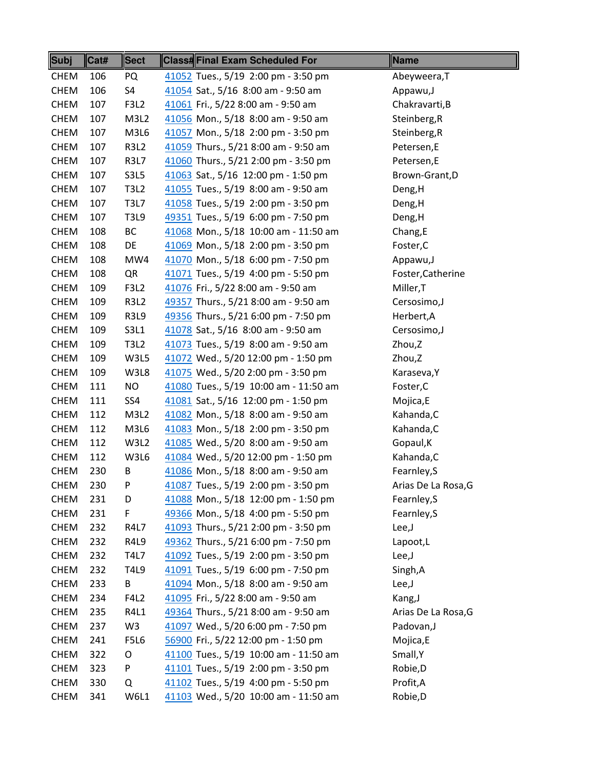| <b>Subj</b> | Cat# | <b>Sect</b> | Class#Final Exam Scheduled For        | Name                |
|-------------|------|-------------|---------------------------------------|---------------------|
| <b>CHEM</b> | 106  | PQ          | 41052 Tues., 5/19 2:00 pm - 3:50 pm   | Abeyweera, T        |
| <b>CHEM</b> | 106  | S4          | 41054 Sat., 5/16 8:00 am - 9:50 am    | Appawu,J            |
| <b>CHEM</b> | 107  | F3L2        | 41061 Fri., 5/22 8:00 am - 9:50 am    | Chakravarti, B      |
| <b>CHEM</b> | 107  | M3L2        | 41056 Mon., 5/18 8:00 am - 9:50 am    | Steinberg, R        |
| <b>CHEM</b> | 107  | M3L6        | 41057 Mon., 5/18 2:00 pm - 3:50 pm    | Steinberg, R        |
| <b>CHEM</b> | 107  | <b>R3L2</b> | 41059 Thurs., 5/21 8:00 am - 9:50 am  | Petersen,E          |
| <b>CHEM</b> | 107  | <b>R3L7</b> | 41060 Thurs., 5/21 2:00 pm - 3:50 pm  | Petersen,E          |
| <b>CHEM</b> | 107  | <b>S3L5</b> | 41063 Sat., 5/16 12:00 pm - 1:50 pm   | Brown-Grant, D      |
| <b>CHEM</b> | 107  | <b>T3L2</b> | 41055 Tues., 5/19 8:00 am - 9:50 am   | Deng, H             |
| <b>CHEM</b> | 107  | <b>T3L7</b> | 41058 Tues., 5/19 2:00 pm - 3:50 pm   | Deng, H             |
| <b>CHEM</b> | 107  | <b>T3L9</b> | 49351 Tues., 5/19 6:00 pm - 7:50 pm   | Deng, H             |
| <b>CHEM</b> | 108  | ВC          | 41068 Mon., 5/18 10:00 am - 11:50 am  | Chang, E            |
| <b>CHEM</b> | 108  | DE          | 41069 Mon., 5/18 2:00 pm - 3:50 pm    | Foster, C           |
| <b>CHEM</b> | 108  | MW4         | 41070 Mon., 5/18 6:00 pm - 7:50 pm    | Appawu, J           |
| <b>CHEM</b> | 108  | QR          | 41071 Tues., 5/19 4:00 pm - 5:50 pm   | Foster, Catherine   |
| <b>CHEM</b> | 109  | F3L2        | 41076 Fri., 5/22 8:00 am - 9:50 am    | Miller, T           |
| <b>CHEM</b> | 109  | <b>R3L2</b> | 49357 Thurs., 5/21 8:00 am - 9:50 am  | Cersosimo, J        |
| <b>CHEM</b> | 109  | <b>R3L9</b> | 49356 Thurs., 5/21 6:00 pm - 7:50 pm  | Herbert, A          |
| <b>CHEM</b> | 109  | S3L1        | 41078 Sat., 5/16 8:00 am - 9:50 am    | Cersosimo, J        |
| <b>CHEM</b> | 109  | <b>T3L2</b> | 41073 Tues., 5/19 8:00 am - 9:50 am   | Zhou,Z              |
| <b>CHEM</b> | 109  | W3L5        | 41072 Wed., 5/20 12:00 pm - 1:50 pm   | Zhou,Z              |
| <b>CHEM</b> | 109  | W3L8        | 41075 Wed., 5/20 2:00 pm - 3:50 pm    | Karaseva, Y         |
| <b>CHEM</b> | 111  | NO          | 41080 Tues., 5/19 10:00 am - 11:50 am | Foster, C           |
| <b>CHEM</b> | 111  | SS4         | 41081 Sat., 5/16 12:00 pm - 1:50 pm   | Mojica,E            |
| <b>CHEM</b> | 112  | M3L2        | 41082 Mon., 5/18 8:00 am - 9:50 am    | Kahanda, C          |
| <b>CHEM</b> | 112  | M3L6        | 41083 Mon., 5/18 2:00 pm - 3:50 pm    | Kahanda, C          |
| <b>CHEM</b> | 112  | W3L2        | 41085 Wed., 5/20 8:00 am - 9:50 am    | Gopaul, K           |
| <b>CHEM</b> | 112  | W3L6        | 41084 Wed., 5/20 12:00 pm - 1:50 pm   | Kahanda, C          |
| <b>CHEM</b> | 230  | В           | 41086 Mon., 5/18 8:00 am - 9:50 am    | Fearnley, S         |
| <b>CHEM</b> | 230  | P           | 41087 Tues., 5/19 2:00 pm - 3:50 pm   | Arias De La Rosa, G |
| <b>CHEM</b> | 231  | D           | 41088 Mon., 5/18 12:00 pm - 1:50 pm   | Fearnley, S         |
| <b>CHEM</b> | 231  | F           | 49366 Mon., 5/18 4:00 pm - 5:50 pm    | Fearnley, S         |
| <b>CHEM</b> | 232  | <b>R4L7</b> | 41093 Thurs., 5/21 2:00 pm - 3:50 pm  | Lee, J              |
| <b>CHEM</b> | 232  | <b>R4L9</b> | 49362 Thurs., 5/21 6:00 pm - 7:50 pm  | Lapoot,L            |
| <b>CHEM</b> | 232  | <b>T4L7</b> | 41092 Tues., 5/19 2:00 pm - 3:50 pm   | Lee, J              |
| <b>CHEM</b> | 232  | T4L9        | 41091 Tues., 5/19 6:00 pm - 7:50 pm   | Singh, A            |
| <b>CHEM</b> | 233  | В           | 41094 Mon., 5/18 8:00 am - 9:50 am    | Lee, J              |
| <b>CHEM</b> | 234  | <b>F4L2</b> | 41095 Fri., 5/22 8:00 am - 9:50 am    | Kang, J             |
| <b>CHEM</b> | 235  | R4L1        | 49364 Thurs., 5/21 8:00 am - 9:50 am  | Arias De La Rosa, G |
| <b>CHEM</b> | 237  | W3          | 41097 Wed., 5/20 6:00 pm - 7:50 pm    | Padovan, J          |
| <b>CHEM</b> | 241  | F5L6        | 56900 Fri., 5/22 12:00 pm - 1:50 pm   | Mojica,E            |
| <b>CHEM</b> | 322  | O           | 41100 Tues., 5/19 10:00 am - 11:50 am | Small, Y            |
| <b>CHEM</b> | 323  | P           | 41101 Tues., 5/19 2:00 pm - 3:50 pm   | Robie, D            |
| <b>CHEM</b> | 330  | Q           | 41102 Tues., 5/19 4:00 pm - 5:50 pm   | Profit, A           |
| <b>CHEM</b> | 341  | W6L1        | 41103 Wed., 5/20 10:00 am - 11:50 am  | Robie, D            |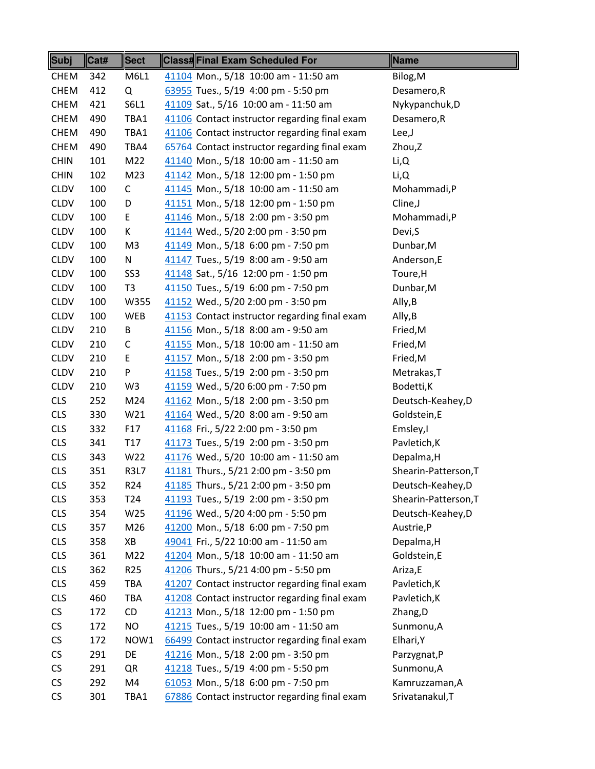| Subj        | Cat# | <b>Sect</b>     | Class#Final Exam Scheduled For                | Name                 |
|-------------|------|-----------------|-----------------------------------------------|----------------------|
| <b>CHEM</b> | 342  | M6L1            | 41104 Mon., 5/18 10:00 am - 11:50 am          | Bilog, M             |
| <b>CHEM</b> | 412  | Q               | 63955 Tues., 5/19 4:00 pm - 5:50 pm           | Desamero, R          |
| <b>CHEM</b> | 421  | S6L1            | 41109 Sat., 5/16 10:00 am - 11:50 am          | Nykypanchuk, D       |
| <b>CHEM</b> | 490  | TBA1            | 41106 Contact instructor regarding final exam | Desamero, R          |
| <b>CHEM</b> | 490  | TBA1            | 41106 Contact instructor regarding final exam | Lee,J                |
| <b>CHEM</b> | 490  | TBA4            | 65764 Contact instructor regarding final exam | Zhou,Z               |
| <b>CHIN</b> | 101  | M22             | 41140 Mon., 5/18 10:00 am - 11:50 am          | Li,Q                 |
| <b>CHIN</b> | 102  | M23             | 41142 Mon., 5/18 12:00 pm - 1:50 pm           | Li, Q                |
| <b>CLDV</b> | 100  | $\mathsf{C}$    | 41145 Mon., 5/18 10:00 am - 11:50 am          | Mohammadi,P          |
| <b>CLDV</b> | 100  | D               | 41151 Mon., 5/18 12:00 pm - 1:50 pm           | Cline, J             |
| <b>CLDV</b> | 100  | E               | 41146 Mon., 5/18 2:00 pm - 3:50 pm            | Mohammadi,P          |
| <b>CLDV</b> | 100  | К               | 41144 Wed., 5/20 2:00 pm - 3:50 pm            | Devi, S              |
| <b>CLDV</b> | 100  | M <sub>3</sub>  | 41149 Mon., 5/18 6:00 pm - 7:50 pm            | Dunbar, M            |
| <b>CLDV</b> | 100  | ${\sf N}$       | 41147 Tues., 5/19 8:00 am - 9:50 am           | Anderson,E           |
| <b>CLDV</b> | 100  | SS <sub>3</sub> | 41148 Sat., 5/16 12:00 pm - 1:50 pm           | Toure, H             |
| <b>CLDV</b> | 100  | T <sub>3</sub>  | 41150 Tues., 5/19 6:00 pm - 7:50 pm           | Dunbar, M            |
| <b>CLDV</b> | 100  | W355            | 41152 Wed., 5/20 2:00 pm - 3:50 pm            | Ally, B              |
| <b>CLDV</b> | 100  | WEB             | 41153 Contact instructor regarding final exam | Ally, B              |
| <b>CLDV</b> | 210  | B               | 41156 Mon., 5/18 8:00 am - 9:50 am            | Fried, M             |
| <b>CLDV</b> | 210  | C               | 41155 Mon., 5/18 10:00 am - 11:50 am          | Fried, M             |
| <b>CLDV</b> | 210  | E               | 41157 Mon., 5/18 2:00 pm - 3:50 pm            | Fried, M             |
| <b>CLDV</b> | 210  | P               | 41158 Tues., 5/19 2:00 pm - 3:50 pm           | Metrakas, T          |
| <b>CLDV</b> | 210  | W <sub>3</sub>  | 41159 Wed., 5/20 6:00 pm - 7:50 pm            | Bodetti, K           |
| <b>CLS</b>  | 252  | M24             | 41162 Mon., 5/18 2:00 pm - 3:50 pm            | Deutsch-Keahey,D     |
| <b>CLS</b>  | 330  | W <sub>21</sub> | 41164 Wed., 5/20 8:00 am - 9:50 am            | Goldstein,E          |
| <b>CLS</b>  | 332  | F17             | 41168 Fri., 5/22 2:00 pm - 3:50 pm            | Emsley, I            |
| <b>CLS</b>  | 341  | T17             | 41173 Tues., 5/19 2:00 pm - 3:50 pm           | Pavletich, K         |
| <b>CLS</b>  | 343  | W22             | 41176 Wed., 5/20 10:00 am - 11:50 am          | Depalma, H           |
| <b>CLS</b>  | 351  | <b>R3L7</b>     | 41181 Thurs., 5/21 2:00 pm - 3:50 pm          | Shearin-Patterson, T |
| <b>CLS</b>  | 352  | R <sub>24</sub> | 41185 Thurs., 5/21 2:00 pm - 3:50 pm          | Deutsch-Keahey,D     |
| <b>CLS</b>  | 353  | T24             | 41193 Tues., 5/19 2:00 pm - 3:50 pm           | Shearin-Patterson, T |
| <b>CLS</b>  | 354  | W25             | 41196 Wed., 5/20 4:00 pm - 5:50 pm            | Deutsch-Keahey, D    |
| <b>CLS</b>  | 357  | M26             | 41200 Mon., 5/18 6:00 pm - 7:50 pm            | Austrie,P            |
| <b>CLS</b>  | 358  | XB              | 49041 Fri., 5/22 10:00 am - 11:50 am          | Depalma, H           |
| <b>CLS</b>  | 361  | M22             | 41204 Mon., 5/18 10:00 am - 11:50 am          | Goldstein,E          |
| <b>CLS</b>  | 362  | R <sub>25</sub> | 41206 Thurs., 5/21 4:00 pm - 5:50 pm          | Ariza,E              |
| <b>CLS</b>  | 459  | TBA             | 41207 Contact instructor regarding final exam | Pavletich, K         |
| <b>CLS</b>  | 460  | TBA             | 41208 Contact instructor regarding final exam | Pavletich, K         |
| CS          | 172  | CD              | 41213 Mon., 5/18 12:00 pm - 1:50 pm           | Zhang, D             |
| <b>CS</b>   | 172  | <b>NO</b>       | 41215 Tues., 5/19 10:00 am - 11:50 am         | Sunmonu, A           |
| <b>CS</b>   | 172  | NOW1            | 66499 Contact instructor regarding final exam | Elhari, Y            |
| CS          | 291  | DE              | 41216 Mon., 5/18 2:00 pm - 3:50 pm            | Parzygnat,P          |
| CS          | 291  | QR              | 41218 Tues., 5/19 4:00 pm - 5:50 pm           | Sunmonu, A           |
| CS          | 292  | M4              | 61053 Mon., 5/18 6:00 pm - 7:50 pm            | Kamruzzaman, A       |
| CS          | 301  | TBA1            | 67886 Contact instructor regarding final exam | Srivatanakul, T      |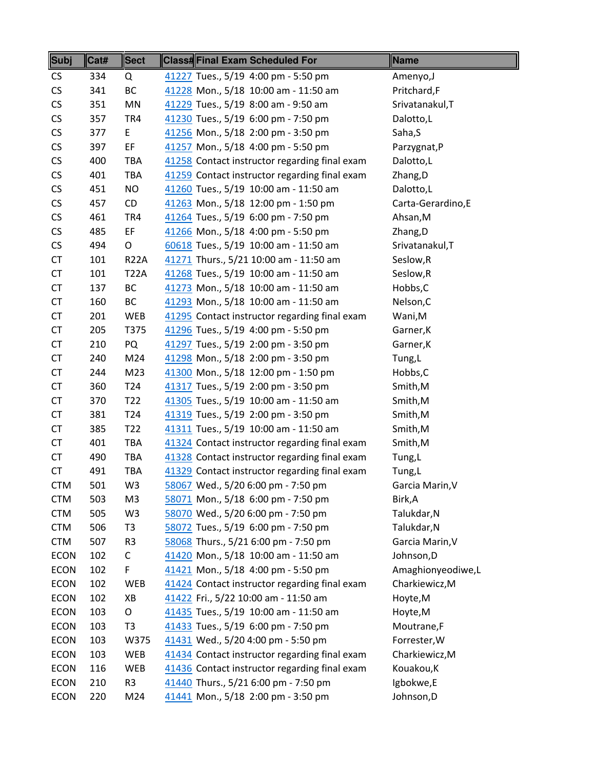| CS<br>334<br>41227 Tues., 5/19 4:00 pm - 5:50 pm<br>Q<br>Amenyo, J<br>CS<br>ВC<br>Pritchard,F<br>341<br>41228 Mon., 5/18 10:00 am - 11:50 am<br>CS<br>41229 Tues., 5/19 8:00 am - 9:50 am<br>351<br>MN<br>Srivatanakul, T<br>CS<br>41230 Tues., 5/19 6:00 pm - 7:50 pm<br>357<br>TR4<br>Dalotto,L<br>CS<br>E<br>377<br>41256 Mon., 5/18 2:00 pm - 3:50 pm<br>Saha, S<br>CS<br>EF.<br>397<br>41257 Mon., 5/18 4:00 pm - 5:50 pm<br>Parzygnat, P<br>CS<br>400<br>TBA<br>41258 Contact instructor regarding final exam<br>Dalotto,L<br>CS<br>41259 Contact instructor regarding final exam<br>401<br><b>TBA</b><br>Zhang, D<br>CS<br>NO<br>451<br>41260 Tues., 5/19 10:00 am - 11:50 am<br>Dalotto,L<br>CS<br>457<br>CD<br>41263 Mon., 5/18 12:00 pm - 1:50 pm<br>Carta-Gerardino, E<br>CS<br>41264 Tues., 5/19 6:00 pm - 7:50 pm<br>461<br>TR4<br>Ahsan, M<br>CS<br>485<br>EF<br>41266 Mon., 5/18 4:00 pm - 5:50 pm<br>Zhang, D<br>CS<br>494<br>O<br>60618 Tues., 5/19 10:00 am - 11:50 am<br>Srivatanakul, T<br><b>CT</b><br>Seslow, R<br>101<br><b>R22A</b><br>41271 Thurs., 5/21 10:00 am - 11:50 am<br><b>CT</b><br>41268 Tues., 5/19 10:00 am - 11:50 am<br>101<br><b>T22A</b><br>Seslow, R<br><b>CT</b><br>ВC<br>137<br>41273 Mon., 5/18 10:00 am - 11:50 am<br>Hobbs, C<br><b>CT</b><br>160<br>ВC<br>41293 Mon., 5/18 10:00 am - 11:50 am<br>Nelson, C<br><b>CT</b><br>41295 Contact instructor regarding final exam<br>201<br>WEB<br>Wani, M<br><b>CT</b><br>205<br>T375<br>41296 Tues., 5/19 4:00 pm - 5:50 pm<br>Garner, K<br><b>CT</b><br>210<br>PQ<br>41297 Tues., 5/19 2:00 pm - 3:50 pm<br>Garner, K<br><b>CT</b><br>240<br>M24<br>41298 Mon., 5/18 2:00 pm - 3:50 pm<br>Tung, L<br><b>CT</b><br>M23<br>41300 Mon., 5/18 12:00 pm - 1:50 pm<br>244<br>Hobbs,C<br><b>CT</b><br>360<br>T <sub>24</sub><br>41317 Tues., 5/19 2:00 pm - 3:50 pm<br>Smith, M<br><b>CT</b><br>370<br>T <sub>22</sub><br>41305 Tues., 5/19 10:00 am - 11:50 am<br>Smith, M<br><b>CT</b><br>T <sub>24</sub><br>41319 Tues., 5/19 2:00 pm - 3:50 pm<br>381<br>Smith, M<br><b>CT</b><br>T <sub>22</sub><br>41311 Tues., 5/19 10:00 am - 11:50 am<br>385<br>Smith, M<br><b>CT</b><br>41324 Contact instructor regarding final exam<br>401<br><b>TBA</b><br>Smith, M<br><b>CT</b><br>490<br><b>TBA</b><br>41328 Contact instructor regarding final exam<br>Tung,L<br><b>CT</b><br>41329 Contact instructor regarding final exam<br>491<br><b>TBA</b><br>Tung, L<br>501<br>W3<br>58067 Wed., 5/20 6:00 pm - 7:50 pm<br><b>CTM</b><br>Garcia Marin, V<br>58071 Mon., 5/18 6:00 pm - 7:50 pm<br>M <sub>3</sub><br><b>CTM</b><br>503<br>Birk,A<br>58070 Wed., 5/20 6:00 pm - 7:50 pm<br><b>CTM</b><br>505<br>W3<br>Talukdar, N<br>58072 Tues., 5/19 6:00 pm - 7:50 pm<br><b>CTM</b><br>506<br>T3<br>Talukdar, N<br>58068 Thurs., 5/21 6:00 pm - 7:50 pm<br>Garcia Marin, V<br><b>CTM</b><br>507<br>R <sub>3</sub><br><b>ECON</b><br>C<br>41420 Mon., 5/18 10:00 am - 11:50 am<br>Johnson, D<br>102<br>F<br>41421 Mon., 5/18 4:00 pm - 5:50 pm<br><b>ECON</b><br>102<br>Amaghionyeodiwe,L<br>41424 Contact instructor regarding final exam<br><b>ECON</b><br>102<br>WEB<br>Charkiewicz, M<br><b>ECON</b><br>102<br>XB<br>41422 Fri., 5/22 10:00 am - 11:50 am<br>Hoyte, M<br><b>ECON</b><br>103<br>O<br>41435 Tues., 5/19 10:00 am - 11:50 am<br>Hoyte, M<br>41433 Tues., 5/19 6:00 pm - 7:50 pm<br><b>ECON</b><br>103<br>T <sub>3</sub><br>Moutrane,F<br><b>ECON</b><br>103<br>W375<br>41431 Wed., 5/20 4:00 pm - 5:50 pm<br>Forrester, W<br><b>ECON</b><br>103<br>WEB<br>41434 Contact instructor regarding final exam<br>Charkiewicz, M<br>41436 Contact instructor regarding final exam<br><b>ECON</b><br>116<br><b>WEB</b><br>Kouakou, K<br><b>ECON</b><br>R3<br>41440 Thurs., 5/21 6:00 pm - 7:50 pm<br>Igbokwe,E<br>210 | Subj        | Cat# | <b>Sect</b> | <b>Class#Final Exam Scheduled For</b> | Name       |
|-----------------------------------------------------------------------------------------------------------------------------------------------------------------------------------------------------------------------------------------------------------------------------------------------------------------------------------------------------------------------------------------------------------------------------------------------------------------------------------------------------------------------------------------------------------------------------------------------------------------------------------------------------------------------------------------------------------------------------------------------------------------------------------------------------------------------------------------------------------------------------------------------------------------------------------------------------------------------------------------------------------------------------------------------------------------------------------------------------------------------------------------------------------------------------------------------------------------------------------------------------------------------------------------------------------------------------------------------------------------------------------------------------------------------------------------------------------------------------------------------------------------------------------------------------------------------------------------------------------------------------------------------------------------------------------------------------------------------------------------------------------------------------------------------------------------------------------------------------------------------------------------------------------------------------------------------------------------------------------------------------------------------------------------------------------------------------------------------------------------------------------------------------------------------------------------------------------------------------------------------------------------------------------------------------------------------------------------------------------------------------------------------------------------------------------------------------------------------------------------------------------------------------------------------------------------------------------------------------------------------------------------------------------------------------------------------------------------------------------------------------------------------------------------------------------------------------------------------------------------------------------------------------------------------------------------------------------------------------------------------------------------------------------------------------------------------------------------------------------------------------------------------------------------------------------------------------------------------------------------------------------------------------------------------------------------------------------------------------------------------------------------------------------------------------------------------------------------------------------------------------------------------------------------------------------------------------------------------------------------------------------------------------------------------------------------------------------------------------------------------------------------------------------------------------------|-------------|------|-------------|---------------------------------------|------------|
|                                                                                                                                                                                                                                                                                                                                                                                                                                                                                                                                                                                                                                                                                                                                                                                                                                                                                                                                                                                                                                                                                                                                                                                                                                                                                                                                                                                                                                                                                                                                                                                                                                                                                                                                                                                                                                                                                                                                                                                                                                                                                                                                                                                                                                                                                                                                                                                                                                                                                                                                                                                                                                                                                                                                                                                                                                                                                                                                                                                                                                                                                                                                                                                                                                                                                                                                                                                                                                                                                                                                                                                                                                                                                                                                                                                                           |             |      |             |                                       |            |
|                                                                                                                                                                                                                                                                                                                                                                                                                                                                                                                                                                                                                                                                                                                                                                                                                                                                                                                                                                                                                                                                                                                                                                                                                                                                                                                                                                                                                                                                                                                                                                                                                                                                                                                                                                                                                                                                                                                                                                                                                                                                                                                                                                                                                                                                                                                                                                                                                                                                                                                                                                                                                                                                                                                                                                                                                                                                                                                                                                                                                                                                                                                                                                                                                                                                                                                                                                                                                                                                                                                                                                                                                                                                                                                                                                                                           |             |      |             |                                       |            |
|                                                                                                                                                                                                                                                                                                                                                                                                                                                                                                                                                                                                                                                                                                                                                                                                                                                                                                                                                                                                                                                                                                                                                                                                                                                                                                                                                                                                                                                                                                                                                                                                                                                                                                                                                                                                                                                                                                                                                                                                                                                                                                                                                                                                                                                                                                                                                                                                                                                                                                                                                                                                                                                                                                                                                                                                                                                                                                                                                                                                                                                                                                                                                                                                                                                                                                                                                                                                                                                                                                                                                                                                                                                                                                                                                                                                           |             |      |             |                                       |            |
|                                                                                                                                                                                                                                                                                                                                                                                                                                                                                                                                                                                                                                                                                                                                                                                                                                                                                                                                                                                                                                                                                                                                                                                                                                                                                                                                                                                                                                                                                                                                                                                                                                                                                                                                                                                                                                                                                                                                                                                                                                                                                                                                                                                                                                                                                                                                                                                                                                                                                                                                                                                                                                                                                                                                                                                                                                                                                                                                                                                                                                                                                                                                                                                                                                                                                                                                                                                                                                                                                                                                                                                                                                                                                                                                                                                                           |             |      |             |                                       |            |
|                                                                                                                                                                                                                                                                                                                                                                                                                                                                                                                                                                                                                                                                                                                                                                                                                                                                                                                                                                                                                                                                                                                                                                                                                                                                                                                                                                                                                                                                                                                                                                                                                                                                                                                                                                                                                                                                                                                                                                                                                                                                                                                                                                                                                                                                                                                                                                                                                                                                                                                                                                                                                                                                                                                                                                                                                                                                                                                                                                                                                                                                                                                                                                                                                                                                                                                                                                                                                                                                                                                                                                                                                                                                                                                                                                                                           |             |      |             |                                       |            |
|                                                                                                                                                                                                                                                                                                                                                                                                                                                                                                                                                                                                                                                                                                                                                                                                                                                                                                                                                                                                                                                                                                                                                                                                                                                                                                                                                                                                                                                                                                                                                                                                                                                                                                                                                                                                                                                                                                                                                                                                                                                                                                                                                                                                                                                                                                                                                                                                                                                                                                                                                                                                                                                                                                                                                                                                                                                                                                                                                                                                                                                                                                                                                                                                                                                                                                                                                                                                                                                                                                                                                                                                                                                                                                                                                                                                           |             |      |             |                                       |            |
|                                                                                                                                                                                                                                                                                                                                                                                                                                                                                                                                                                                                                                                                                                                                                                                                                                                                                                                                                                                                                                                                                                                                                                                                                                                                                                                                                                                                                                                                                                                                                                                                                                                                                                                                                                                                                                                                                                                                                                                                                                                                                                                                                                                                                                                                                                                                                                                                                                                                                                                                                                                                                                                                                                                                                                                                                                                                                                                                                                                                                                                                                                                                                                                                                                                                                                                                                                                                                                                                                                                                                                                                                                                                                                                                                                                                           |             |      |             |                                       |            |
|                                                                                                                                                                                                                                                                                                                                                                                                                                                                                                                                                                                                                                                                                                                                                                                                                                                                                                                                                                                                                                                                                                                                                                                                                                                                                                                                                                                                                                                                                                                                                                                                                                                                                                                                                                                                                                                                                                                                                                                                                                                                                                                                                                                                                                                                                                                                                                                                                                                                                                                                                                                                                                                                                                                                                                                                                                                                                                                                                                                                                                                                                                                                                                                                                                                                                                                                                                                                                                                                                                                                                                                                                                                                                                                                                                                                           |             |      |             |                                       |            |
|                                                                                                                                                                                                                                                                                                                                                                                                                                                                                                                                                                                                                                                                                                                                                                                                                                                                                                                                                                                                                                                                                                                                                                                                                                                                                                                                                                                                                                                                                                                                                                                                                                                                                                                                                                                                                                                                                                                                                                                                                                                                                                                                                                                                                                                                                                                                                                                                                                                                                                                                                                                                                                                                                                                                                                                                                                                                                                                                                                                                                                                                                                                                                                                                                                                                                                                                                                                                                                                                                                                                                                                                                                                                                                                                                                                                           |             |      |             |                                       |            |
|                                                                                                                                                                                                                                                                                                                                                                                                                                                                                                                                                                                                                                                                                                                                                                                                                                                                                                                                                                                                                                                                                                                                                                                                                                                                                                                                                                                                                                                                                                                                                                                                                                                                                                                                                                                                                                                                                                                                                                                                                                                                                                                                                                                                                                                                                                                                                                                                                                                                                                                                                                                                                                                                                                                                                                                                                                                                                                                                                                                                                                                                                                                                                                                                                                                                                                                                                                                                                                                                                                                                                                                                                                                                                                                                                                                                           |             |      |             |                                       |            |
|                                                                                                                                                                                                                                                                                                                                                                                                                                                                                                                                                                                                                                                                                                                                                                                                                                                                                                                                                                                                                                                                                                                                                                                                                                                                                                                                                                                                                                                                                                                                                                                                                                                                                                                                                                                                                                                                                                                                                                                                                                                                                                                                                                                                                                                                                                                                                                                                                                                                                                                                                                                                                                                                                                                                                                                                                                                                                                                                                                                                                                                                                                                                                                                                                                                                                                                                                                                                                                                                                                                                                                                                                                                                                                                                                                                                           |             |      |             |                                       |            |
|                                                                                                                                                                                                                                                                                                                                                                                                                                                                                                                                                                                                                                                                                                                                                                                                                                                                                                                                                                                                                                                                                                                                                                                                                                                                                                                                                                                                                                                                                                                                                                                                                                                                                                                                                                                                                                                                                                                                                                                                                                                                                                                                                                                                                                                                                                                                                                                                                                                                                                                                                                                                                                                                                                                                                                                                                                                                                                                                                                                                                                                                                                                                                                                                                                                                                                                                                                                                                                                                                                                                                                                                                                                                                                                                                                                                           |             |      |             |                                       |            |
|                                                                                                                                                                                                                                                                                                                                                                                                                                                                                                                                                                                                                                                                                                                                                                                                                                                                                                                                                                                                                                                                                                                                                                                                                                                                                                                                                                                                                                                                                                                                                                                                                                                                                                                                                                                                                                                                                                                                                                                                                                                                                                                                                                                                                                                                                                                                                                                                                                                                                                                                                                                                                                                                                                                                                                                                                                                                                                                                                                                                                                                                                                                                                                                                                                                                                                                                                                                                                                                                                                                                                                                                                                                                                                                                                                                                           |             |      |             |                                       |            |
|                                                                                                                                                                                                                                                                                                                                                                                                                                                                                                                                                                                                                                                                                                                                                                                                                                                                                                                                                                                                                                                                                                                                                                                                                                                                                                                                                                                                                                                                                                                                                                                                                                                                                                                                                                                                                                                                                                                                                                                                                                                                                                                                                                                                                                                                                                                                                                                                                                                                                                                                                                                                                                                                                                                                                                                                                                                                                                                                                                                                                                                                                                                                                                                                                                                                                                                                                                                                                                                                                                                                                                                                                                                                                                                                                                                                           |             |      |             |                                       |            |
|                                                                                                                                                                                                                                                                                                                                                                                                                                                                                                                                                                                                                                                                                                                                                                                                                                                                                                                                                                                                                                                                                                                                                                                                                                                                                                                                                                                                                                                                                                                                                                                                                                                                                                                                                                                                                                                                                                                                                                                                                                                                                                                                                                                                                                                                                                                                                                                                                                                                                                                                                                                                                                                                                                                                                                                                                                                                                                                                                                                                                                                                                                                                                                                                                                                                                                                                                                                                                                                                                                                                                                                                                                                                                                                                                                                                           |             |      |             |                                       |            |
|                                                                                                                                                                                                                                                                                                                                                                                                                                                                                                                                                                                                                                                                                                                                                                                                                                                                                                                                                                                                                                                                                                                                                                                                                                                                                                                                                                                                                                                                                                                                                                                                                                                                                                                                                                                                                                                                                                                                                                                                                                                                                                                                                                                                                                                                                                                                                                                                                                                                                                                                                                                                                                                                                                                                                                                                                                                                                                                                                                                                                                                                                                                                                                                                                                                                                                                                                                                                                                                                                                                                                                                                                                                                                                                                                                                                           |             |      |             |                                       |            |
|                                                                                                                                                                                                                                                                                                                                                                                                                                                                                                                                                                                                                                                                                                                                                                                                                                                                                                                                                                                                                                                                                                                                                                                                                                                                                                                                                                                                                                                                                                                                                                                                                                                                                                                                                                                                                                                                                                                                                                                                                                                                                                                                                                                                                                                                                                                                                                                                                                                                                                                                                                                                                                                                                                                                                                                                                                                                                                                                                                                                                                                                                                                                                                                                                                                                                                                                                                                                                                                                                                                                                                                                                                                                                                                                                                                                           |             |      |             |                                       |            |
|                                                                                                                                                                                                                                                                                                                                                                                                                                                                                                                                                                                                                                                                                                                                                                                                                                                                                                                                                                                                                                                                                                                                                                                                                                                                                                                                                                                                                                                                                                                                                                                                                                                                                                                                                                                                                                                                                                                                                                                                                                                                                                                                                                                                                                                                                                                                                                                                                                                                                                                                                                                                                                                                                                                                                                                                                                                                                                                                                                                                                                                                                                                                                                                                                                                                                                                                                                                                                                                                                                                                                                                                                                                                                                                                                                                                           |             |      |             |                                       |            |
|                                                                                                                                                                                                                                                                                                                                                                                                                                                                                                                                                                                                                                                                                                                                                                                                                                                                                                                                                                                                                                                                                                                                                                                                                                                                                                                                                                                                                                                                                                                                                                                                                                                                                                                                                                                                                                                                                                                                                                                                                                                                                                                                                                                                                                                                                                                                                                                                                                                                                                                                                                                                                                                                                                                                                                                                                                                                                                                                                                                                                                                                                                                                                                                                                                                                                                                                                                                                                                                                                                                                                                                                                                                                                                                                                                                                           |             |      |             |                                       |            |
|                                                                                                                                                                                                                                                                                                                                                                                                                                                                                                                                                                                                                                                                                                                                                                                                                                                                                                                                                                                                                                                                                                                                                                                                                                                                                                                                                                                                                                                                                                                                                                                                                                                                                                                                                                                                                                                                                                                                                                                                                                                                                                                                                                                                                                                                                                                                                                                                                                                                                                                                                                                                                                                                                                                                                                                                                                                                                                                                                                                                                                                                                                                                                                                                                                                                                                                                                                                                                                                                                                                                                                                                                                                                                                                                                                                                           |             |      |             |                                       |            |
|                                                                                                                                                                                                                                                                                                                                                                                                                                                                                                                                                                                                                                                                                                                                                                                                                                                                                                                                                                                                                                                                                                                                                                                                                                                                                                                                                                                                                                                                                                                                                                                                                                                                                                                                                                                                                                                                                                                                                                                                                                                                                                                                                                                                                                                                                                                                                                                                                                                                                                                                                                                                                                                                                                                                                                                                                                                                                                                                                                                                                                                                                                                                                                                                                                                                                                                                                                                                                                                                                                                                                                                                                                                                                                                                                                                                           |             |      |             |                                       |            |
|                                                                                                                                                                                                                                                                                                                                                                                                                                                                                                                                                                                                                                                                                                                                                                                                                                                                                                                                                                                                                                                                                                                                                                                                                                                                                                                                                                                                                                                                                                                                                                                                                                                                                                                                                                                                                                                                                                                                                                                                                                                                                                                                                                                                                                                                                                                                                                                                                                                                                                                                                                                                                                                                                                                                                                                                                                                                                                                                                                                                                                                                                                                                                                                                                                                                                                                                                                                                                                                                                                                                                                                                                                                                                                                                                                                                           |             |      |             |                                       |            |
|                                                                                                                                                                                                                                                                                                                                                                                                                                                                                                                                                                                                                                                                                                                                                                                                                                                                                                                                                                                                                                                                                                                                                                                                                                                                                                                                                                                                                                                                                                                                                                                                                                                                                                                                                                                                                                                                                                                                                                                                                                                                                                                                                                                                                                                                                                                                                                                                                                                                                                                                                                                                                                                                                                                                                                                                                                                                                                                                                                                                                                                                                                                                                                                                                                                                                                                                                                                                                                                                                                                                                                                                                                                                                                                                                                                                           |             |      |             |                                       |            |
|                                                                                                                                                                                                                                                                                                                                                                                                                                                                                                                                                                                                                                                                                                                                                                                                                                                                                                                                                                                                                                                                                                                                                                                                                                                                                                                                                                                                                                                                                                                                                                                                                                                                                                                                                                                                                                                                                                                                                                                                                                                                                                                                                                                                                                                                                                                                                                                                                                                                                                                                                                                                                                                                                                                                                                                                                                                                                                                                                                                                                                                                                                                                                                                                                                                                                                                                                                                                                                                                                                                                                                                                                                                                                                                                                                                                           |             |      |             |                                       |            |
|                                                                                                                                                                                                                                                                                                                                                                                                                                                                                                                                                                                                                                                                                                                                                                                                                                                                                                                                                                                                                                                                                                                                                                                                                                                                                                                                                                                                                                                                                                                                                                                                                                                                                                                                                                                                                                                                                                                                                                                                                                                                                                                                                                                                                                                                                                                                                                                                                                                                                                                                                                                                                                                                                                                                                                                                                                                                                                                                                                                                                                                                                                                                                                                                                                                                                                                                                                                                                                                                                                                                                                                                                                                                                                                                                                                                           |             |      |             |                                       |            |
|                                                                                                                                                                                                                                                                                                                                                                                                                                                                                                                                                                                                                                                                                                                                                                                                                                                                                                                                                                                                                                                                                                                                                                                                                                                                                                                                                                                                                                                                                                                                                                                                                                                                                                                                                                                                                                                                                                                                                                                                                                                                                                                                                                                                                                                                                                                                                                                                                                                                                                                                                                                                                                                                                                                                                                                                                                                                                                                                                                                                                                                                                                                                                                                                                                                                                                                                                                                                                                                                                                                                                                                                                                                                                                                                                                                                           |             |      |             |                                       |            |
|                                                                                                                                                                                                                                                                                                                                                                                                                                                                                                                                                                                                                                                                                                                                                                                                                                                                                                                                                                                                                                                                                                                                                                                                                                                                                                                                                                                                                                                                                                                                                                                                                                                                                                                                                                                                                                                                                                                                                                                                                                                                                                                                                                                                                                                                                                                                                                                                                                                                                                                                                                                                                                                                                                                                                                                                                                                                                                                                                                                                                                                                                                                                                                                                                                                                                                                                                                                                                                                                                                                                                                                                                                                                                                                                                                                                           |             |      |             |                                       |            |
|                                                                                                                                                                                                                                                                                                                                                                                                                                                                                                                                                                                                                                                                                                                                                                                                                                                                                                                                                                                                                                                                                                                                                                                                                                                                                                                                                                                                                                                                                                                                                                                                                                                                                                                                                                                                                                                                                                                                                                                                                                                                                                                                                                                                                                                                                                                                                                                                                                                                                                                                                                                                                                                                                                                                                                                                                                                                                                                                                                                                                                                                                                                                                                                                                                                                                                                                                                                                                                                                                                                                                                                                                                                                                                                                                                                                           |             |      |             |                                       |            |
|                                                                                                                                                                                                                                                                                                                                                                                                                                                                                                                                                                                                                                                                                                                                                                                                                                                                                                                                                                                                                                                                                                                                                                                                                                                                                                                                                                                                                                                                                                                                                                                                                                                                                                                                                                                                                                                                                                                                                                                                                                                                                                                                                                                                                                                                                                                                                                                                                                                                                                                                                                                                                                                                                                                                                                                                                                                                                                                                                                                                                                                                                                                                                                                                                                                                                                                                                                                                                                                                                                                                                                                                                                                                                                                                                                                                           |             |      |             |                                       |            |
|                                                                                                                                                                                                                                                                                                                                                                                                                                                                                                                                                                                                                                                                                                                                                                                                                                                                                                                                                                                                                                                                                                                                                                                                                                                                                                                                                                                                                                                                                                                                                                                                                                                                                                                                                                                                                                                                                                                                                                                                                                                                                                                                                                                                                                                                                                                                                                                                                                                                                                                                                                                                                                                                                                                                                                                                                                                                                                                                                                                                                                                                                                                                                                                                                                                                                                                                                                                                                                                                                                                                                                                                                                                                                                                                                                                                           |             |      |             |                                       |            |
|                                                                                                                                                                                                                                                                                                                                                                                                                                                                                                                                                                                                                                                                                                                                                                                                                                                                                                                                                                                                                                                                                                                                                                                                                                                                                                                                                                                                                                                                                                                                                                                                                                                                                                                                                                                                                                                                                                                                                                                                                                                                                                                                                                                                                                                                                                                                                                                                                                                                                                                                                                                                                                                                                                                                                                                                                                                                                                                                                                                                                                                                                                                                                                                                                                                                                                                                                                                                                                                                                                                                                                                                                                                                                                                                                                                                           |             |      |             |                                       |            |
|                                                                                                                                                                                                                                                                                                                                                                                                                                                                                                                                                                                                                                                                                                                                                                                                                                                                                                                                                                                                                                                                                                                                                                                                                                                                                                                                                                                                                                                                                                                                                                                                                                                                                                                                                                                                                                                                                                                                                                                                                                                                                                                                                                                                                                                                                                                                                                                                                                                                                                                                                                                                                                                                                                                                                                                                                                                                                                                                                                                                                                                                                                                                                                                                                                                                                                                                                                                                                                                                                                                                                                                                                                                                                                                                                                                                           |             |      |             |                                       |            |
|                                                                                                                                                                                                                                                                                                                                                                                                                                                                                                                                                                                                                                                                                                                                                                                                                                                                                                                                                                                                                                                                                                                                                                                                                                                                                                                                                                                                                                                                                                                                                                                                                                                                                                                                                                                                                                                                                                                                                                                                                                                                                                                                                                                                                                                                                                                                                                                                                                                                                                                                                                                                                                                                                                                                                                                                                                                                                                                                                                                                                                                                                                                                                                                                                                                                                                                                                                                                                                                                                                                                                                                                                                                                                                                                                                                                           |             |      |             |                                       |            |
|                                                                                                                                                                                                                                                                                                                                                                                                                                                                                                                                                                                                                                                                                                                                                                                                                                                                                                                                                                                                                                                                                                                                                                                                                                                                                                                                                                                                                                                                                                                                                                                                                                                                                                                                                                                                                                                                                                                                                                                                                                                                                                                                                                                                                                                                                                                                                                                                                                                                                                                                                                                                                                                                                                                                                                                                                                                                                                                                                                                                                                                                                                                                                                                                                                                                                                                                                                                                                                                                                                                                                                                                                                                                                                                                                                                                           |             |      |             |                                       |            |
|                                                                                                                                                                                                                                                                                                                                                                                                                                                                                                                                                                                                                                                                                                                                                                                                                                                                                                                                                                                                                                                                                                                                                                                                                                                                                                                                                                                                                                                                                                                                                                                                                                                                                                                                                                                                                                                                                                                                                                                                                                                                                                                                                                                                                                                                                                                                                                                                                                                                                                                                                                                                                                                                                                                                                                                                                                                                                                                                                                                                                                                                                                                                                                                                                                                                                                                                                                                                                                                                                                                                                                                                                                                                                                                                                                                                           |             |      |             |                                       |            |
|                                                                                                                                                                                                                                                                                                                                                                                                                                                                                                                                                                                                                                                                                                                                                                                                                                                                                                                                                                                                                                                                                                                                                                                                                                                                                                                                                                                                                                                                                                                                                                                                                                                                                                                                                                                                                                                                                                                                                                                                                                                                                                                                                                                                                                                                                                                                                                                                                                                                                                                                                                                                                                                                                                                                                                                                                                                                                                                                                                                                                                                                                                                                                                                                                                                                                                                                                                                                                                                                                                                                                                                                                                                                                                                                                                                                           |             |      |             |                                       |            |
|                                                                                                                                                                                                                                                                                                                                                                                                                                                                                                                                                                                                                                                                                                                                                                                                                                                                                                                                                                                                                                                                                                                                                                                                                                                                                                                                                                                                                                                                                                                                                                                                                                                                                                                                                                                                                                                                                                                                                                                                                                                                                                                                                                                                                                                                                                                                                                                                                                                                                                                                                                                                                                                                                                                                                                                                                                                                                                                                                                                                                                                                                                                                                                                                                                                                                                                                                                                                                                                                                                                                                                                                                                                                                                                                                                                                           |             |      |             |                                       |            |
|                                                                                                                                                                                                                                                                                                                                                                                                                                                                                                                                                                                                                                                                                                                                                                                                                                                                                                                                                                                                                                                                                                                                                                                                                                                                                                                                                                                                                                                                                                                                                                                                                                                                                                                                                                                                                                                                                                                                                                                                                                                                                                                                                                                                                                                                                                                                                                                                                                                                                                                                                                                                                                                                                                                                                                                                                                                                                                                                                                                                                                                                                                                                                                                                                                                                                                                                                                                                                                                                                                                                                                                                                                                                                                                                                                                                           |             |      |             |                                       |            |
|                                                                                                                                                                                                                                                                                                                                                                                                                                                                                                                                                                                                                                                                                                                                                                                                                                                                                                                                                                                                                                                                                                                                                                                                                                                                                                                                                                                                                                                                                                                                                                                                                                                                                                                                                                                                                                                                                                                                                                                                                                                                                                                                                                                                                                                                                                                                                                                                                                                                                                                                                                                                                                                                                                                                                                                                                                                                                                                                                                                                                                                                                                                                                                                                                                                                                                                                                                                                                                                                                                                                                                                                                                                                                                                                                                                                           |             |      |             |                                       |            |
|                                                                                                                                                                                                                                                                                                                                                                                                                                                                                                                                                                                                                                                                                                                                                                                                                                                                                                                                                                                                                                                                                                                                                                                                                                                                                                                                                                                                                                                                                                                                                                                                                                                                                                                                                                                                                                                                                                                                                                                                                                                                                                                                                                                                                                                                                                                                                                                                                                                                                                                                                                                                                                                                                                                                                                                                                                                                                                                                                                                                                                                                                                                                                                                                                                                                                                                                                                                                                                                                                                                                                                                                                                                                                                                                                                                                           |             |      |             |                                       |            |
|                                                                                                                                                                                                                                                                                                                                                                                                                                                                                                                                                                                                                                                                                                                                                                                                                                                                                                                                                                                                                                                                                                                                                                                                                                                                                                                                                                                                                                                                                                                                                                                                                                                                                                                                                                                                                                                                                                                                                                                                                                                                                                                                                                                                                                                                                                                                                                                                                                                                                                                                                                                                                                                                                                                                                                                                                                                                                                                                                                                                                                                                                                                                                                                                                                                                                                                                                                                                                                                                                                                                                                                                                                                                                                                                                                                                           |             |      |             |                                       |            |
|                                                                                                                                                                                                                                                                                                                                                                                                                                                                                                                                                                                                                                                                                                                                                                                                                                                                                                                                                                                                                                                                                                                                                                                                                                                                                                                                                                                                                                                                                                                                                                                                                                                                                                                                                                                                                                                                                                                                                                                                                                                                                                                                                                                                                                                                                                                                                                                                                                                                                                                                                                                                                                                                                                                                                                                                                                                                                                                                                                                                                                                                                                                                                                                                                                                                                                                                                                                                                                                                                                                                                                                                                                                                                                                                                                                                           |             |      |             |                                       |            |
|                                                                                                                                                                                                                                                                                                                                                                                                                                                                                                                                                                                                                                                                                                                                                                                                                                                                                                                                                                                                                                                                                                                                                                                                                                                                                                                                                                                                                                                                                                                                                                                                                                                                                                                                                                                                                                                                                                                                                                                                                                                                                                                                                                                                                                                                                                                                                                                                                                                                                                                                                                                                                                                                                                                                                                                                                                                                                                                                                                                                                                                                                                                                                                                                                                                                                                                                                                                                                                                                                                                                                                                                                                                                                                                                                                                                           |             |      |             |                                       |            |
|                                                                                                                                                                                                                                                                                                                                                                                                                                                                                                                                                                                                                                                                                                                                                                                                                                                                                                                                                                                                                                                                                                                                                                                                                                                                                                                                                                                                                                                                                                                                                                                                                                                                                                                                                                                                                                                                                                                                                                                                                                                                                                                                                                                                                                                                                                                                                                                                                                                                                                                                                                                                                                                                                                                                                                                                                                                                                                                                                                                                                                                                                                                                                                                                                                                                                                                                                                                                                                                                                                                                                                                                                                                                                                                                                                                                           |             |      |             |                                       |            |
|                                                                                                                                                                                                                                                                                                                                                                                                                                                                                                                                                                                                                                                                                                                                                                                                                                                                                                                                                                                                                                                                                                                                                                                                                                                                                                                                                                                                                                                                                                                                                                                                                                                                                                                                                                                                                                                                                                                                                                                                                                                                                                                                                                                                                                                                                                                                                                                                                                                                                                                                                                                                                                                                                                                                                                                                                                                                                                                                                                                                                                                                                                                                                                                                                                                                                                                                                                                                                                                                                                                                                                                                                                                                                                                                                                                                           | <b>ECON</b> | 220  | M24         | 41441 Mon., 5/18 2:00 pm - 3:50 pm    | Johnson, D |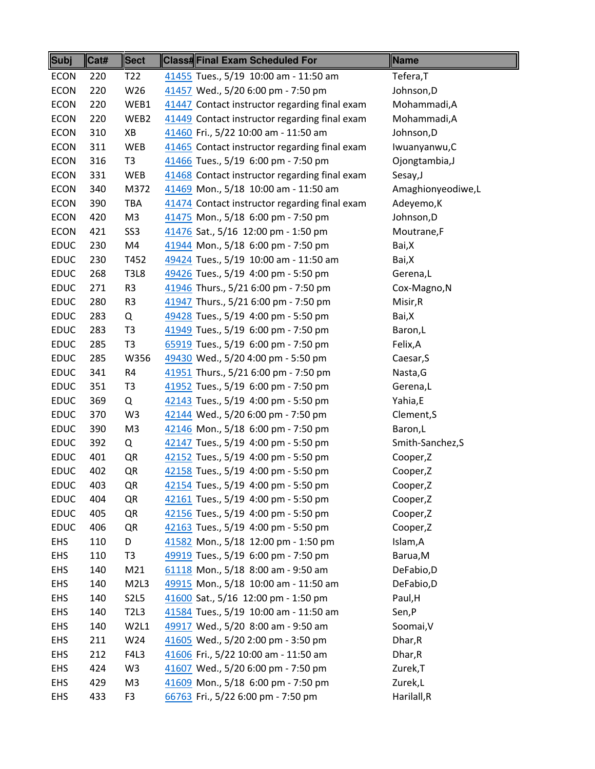| Subj        | Cat# | <b>Sect</b>                   | Class#Final Exam Scheduled For                | Name              |
|-------------|------|-------------------------------|-----------------------------------------------|-------------------|
| <b>ECON</b> | 220  | T <sub>22</sub>               | 41455 Tues., 5/19 10:00 am - 11:50 am         | Tefera, T         |
| <b>ECON</b> | 220  | W26                           | 41457 Wed., 5/20 6:00 pm - 7:50 pm            | Johnson, D        |
| <b>ECON</b> | 220  | WEB1                          | 41447 Contact instructor regarding final exam | Mohammadi, A      |
| <b>ECON</b> | 220  | WEB2                          | 41449 Contact instructor regarding final exam | Mohammadi, A      |
| <b>ECON</b> | 310  | XB                            | 41460 Fri., 5/22 10:00 am - 11:50 am          | Johnson, D        |
| <b>ECON</b> | 311  | <b>WEB</b>                    | 41465 Contact instructor regarding final exam | Iwuanyanwu, C     |
| <b>ECON</b> | 316  | T <sub>3</sub>                | 41466 Tues., 5/19 6:00 pm - 7:50 pm           | Ojongtambia, J    |
| <b>ECON</b> | 331  | WEB                           | 41468 Contact instructor regarding final exam | Sesay, J          |
| <b>ECON</b> | 340  | M372                          | 41469 Mon., 5/18 10:00 am - 11:50 am          | Amaghionyeodiwe,L |
| <b>ECON</b> | 390  | TBA                           | 41474 Contact instructor regarding final exam | Adeyemo, K        |
| <b>ECON</b> | 420  | M <sub>3</sub>                | 41475 Mon., 5/18 6:00 pm - 7:50 pm            | Johnson, D        |
| <b>ECON</b> | 421  | SS <sub>3</sub>               | 41476 Sat., 5/16 12:00 pm - 1:50 pm           | Moutrane,F        |
| <b>EDUC</b> | 230  | M4                            | 41944 Mon., 5/18 6:00 pm - 7:50 pm            | Bai,X             |
| <b>EDUC</b> | 230  | T452                          | 49424 Tues., 5/19 10:00 am - 11:50 am         | Bai,X             |
| <b>EDUC</b> | 268  | <b>T3L8</b>                   | 49426 Tues., 5/19 4:00 pm - 5:50 pm           | Gerena,L          |
| <b>EDUC</b> | 271  | R <sub>3</sub>                | 41946 Thurs., 5/21 6:00 pm - 7:50 pm          | Cox-Magno, N      |
| <b>EDUC</b> | 280  | R <sub>3</sub>                | 41947 Thurs., 5/21 6:00 pm - 7:50 pm          | Misir, R          |
| <b>EDUC</b> | 283  | Q                             | 49428 Tues., 5/19 4:00 pm - 5:50 pm           | Bai,X             |
| <b>EDUC</b> | 283  | T <sub>3</sub>                | 41949 Tues., 5/19 6:00 pm - 7:50 pm           | Baron, L          |
| <b>EDUC</b> | 285  | T <sub>3</sub>                | 65919 Tues., 5/19 6:00 pm - 7:50 pm           | Felix, A          |
| <b>EDUC</b> | 285  | W356                          | 49430 Wed., 5/20 4:00 pm - 5:50 pm            | Caesar, S         |
| <b>EDUC</b> | 341  | R4                            | 41951 Thurs., 5/21 6:00 pm - 7:50 pm          | Nasta, G          |
| <b>EDUC</b> | 351  | T <sub>3</sub>                | 41952 Tues., 5/19 6:00 pm - 7:50 pm           | Gerena,L          |
| <b>EDUC</b> | 369  | Q                             | 42143 Tues., 5/19 4:00 pm - 5:50 pm           | Yahia,E           |
| <b>EDUC</b> | 370  | W <sub>3</sub>                | 42144 Wed., 5/20 6:00 pm - 7:50 pm            | Clement, S        |
| <b>EDUC</b> | 390  | M <sub>3</sub>                | 42146 Mon., 5/18 6:00 pm - 7:50 pm            | Baron,L           |
| <b>EDUC</b> | 392  | Q                             | 42147 Tues., 5/19 4:00 pm - 5:50 pm           | Smith-Sanchez,S   |
| <b>EDUC</b> | 401  | QR                            | 42152 Tues., 5/19 4:00 pm - 5:50 pm           | Cooper,Z          |
| <b>EDUC</b> | 402  | QR                            | 42158 Tues., 5/19 4:00 pm - 5:50 pm           | Cooper,Z          |
| <b>EDUC</b> | 403  | QR                            | 42154 Tues., 5/19 4:00 pm - 5:50 pm           | Cooper,Z          |
| <b>EDUC</b> | 404  | QR                            | 42161 Tues., 5/19 4:00 pm - 5:50 pm           | Cooper,Z          |
| <b>EDUC</b> | 405  | QR                            | 42156 Tues., 5/19 4:00 pm - 5:50 pm           | Cooper,Z          |
| <b>EDUC</b> | 406  | QR                            | 42163 Tues., 5/19 4:00 pm - 5:50 pm           | Cooper,Z          |
| <b>EHS</b>  | 110  | D                             | 41582 Mon., 5/18 12:00 pm - 1:50 pm           | Islam, A          |
| <b>EHS</b>  | 110  | T <sub>3</sub>                | 49919 Tues., 5/19 6:00 pm - 7:50 pm           | Barua, M          |
| <b>EHS</b>  | 140  | M21                           | 61118 Mon., 5/18 8:00 am - 9:50 am            | DeFabio,D         |
| EHS         | 140  | M <sub>2L</sub> 3             | 49915 Mon., 5/18 10:00 am - 11:50 am          | DeFabio,D         |
| <b>EHS</b>  | 140  | S <sub>2</sub> L <sub>5</sub> | 41600 Sat., 5/16 12:00 pm - 1:50 pm           | Paul, H           |
| <b>EHS</b>  | 140  | <b>T2L3</b>                   | 41584 Tues., 5/19 10:00 am - 11:50 am         | Sen,P             |
| <b>EHS</b>  | 140  | W2L1                          | 49917 Wed., 5/20 8:00 am - 9:50 am            | Soomai, V         |
| EHS         | 211  | W24                           | 41605 Wed., 5/20 2:00 pm - 3:50 pm            | Dhar, R           |
| <b>EHS</b>  | 212  | F4L3                          | 41606 Fri., 5/22 10:00 am - 11:50 am          | Dhar, R           |
| <b>EHS</b>  | 424  | W3                            | 41607 Wed., 5/20 6:00 pm - 7:50 pm            | Zurek, T          |
| <b>EHS</b>  | 429  | M3                            | 41609 Mon., 5/18 6:00 pm - 7:50 pm            | Zurek,L           |
| <b>EHS</b>  | 433  | F <sub>3</sub>                | 66763 Fri., 5/22 6:00 pm - 7:50 pm            | Harilall,R        |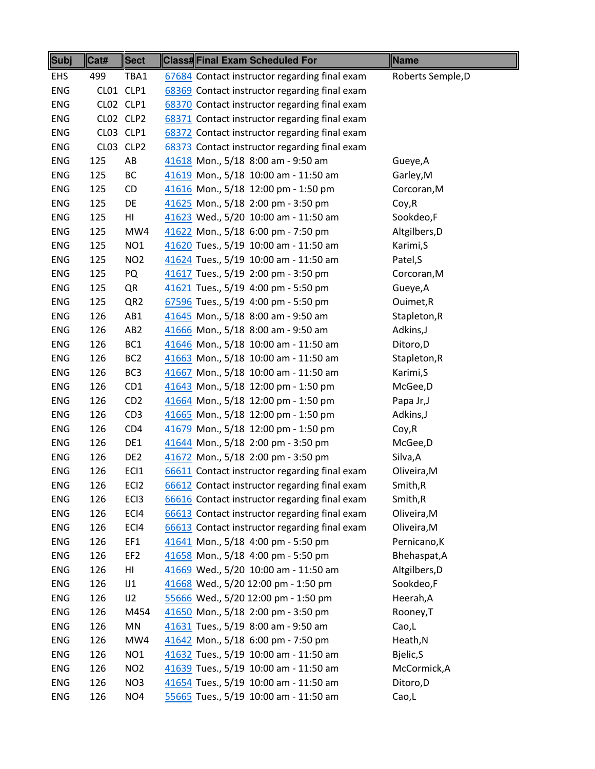| Subj       | Cat# | Sect             | <b>Class#Final Exam Scheduled For</b>         | Name              |
|------------|------|------------------|-----------------------------------------------|-------------------|
| EHS        | 499  | TBA1             | 67684 Contact instructor regarding final exam | Roberts Semple, D |
| <b>ENG</b> |      | CL01 CLP1        | 68369 Contact instructor regarding final exam |                   |
| <b>ENG</b> |      | CLO2 CLP1        | 68370 Contact instructor regarding final exam |                   |
| <b>ENG</b> |      | CLO2 CLP2        | 68371 Contact instructor regarding final exam |                   |
| ENG        |      | CL03 CLP1        | 68372 Contact instructor regarding final exam |                   |
| <b>ENG</b> |      | CL03 CLP2        | 68373 Contact instructor regarding final exam |                   |
| <b>ENG</b> | 125  | AB               | 41618 Mon., 5/18 8:00 am - 9:50 am            | Gueye, A          |
| <b>ENG</b> | 125  | ВC               | 41619 Mon., 5/18 10:00 am - 11:50 am          | Garley, M         |
| ENG        | 125  | CD               | 41616 Mon., 5/18 12:00 pm - 1:50 pm           | Corcoran, M       |
| <b>ENG</b> | 125  | DE               | 41625 Mon., 5/18 2:00 pm - 3:50 pm            | Coy, R            |
| <b>ENG</b> | 125  | HI               | 41623 Wed., 5/20 10:00 am - 11:50 am          | Sookdeo,F         |
| <b>ENG</b> | 125  | MW4              | 41622 Mon., 5/18 6:00 pm - 7:50 pm            | Altgilbers, D     |
| ENG        | 125  | NO <sub>1</sub>  | 41620 Tues., 5/19 10:00 am - 11:50 am         | Karimi, S         |
| <b>ENG</b> | 125  | NO <sub>2</sub>  | 41624 Tues., 5/19 10:00 am - 11:50 am         | Patel, S          |
| <b>ENG</b> | 125  | PQ               | 41617 Tues., 5/19 2:00 pm - 3:50 pm           | Corcoran, M       |
| <b>ENG</b> | 125  | QR               | 41621 Tues., 5/19 4:00 pm - 5:50 pm           | Gueye, A          |
| <b>ENG</b> | 125  | QR <sub>2</sub>  | 67596 Tues., 5/19 4:00 pm - 5:50 pm           | Ouimet, R         |
| <b>ENG</b> | 126  | AB1              | 41645 Mon., 5/18 8:00 am - 9:50 am            | Stapleton, R      |
| ENG        | 126  | AB <sub>2</sub>  | 41666 Mon., 5/18 8:00 am - 9:50 am            | Adkins, J         |
| <b>ENG</b> | 126  | BC1              | 41646 Mon., 5/18 10:00 am - 11:50 am          | Ditoro, D         |
| <b>ENG</b> | 126  | BC <sub>2</sub>  | 41663 Mon., 5/18 10:00 am - 11:50 am          | Stapleton, R      |
| <b>ENG</b> | 126  | BC <sub>3</sub>  | 41667 Mon., 5/18 10:00 am - 11:50 am          | Karimi, S         |
| ENG        | 126  | CD <sub>1</sub>  | 41643 Mon., 5/18 12:00 pm - 1:50 pm           | McGee, D          |
| <b>ENG</b> | 126  | CD <sub>2</sub>  | 41664 Mon., 5/18 12:00 pm - 1:50 pm           | Papa Jr, J        |
| <b>ENG</b> | 126  | CD <sub>3</sub>  | 41665 Mon., 5/18 12:00 pm - 1:50 pm           | Adkins, J         |
| <b>ENG</b> | 126  | CD4              | 41679 Mon., 5/18 12:00 pm - 1:50 pm           | Coy, R            |
| <b>ENG</b> | 126  | DE1              | 41644 Mon., 5/18 2:00 pm - 3:50 pm            | McGee, D          |
| <b>ENG</b> | 126  | DE <sub>2</sub>  | 41672 Mon., 5/18 2:00 pm - 3:50 pm            | Silva, A          |
| <b>ENG</b> | 126  | EC <sub>1</sub>  | 66611 Contact instructor regarding final exam | Oliveira, M       |
| ENG        | 126  | EC <sub>12</sub> | 66612 Contact instructor regarding final exam | Smith, R          |
| ENG        | 126  | EC <sub>13</sub> | 66616 Contact instructor regarding final exam | Smith, R          |
| <b>ENG</b> | 126  | ECI4             | 66613 Contact instructor regarding final exam | Oliveira, M       |
| <b>ENG</b> | 126  | ECI4             | 66613 Contact instructor regarding final exam | Oliveira, M       |
| <b>ENG</b> | 126  | EF1              | 41641 Mon., 5/18 4:00 pm - 5:50 pm            | Pernicano, K      |
| <b>ENG</b> | 126  | EF <sub>2</sub>  | 41658 Mon., 5/18 4:00 pm - 5:50 pm            | Bhehaspat, A      |
| <b>ENG</b> | 126  | HI               | 41669 Wed., 5/20 10:00 am - 11:50 am          | Altgilbers, D     |
| <b>ENG</b> | 126  | JJ               | 41668 Wed., 5/20 12:00 pm - 1:50 pm           | Sookdeo,F         |
| <b>ENG</b> | 126  | JJ2              | 55666 Wed., 5/20 12:00 pm - 1:50 pm           | Heerah, A         |
| <b>ENG</b> | 126  | M454             | 41650 Mon., 5/18 2:00 pm - 3:50 pm            | Rooney, T         |
| <b>ENG</b> | 126  | MN               | 41631 Tues., 5/19 8:00 am - 9:50 am           | Cao,L             |
| <b>ENG</b> | 126  | MW4              | 41642 Mon., 5/18 6:00 pm - 7:50 pm            | Heath, N          |
| <b>ENG</b> | 126  | NO <sub>1</sub>  | 41632 Tues., 5/19 10:00 am - 11:50 am         | Bjelic, S         |
| <b>ENG</b> | 126  | NO <sub>2</sub>  | 41639 Tues., 5/19 10:00 am - 11:50 am         | McCormick, A      |
| <b>ENG</b> | 126  | NO <sub>3</sub>  | 41654 Tues., 5/19 10:00 am - 11:50 am         | Ditoro, D         |
| <b>ENG</b> | 126  | NO <sub>4</sub>  | 55665 Tues., 5/19 10:00 am - 11:50 am         | Cao,L             |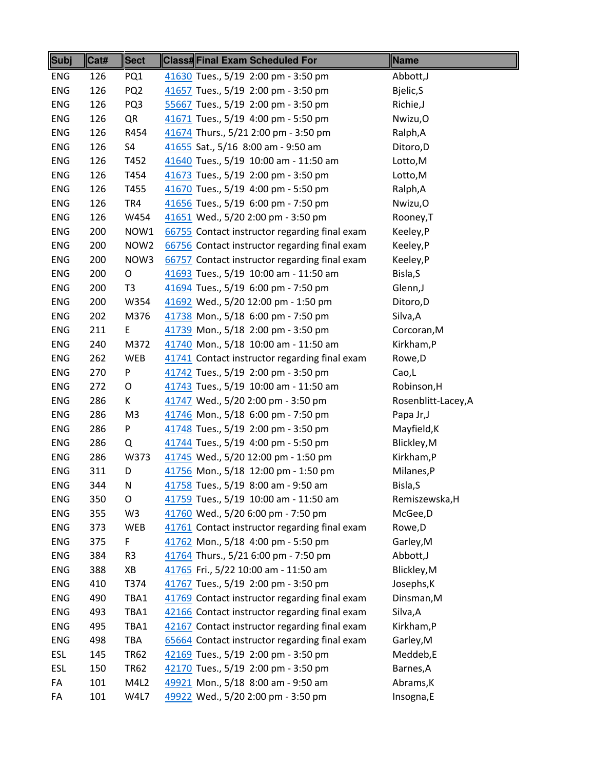| <b>Subj</b> | Cat# | <b>Sect</b>      | <b>Class#Final Exam Scheduled For</b>         | Name                |
|-------------|------|------------------|-----------------------------------------------|---------------------|
| <b>ENG</b>  | 126  | PQ1              | 41630 Tues., 5/19 2:00 pm - 3:50 pm           | Abbott, J           |
| <b>ENG</b>  | 126  | PQ <sub>2</sub>  | 41657 Tues., 5/19 2:00 pm - 3:50 pm           | Bjelic, S           |
| <b>ENG</b>  | 126  | PQ3              | 55667 Tues., 5/19 2:00 pm - 3:50 pm           | Richie, J           |
| ENG         | 126  | QR               | 41671 Tues., 5/19 4:00 pm - 5:50 pm           | Nwizu, O            |
| ENG         | 126  | R454             | 41674 Thurs., 5/21 2:00 pm - 3:50 pm          | Ralph, A            |
| <b>ENG</b>  | 126  | S4               | 41655 Sat., 5/16 8:00 am - 9:50 am            | Ditoro, D           |
| <b>ENG</b>  | 126  | T452             | 41640 Tues., 5/19 10:00 am - 11:50 am         | Lotto,M             |
| <b>ENG</b>  | 126  | T454             | 41673 Tues., 5/19 2:00 pm - 3:50 pm           | Lotto,M             |
| ENG         | 126  | T455             | 41670 Tues., 5/19 4:00 pm - 5:50 pm           | Ralph, A            |
| <b>ENG</b>  | 126  | TR4              | 41656 Tues., 5/19 6:00 pm - 7:50 pm           | Nwizu,O             |
| <b>ENG</b>  | 126  | W454             | 41651 Wed., 5/20 2:00 pm - 3:50 pm            | Rooney, T           |
| ENG         | 200  | NOW1             | 66755 Contact instructor regarding final exam | Keeley,P            |
| <b>ENG</b>  | 200  | NOW <sub>2</sub> | 66756 Contact instructor regarding final exam | Keeley,P            |
| <b>ENG</b>  | 200  | NOW3             | 66757 Contact instructor regarding final exam | Keeley,P            |
| <b>ENG</b>  | 200  | O                | 41693 Tues., 5/19 10:00 am - 11:50 am         | Bisla, S            |
| <b>ENG</b>  | 200  | T <sub>3</sub>   | 41694 Tues., 5/19 6:00 pm - 7:50 pm           | Glenn, J            |
| ENG         | 200  | W354             | 41692 Wed., 5/20 12:00 pm - 1:50 pm           | Ditoro, D           |
| ENG         | 202  | M376             | 41738 Mon., 5/18 6:00 pm - 7:50 pm            | Silva, A            |
| ENG         | 211  | E                | 41739 Mon., 5/18 2:00 pm - 3:50 pm            | Corcoran, M         |
| <b>ENG</b>  | 240  | M372             | 41740 Mon., 5/18 10:00 am - 11:50 am          | Kirkham, P          |
| <b>ENG</b>  | 262  | <b>WEB</b>       | 41741 Contact instructor regarding final exam | Rowe, D             |
| <b>ENG</b>  | 270  | P                | 41742 Tues., 5/19 2:00 pm - 3:50 pm           | Cao,L               |
| ENG         | 272  | O                | 41743 Tues., 5/19 10:00 am - 11:50 am         | Robinson, H         |
| ENG         | 286  | K                | 41747 Wed., 5/20 2:00 pm - 3:50 pm            | Rosenblitt-Lacey, A |
| <b>ENG</b>  | 286  | M <sub>3</sub>   | 41746 Mon., 5/18 6:00 pm - 7:50 pm            | Papa Jr, J          |
| <b>ENG</b>  | 286  | P                | 41748 Tues., 5/19 2:00 pm - 3:50 pm           | Mayfield, K         |
| ENG         | 286  | Q                | 41744 Tues., 5/19 4:00 pm - 5:50 pm           | Blickley, M         |
| ENG         | 286  | W373             | 41745 Wed., 5/20 12:00 pm - 1:50 pm           | Kirkham,P           |
| <b>ENG</b>  | 311  | D                | 41756 Mon., 5/18 12:00 pm - 1:50 pm           | Milanes,P           |
| <b>ENG</b>  | 344  | N                | 41758 Tues., 5/19 8:00 am - 9:50 am           | Bisla, S            |
| ENG         | 350  | O                | 41759 Tues., 5/19 10:00 am - 11:50 am         | Remiszewska, H      |
| <b>ENG</b>  | 355  | W3               | 41760 Wed., 5/20 6:00 pm - 7:50 pm            | McGee, D            |
| <b>ENG</b>  | 373  | <b>WEB</b>       | 41761 Contact instructor regarding final exam | Rowe, D             |
| ENG         | 375  | F                | 41762 Mon., 5/18 4:00 pm - 5:50 pm            | Garley, M           |
| <b>ENG</b>  | 384  | R <sub>3</sub>   | 41764 Thurs., 5/21 6:00 pm - 7:50 pm          | Abbott, J           |
| <b>ENG</b>  | 388  | XB               | 41765 Fri., 5/22 10:00 am - 11:50 am          | Blickley, M         |
| ENG         | 410  | T374             | 41767 Tues., 5/19 2:00 pm - 3:50 pm           | Josephs, K          |
| <b>ENG</b>  | 490  | TBA1             | 41769 Contact instructor regarding final exam | Dinsman, M          |
| <b>ENG</b>  | 493  | TBA1             | 42166 Contact instructor regarding final exam | Silva, A            |
| <b>ENG</b>  | 495  | TBA1             | 42167 Contact instructor regarding final exam | Kirkham, P          |
| ENG         | 498  | TBA              | 65664 Contact instructor regarding final exam | Garley, M           |
| <b>ESL</b>  | 145  | <b>TR62</b>      | 42169 Tues., 5/19 2:00 pm - 3:50 pm           | Meddeb,E            |
| <b>ESL</b>  | 150  | <b>TR62</b>      | 42170 Tues., 5/19 2:00 pm - 3:50 pm           | Barnes, A           |
| FA          | 101  | M4L2             | 49921 Mon., 5/18 8:00 am - 9:50 am            | Abrams, K           |
| FA          | 101  | W4L7             | 49922 Wed., 5/20 2:00 pm - 3:50 pm            | Insogna,E           |
|             |      |                  |                                               |                     |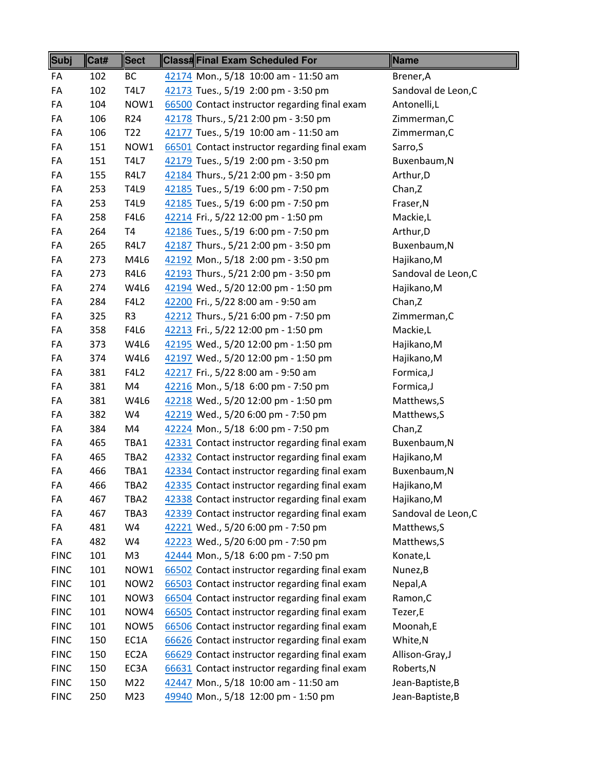| <b>Subj</b> | Cat# | <b>Sect</b>       | <b>Class#Final Exam Scheduled For</b>                                                 | Name                |
|-------------|------|-------------------|---------------------------------------------------------------------------------------|---------------------|
| FA          | 102  | <b>BC</b>         | 42174 Mon., 5/18 10:00 am - 11:50 am                                                  | Brener, A           |
| FA          | 102  | <b>T4L7</b>       | 42173 Tues., 5/19 2:00 pm - 3:50 pm                                                   | Sandoval de Leon, C |
| FA          | 104  | NOW1              | 66500 Contact instructor regarding final exam                                         | Antonelli,L         |
| FA          | 106  | R <sub>24</sub>   | 42178 Thurs., 5/21 2:00 pm - 3:50 pm                                                  | Zimmerman, C        |
| FA          | 106  | T <sub>22</sub>   | 42177 Tues., 5/19 10:00 am - 11:50 am                                                 | Zimmerman, C        |
| FA          | 151  | NOW1              | 66501 Contact instructor regarding final exam                                         | Sarro, S            |
| FA          | 151  | <b>T4L7</b>       | 42179 Tues., 5/19 2:00 pm - 3:50 pm                                                   | Buxenbaum, N        |
| FA          | 155  | <b>R4L7</b>       | 42184 Thurs., 5/21 2:00 pm - 3:50 pm                                                  | Arthur, D           |
| FA          | 253  | <b>T4L9</b>       | 42185 Tues., 5/19 6:00 pm - 7:50 pm                                                   | Chan, Z             |
| FA          | 253  | T4L9              | 42185 Tues., 5/19 6:00 pm - 7:50 pm                                                   | Fraser, N           |
| FA          | 258  | <b>F4L6</b>       | 42214 Fri., 5/22 12:00 pm - 1:50 pm                                                   | Mackie,L            |
| FA          | 264  | <b>T4</b>         | 42186 Tues., 5/19 6:00 pm - 7:50 pm                                                   | Arthur, D           |
| FA          | 265  | R4L7              | 42187 Thurs., 5/21 2:00 pm - 3:50 pm                                                  | Buxenbaum, N        |
| FA          | 273  | M4L6              | 42192 Mon., 5/18 2:00 pm - 3:50 pm                                                    | Hajikano, M         |
| FA          | 273  | R4L6              | 42193 Thurs., 5/21 2:00 pm - 3:50 pm                                                  | Sandoval de Leon, C |
| FA          | 274  | W4L6              | 42194 Wed., 5/20 12:00 pm - 1:50 pm                                                   | Hajikano, M         |
| FA          | 284  | <b>F4L2</b>       | 42200 Fri., 5/22 8:00 am - 9:50 am                                                    | Chan, Z             |
| FA          | 325  | R <sub>3</sub>    | 42212 Thurs., 5/21 6:00 pm - 7:50 pm                                                  | Zimmerman, C        |
| FA          | 358  | F4L6              | 42213 Fri., 5/22 12:00 pm - 1:50 pm                                                   | Mackie,L            |
| FA          | 373  | W4L6              | 42195 Wed., 5/20 12:00 pm - 1:50 pm                                                   | Hajikano, M         |
| FA          | 374  | W4L6              | 42197 Wed., 5/20 12:00 pm - 1:50 pm                                                   | Hajikano, M         |
| FA          | 381  | <b>F4L2</b>       | 42217 Fri., 5/22 8:00 am - 9:50 am                                                    | Formica,J           |
| FA          | 381  | M4                | 42216 Mon., 5/18 6:00 pm - 7:50 pm                                                    | Formica,J           |
| FA          | 381  | W4L6              | 42218 Wed., 5/20 12:00 pm - 1:50 pm                                                   | Matthews, S         |
| FA          | 382  | W4                | 42219 Wed., 5/20 6:00 pm - 7:50 pm                                                    | Matthews, S         |
| FA          | 384  | M4                | 42224 Mon., 5/18 6:00 pm - 7:50 pm                                                    | Chan, Z             |
| FA          | 465  | TBA1              | 42331 Contact instructor regarding final exam                                         | Buxenbaum, N        |
| FA          | 465  | TBA2              | 42332 Contact instructor regarding final exam                                         | Hajikano, M         |
| FA          | 466  | TBA1              | 42334 Contact instructor regarding final exam                                         | Buxenbaum, N        |
| FA          | 466  | TBA2              | 42335 Contact instructor regarding final exam                                         | Hajikano, M         |
| FA          | 467  | TBA2              | 42338 Contact instructor regarding final exam                                         | Hajikano, M         |
| FA          | 467  | TBA3              | 42339 Contact instructor regarding final exam                                         | Sandoval de Leon, C |
| FA          | 481  | W4                | 42221 Wed., 5/20 6:00 pm - 7:50 pm                                                    | Matthews, S         |
| FA          | 482  | W4                | 42223 Wed., 5/20 6:00 pm - 7:50 pm                                                    | Matthews, S         |
| <b>FINC</b> | 101  | M <sub>3</sub>    | 42444 Mon., 5/18 6:00 pm - 7:50 pm                                                    | Konate,L            |
| <b>FINC</b> | 101  | NOW1              | 66502 Contact instructor regarding final exam                                         | Nunez, B            |
| <b>FINC</b> | 101  | NOW <sub>2</sub>  | 66503 Contact instructor regarding final exam                                         | Nepal, A            |
| <b>FINC</b> | 101  | NOW3              | 66504 Contact instructor regarding final exam                                         | Ramon, C            |
| <b>FINC</b> | 101  | NOW4              | 66505 Contact instructor regarding final exam                                         | Tezer,E             |
| <b>FINC</b> | 101  | NOW5              | 66506 Contact instructor regarding final exam                                         | Moonah,E            |
| <b>FINC</b> | 150  | EC1A              | 66626 Contact instructor regarding final exam                                         | White, N            |
| <b>FINC</b> | 150  | EC <sub>2</sub> A | 66629 Contact instructor regarding final exam                                         | Allison-Gray, J     |
| <b>FINC</b> |      |                   |                                                                                       |                     |
|             | 150  | EC3A              |                                                                                       | Roberts, N          |
| <b>FINC</b> | 150  | M22               | 66631 Contact instructor regarding final exam<br>42447 Mon., 5/18 10:00 am - 11:50 am | Jean-Baptiste, B    |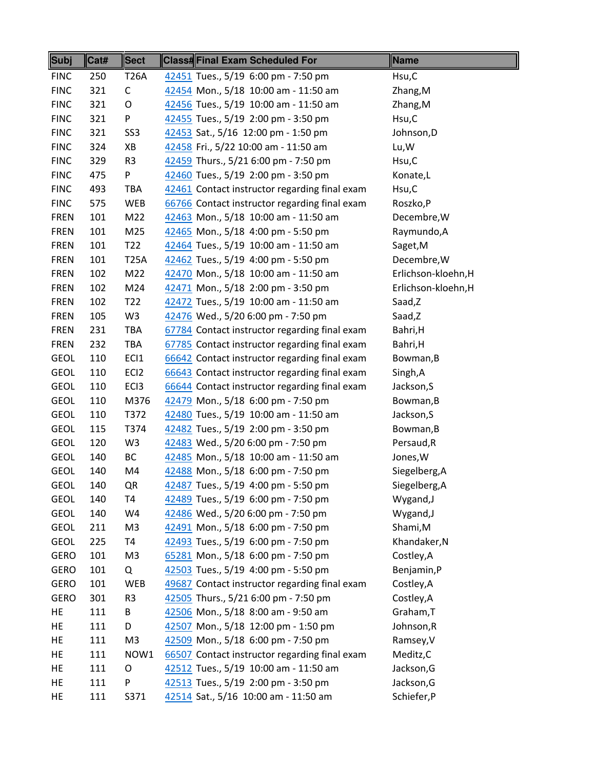| Subj        | Cat# | <b>Sect</b>      | Class#Final Exam Scheduled For                | Name                |
|-------------|------|------------------|-----------------------------------------------|---------------------|
| <b>FINC</b> | 250  | <b>T26A</b>      | 42451 Tues., 5/19 6:00 pm - 7:50 pm           | Hsu,C               |
| <b>FINC</b> | 321  | $\mathsf C$      | 42454 Mon., 5/18 10:00 am - 11:50 am          | Zhang, M            |
| <b>FINC</b> | 321  | O                | 42456 Tues., 5/19 10:00 am - 11:50 am         | Zhang, M            |
| <b>FINC</b> | 321  | P                | 42455 Tues., 5/19 2:00 pm - 3:50 pm           | Hsu,C               |
| <b>FINC</b> | 321  | SS <sub>3</sub>  | 42453 Sat., 5/16 12:00 pm - 1:50 pm           | Johnson, D          |
| <b>FINC</b> | 324  | XB               | 42458 Fri., 5/22 10:00 am - 11:50 am          | Lu, W               |
| <b>FINC</b> | 329  | R <sub>3</sub>   | 42459 Thurs., 5/21 6:00 pm - 7:50 pm          | Hsu,C               |
| <b>FINC</b> | 475  | P                | 42460 Tues., 5/19 2:00 pm - 3:50 pm           | Konate,L            |
| <b>FINC</b> | 493  | TBA              | 42461 Contact instructor regarding final exam | Hsu,C               |
| <b>FINC</b> | 575  | WEB              | 66766 Contact instructor regarding final exam | Roszko, P           |
| <b>FREN</b> | 101  | M22              | 42463 Mon., 5/18 10:00 am - 11:50 am          | Decembre, W         |
| <b>FREN</b> | 101  | M25              | 42465 Mon., 5/18 4:00 pm - 5:50 pm            | Raymundo, A         |
| <b>FREN</b> | 101  | T <sub>22</sub>  | 42464 Tues., 5/19 10:00 am - 11:50 am         | Saget, M            |
| <b>FREN</b> | 101  | <b>T25A</b>      | 42462 Tues., 5/19 4:00 pm - 5:50 pm           | Decembre, W         |
| <b>FREN</b> | 102  | M22              | 42470 Mon., 5/18 10:00 am - 11:50 am          | Erlichson-kloehn, H |
| <b>FREN</b> | 102  | M24              | 42471 Mon., 5/18 2:00 pm - 3:50 pm            | Erlichson-kloehn, H |
| <b>FREN</b> | 102  | T <sub>22</sub>  | 42472 Tues., 5/19 10:00 am - 11:50 am         | Saad,Z              |
| <b>FREN</b> | 105  | W <sub>3</sub>   | 42476 Wed., 5/20 6:00 pm - 7:50 pm            | Saad,Z              |
| <b>FREN</b> | 231  | <b>TBA</b>       | 67784 Contact instructor regarding final exam | Bahri, H            |
| <b>FREN</b> | 232  | <b>TBA</b>       | 67785 Contact instructor regarding final exam | Bahri, H            |
| <b>GEOL</b> | 110  | EC <sub>1</sub>  | 66642 Contact instructor regarding final exam | Bowman, B           |
| <b>GEOL</b> | 110  | EC <sub>12</sub> | 66643 Contact instructor regarding final exam | Singh, A            |
| <b>GEOL</b> | 110  | EC <sub>13</sub> | 66644 Contact instructor regarding final exam | Jackson, S          |
| <b>GEOL</b> | 110  | M376             | 42479 Mon., 5/18 6:00 pm - 7:50 pm            | Bowman, B           |
| <b>GEOL</b> | 110  | T372             | 42480 Tues., 5/19 10:00 am - 11:50 am         | Jackson, S          |
| <b>GEOL</b> | 115  | T374             | 42482 Tues., 5/19 2:00 pm - 3:50 pm           | Bowman, B           |
| <b>GEOL</b> | 120  | W <sub>3</sub>   | 42483 Wed., 5/20 6:00 pm - 7:50 pm            | Persaud, R          |
| <b>GEOL</b> | 140  | ВC               | 42485 Mon., 5/18 10:00 am - 11:50 am          | Jones, W            |
| <b>GEOL</b> | 140  | M4               | 42488 Mon., 5/18 6:00 pm - 7:50 pm            | Siegelberg, A       |
| <b>GEOL</b> | 140  | QR               | 42487 Tues., 5/19 4:00 pm - 5:50 pm           | Siegelberg, A       |
| <b>GEOL</b> | 140  | T4               | 42489 Tues., 5/19 6:00 pm - 7:50 pm           | Wygand, J           |
| <b>GEOL</b> | 140  | W4               | 42486 Wed., 5/20 6:00 pm - 7:50 pm            | Wygand, J           |
| <b>GEOL</b> | 211  | M <sub>3</sub>   | 42491 Mon., 5/18 6:00 pm - 7:50 pm            | Shami,M             |
| <b>GEOL</b> | 225  | T4               | 42493 Tues., 5/19 6:00 pm - 7:50 pm           | Khandaker, N        |
| <b>GERO</b> | 101  | M <sub>3</sub>   | 65281 Mon., 5/18 6:00 pm - 7:50 pm            | Costley, A          |
| <b>GERO</b> | 101  | Q                | 42503 Tues., 5/19 4:00 pm - 5:50 pm           | Benjamin,P          |
| <b>GERO</b> | 101  | WEB              | 49687 Contact instructor regarding final exam | Costley, A          |
| <b>GERO</b> | 301  | R <sub>3</sub>   | 42505 Thurs., 5/21 6:00 pm - 7:50 pm          | Costley, A          |
| HE          | 111  | B                | 42506 Mon., 5/18 8:00 am - 9:50 am            | Graham, T           |
| HE          | 111  | D                | 42507 Mon., 5/18 12:00 pm - 1:50 pm           | Johnson, R          |
| HE          | 111  | M <sub>3</sub>   | 42509 Mon., 5/18 6:00 pm - 7:50 pm            | Ramsey, V           |
| HE          | 111  | NOW1             | 66507 Contact instructor regarding final exam | Meditz,C            |
| HE          | 111  | O                | 42512 Tues., 5/19 10:00 am - 11:50 am         | Jackson, G          |
| HE          | 111  | P                | 42513 Tues., 5/19 2:00 pm - 3:50 pm           | Jackson, G          |
| HE          | 111  | S371             | 42514 Sat., 5/16 10:00 am - 11:50 am          | Schiefer, P         |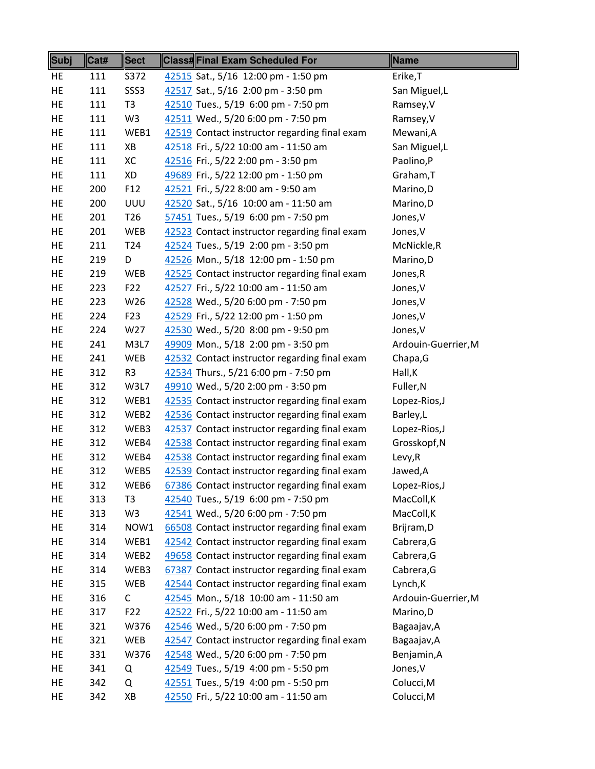| <b>Subj</b> | Cat# | <b>Sect</b>     | <b>Class#Final Exam Scheduled For</b>         | Name                |
|-------------|------|-----------------|-----------------------------------------------|---------------------|
| HE          | 111  | S372            | 42515 Sat., 5/16 12:00 pm - 1:50 pm           | Erike, T            |
| HE          | 111  | SSS3            | 42517 Sat., 5/16 2:00 pm - 3:50 pm            | San Miguel, L       |
| HE          | 111  | T <sub>3</sub>  | 42510 Tues., 5/19 6:00 pm - 7:50 pm           | Ramsey, V           |
| HE          | 111  | W <sub>3</sub>  | 42511 Wed., 5/20 6:00 pm - 7:50 pm            | Ramsey, V           |
| HE          | 111  | WEB1            | 42519 Contact instructor regarding final exam | Mewani, A           |
| HE          | 111  | XB              | 42518 Fri., 5/22 10:00 am - 11:50 am          | San Miguel, L       |
| HE          | 111  | XC              | 42516 Fri., 5/22 2:00 pm - 3:50 pm            | Paolino,P           |
| HE          | 111  | XD              | 49689 Fri., 5/22 12:00 pm - 1:50 pm           | Graham, T           |
| HE          | 200  | F <sub>12</sub> | 42521 Fri., 5/22 8:00 am - 9:50 am            | Marino,D            |
| HE          | 200  | UUU             | 42520 Sat., 5/16 10:00 am - 11:50 am          | Marino,D            |
| HE          | 201  | T <sub>26</sub> | 57451 Tues., 5/19 6:00 pm - 7:50 pm           | Jones, V            |
| HE          | 201  | <b>WEB</b>      | 42523 Contact instructor regarding final exam | Jones, V            |
| HE          | 211  | T <sub>24</sub> | 42524 Tues., 5/19 2:00 pm - 3:50 pm           | McNickle, R         |
| HE          | 219  | D               | 42526 Mon., 5/18 12:00 pm - 1:50 pm           | Marino, D           |
| HE          | 219  | <b>WEB</b>      | 42525 Contact instructor regarding final exam | Jones, R            |
| HE          | 223  | F <sub>22</sub> | 42527 Fri., 5/22 10:00 am - 11:50 am          | Jones, V            |
| HE          | 223  | W26             | 42528 Wed., 5/20 6:00 pm - 7:50 pm            | Jones, V            |
| HE          | 224  | F <sub>23</sub> | 42529 Fri., 5/22 12:00 pm - 1:50 pm           | Jones, V            |
| HE          | 224  | W27             | 42530 Wed., 5/20 8:00 pm - 9:50 pm            | Jones, V            |
| HE          | 241  | M3L7            | 49909 Mon., 5/18 2:00 pm - 3:50 pm            | Ardouin-Guerrier, M |
| HE          | 241  | <b>WEB</b>      | 42532 Contact instructor regarding final exam | Chapa, G            |
| HE          | 312  | R <sub>3</sub>  | 42534 Thurs., 5/21 6:00 pm - 7:50 pm          | Hall, K             |
| HE          | 312  | W3L7            | 49910 Wed., 5/20 2:00 pm - 3:50 pm            | Fuller, N           |
| HE          | 312  | WEB1            | 42535 Contact instructor regarding final exam | Lopez-Rios, J       |
| HE          | 312  | WEB2            | 42536 Contact instructor regarding final exam | Barley,L            |
| HE          | 312  | WEB3            | 42537 Contact instructor regarding final exam | Lopez-Rios, J       |
| HE          | 312  | WEB4            | 42538 Contact instructor regarding final exam | Grosskopf, N        |
| HE          | 312  | WEB4            | 42538 Contact instructor regarding final exam | Levy, R             |
| HE          | 312  | WEB5            | 42539 Contact instructor regarding final exam | Jawed, A            |
| HE          | 312  | WEB6            | 67386 Contact instructor regarding final exam | Lopez-Rios, J       |
| HE          | 313  | T <sub>3</sub>  | 42540 Tues., 5/19 6:00 pm - 7:50 pm           | MacColl, K          |
| HE          | 313  | W <sub>3</sub>  | 42541 Wed., 5/20 6:00 pm - 7:50 pm            | MacColl, K          |
| HE          | 314  | NOW1            | 66508 Contact instructor regarding final exam | Brijram, D          |
| HE          | 314  | WEB1            | 42542 Contact instructor regarding final exam | Cabrera, G          |
| HE          | 314  | WEB2            | 49658 Contact instructor regarding final exam | Cabrera, G          |
| HE          | 314  | WEB3            | 67387 Contact instructor regarding final exam | Cabrera, G          |
| HE          | 315  | <b>WEB</b>      | 42544 Contact instructor regarding final exam | Lynch, K            |
| HE          | 316  | C               | 42545 Mon., 5/18 10:00 am - 11:50 am          | Ardouin-Guerrier, M |
| HE          | 317  | F <sub>22</sub> | 42522 Fri., 5/22 10:00 am - 11:50 am          | Marino, D           |
| HE          | 321  | W376            | 42546 Wed., 5/20 6:00 pm - 7:50 pm            | Bagaajav, A         |
| HE          | 321  | WEB             | 42547 Contact instructor regarding final exam | Bagaajav, A         |
| HE          | 331  | W376            | 42548 Wed., 5/20 6:00 pm - 7:50 pm            | Benjamin, A         |
| HE          | 341  | Q               | 42549 Tues., 5/19 4:00 pm - 5:50 pm           | Jones, V            |
| HE          | 342  | Q               | 42551 Tues., 5/19 4:00 pm - 5:50 pm           | Colucci, M          |
| HE          | 342  | XB              | 42550 Fri., 5/22 10:00 am - 11:50 am          | Colucci, M          |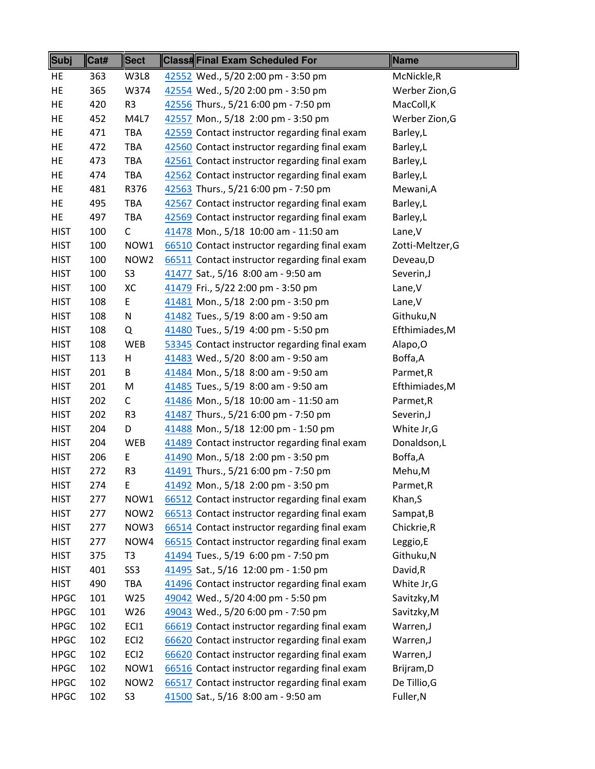| Subj        | Cat# | <b>Sect</b>      | <b>Class#Final Exam Scheduled For</b>         | <b>Name</b>      |
|-------------|------|------------------|-----------------------------------------------|------------------|
| HE          | 363  | W3L8             | 42552 Wed., 5/20 2:00 pm - 3:50 pm            | McNickle,R       |
| HE          | 365  | W374             | 42554 Wed., 5/20 2:00 pm - 3:50 pm            | Werber Zion, G   |
| HE          | 420  | R3               | 42556 Thurs., 5/21 6:00 pm - 7:50 pm          | MacColl, K       |
| HE          | 452  | M4L7             | 42557 Mon., 5/18 2:00 pm - 3:50 pm            | Werber Zion, G   |
| HE          | 471  | TBA              | 42559 Contact instructor regarding final exam | Barley,L         |
| HE          | 472  | TBA              | 42560 Contact instructor regarding final exam | Barley,L         |
| HE          | 473  | <b>TBA</b>       | 42561 Contact instructor regarding final exam | Barley,L         |
| HE          | 474  | <b>TBA</b>       | 42562 Contact instructor regarding final exam | Barley,L         |
| HE          | 481  | R376             | 42563 Thurs., 5/21 6:00 pm - 7:50 pm          | Mewani, A        |
| HE          | 495  | <b>TBA</b>       | 42567 Contact instructor regarding final exam | Barley,L         |
| HE          | 497  | TBA              | 42569 Contact instructor regarding final exam | Barley,L         |
| <b>HIST</b> | 100  | $\mathsf C$      | 41478 Mon., 5/18 10:00 am - 11:50 am          | Lane, V          |
| <b>HIST</b> | 100  | NOW1             | 66510 Contact instructor regarding final exam | Zotti-Meltzer, G |
| <b>HIST</b> | 100  | NOW <sub>2</sub> | 66511 Contact instructor regarding final exam | Deveau, D        |
| <b>HIST</b> | 100  | S <sub>3</sub>   | 41477 Sat., 5/16 8:00 am - 9:50 am            | Severin, J       |
| <b>HIST</b> | 100  | XC               | 41479 Fri., 5/22 2:00 pm - 3:50 pm            | Lane, V          |
| <b>HIST</b> | 108  | E                | 41481 Mon., 5/18 2:00 pm - 3:50 pm            | Lane, V          |
| <b>HIST</b> | 108  | N                | 41482 Tues., 5/19 8:00 am - 9:50 am           | Githuku, N       |
| <b>HIST</b> | 108  | Q                | 41480 Tues., 5/19 4:00 pm - 5:50 pm           | Efthimiades, M   |
| <b>HIST</b> | 108  | <b>WEB</b>       | 53345 Contact instructor regarding final exam | Alapo, O         |
| <b>HIST</b> | 113  | Н                | 41483 Wed., 5/20 8:00 am - 9:50 am            | Boffa,A          |
| <b>HIST</b> | 201  | В                | 41484 Mon., 5/18 8:00 am - 9:50 am            | Parmet, R        |
| <b>HIST</b> | 201  | M                | 41485 Tues., 5/19 8:00 am - 9:50 am           | Efthimiades, M   |
| <b>HIST</b> | 202  | C                | 41486 Mon., 5/18 10:00 am - 11:50 am          | Parmet, R        |
| <b>HIST</b> | 202  | R <sub>3</sub>   | 41487 Thurs., 5/21 6:00 pm - 7:50 pm          | Severin, J       |
| <b>HIST</b> | 204  | D                | 41488 Mon., 5/18 12:00 pm - 1:50 pm           | White Jr, G      |
| <b>HIST</b> | 204  | WEB              | 41489 Contact instructor regarding final exam | Donaldson,L      |
| <b>HIST</b> | 206  | E                | 41490 Mon., 5/18 2:00 pm - 3:50 pm            | Boffa,A          |
| <b>HIST</b> | 272  | R <sub>3</sub>   | 41491 Thurs., 5/21 6:00 pm - 7:50 pm          | Mehu, M          |
| <b>HIST</b> | 274  | E                | 41492 Mon., 5/18 2:00 pm - 3:50 pm            | Parmet, R        |
| <b>HIST</b> | 277  | NOW1             | 66512 Contact instructor regarding final exam | Khan, S          |
| <b>HIST</b> | 277  | NOW <sub>2</sub> | 66513 Contact instructor regarding final exam | Sampat, B        |
| <b>HIST</b> | 277  | NOW3             | 66514 Contact instructor regarding final exam | Chickrie, R      |
| <b>HIST</b> | 277  | NOW4             | 66515 Contact instructor regarding final exam | Leggio,E         |
| <b>HIST</b> | 375  | T <sub>3</sub>   | 41494 Tues., 5/19 6:00 pm - 7:50 pm           | Githuku, N       |
| <b>HIST</b> | 401  | SS <sub>3</sub>  | 41495 Sat., 5/16 12:00 pm - 1:50 pm           | David,R          |
| <b>HIST</b> | 490  | TBA              | 41496 Contact instructor regarding final exam | White Jr, G      |
| <b>HPGC</b> | 101  | W25              | 49042 Wed., 5/20 4:00 pm - 5:50 pm            | Savitzky, M      |
| <b>HPGC</b> | 101  | W26              | 49043 Wed., 5/20 6:00 pm - 7:50 pm            | Savitzky, M      |
| <b>HPGC</b> | 102  | EC <sub>1</sub>  | 66619 Contact instructor regarding final exam | Warren,J         |
| <b>HPGC</b> | 102  | EC <sub>12</sub> | 66620 Contact instructor regarding final exam | Warren, J        |
| <b>HPGC</b> | 102  | EC <sub>12</sub> | 66620 Contact instructor regarding final exam | Warren,J         |
| <b>HPGC</b> | 102  | NOW1             | 66516 Contact instructor regarding final exam | Brijram, D       |
| <b>HPGC</b> | 102  | NOW <sub>2</sub> | 66517 Contact instructor regarding final exam | De Tillio, G     |
| <b>HPGC</b> | 102  | S3               | 41500 Sat., 5/16 8:00 am - 9:50 am            | Fuller, N        |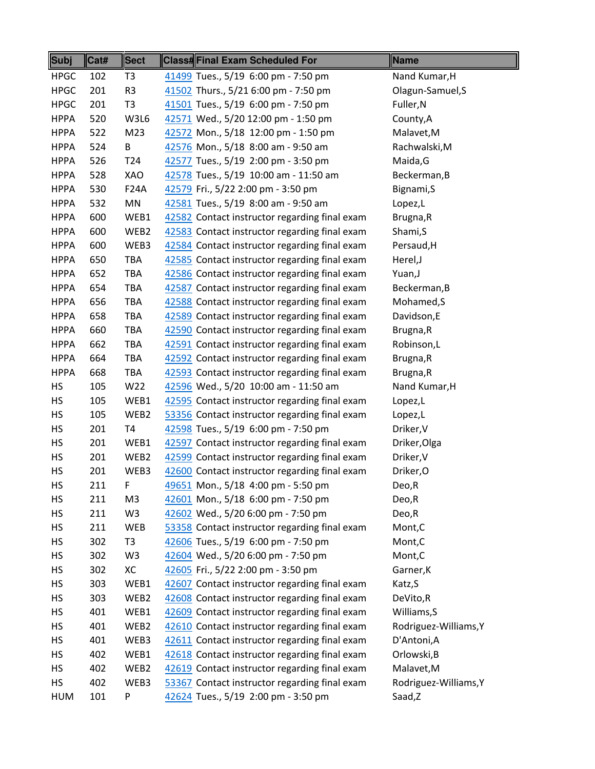| <b>Subj</b> | Cat# | <b>Sect</b>     | <b>Class#Final Exam Scheduled For</b>         | Name                  |
|-------------|------|-----------------|-----------------------------------------------|-----------------------|
| <b>HPGC</b> | 102  | T <sub>3</sub>  | 41499 Tues., 5/19 6:00 pm - 7:50 pm           | Nand Kumar, H         |
| <b>HPGC</b> | 201  | R <sub>3</sub>  | 41502 Thurs., 5/21 6:00 pm - 7:50 pm          | Olagun-Samuel, S      |
| <b>HPGC</b> | 201  | T <sub>3</sub>  | 41501 Tues., 5/19 6:00 pm - 7:50 pm           | Fuller, N             |
| <b>HPPA</b> | 520  | W3L6            | 42571 Wed., 5/20 12:00 pm - 1:50 pm           | County, A             |
| <b>HPPA</b> | 522  | M23             | 42572 Mon., 5/18 12:00 pm - 1:50 pm           | Malavet, M            |
| <b>HPPA</b> | 524  | B               | 42576 Mon., 5/18 8:00 am - 9:50 am            | Rachwalski, M         |
| <b>HPPA</b> | 526  | T <sub>24</sub> | 42577 Tues., 5/19 2:00 pm - 3:50 pm           | Maida, G              |
| <b>HPPA</b> | 528  | XAO             | 42578 Tues., 5/19 10:00 am - 11:50 am         | Beckerman, B          |
| <b>HPPA</b> | 530  | <b>F24A</b>     | 42579 Fri., 5/22 2:00 pm - 3:50 pm            | Bignami, S            |
| <b>HPPA</b> | 532  | MN              | 42581 Tues., 5/19 8:00 am - 9:50 am           | Lopez,L               |
| <b>HPPA</b> | 600  | WEB1            | 42582 Contact instructor regarding final exam | Brugna, R             |
| <b>HPPA</b> | 600  | WEB2            | 42583 Contact instructor regarding final exam | Shami, S              |
| <b>HPPA</b> | 600  | WEB3            | 42584 Contact instructor regarding final exam | Persaud, H            |
| <b>HPPA</b> | 650  | <b>TBA</b>      | 42585 Contact instructor regarding final exam | Herel, J              |
| <b>HPPA</b> | 652  | <b>TBA</b>      | 42586 Contact instructor regarding final exam | Yuan, J               |
| <b>HPPA</b> | 654  | TBA             | 42587 Contact instructor regarding final exam | Beckerman, B          |
| <b>HPPA</b> | 656  | TBA             | 42588 Contact instructor regarding final exam | Mohamed, S            |
| <b>HPPA</b> | 658  | TBA             | 42589 Contact instructor regarding final exam | Davidson,E            |
| <b>HPPA</b> | 660  | TBA             | 42590 Contact instructor regarding final exam | Brugna, R             |
| <b>HPPA</b> | 662  | TBA             | 42591 Contact instructor regarding final exam | Robinson,L            |
| <b>HPPA</b> | 664  | TBA             | 42592 Contact instructor regarding final exam | Brugna, R             |
| <b>HPPA</b> | 668  | TBA             | 42593 Contact instructor regarding final exam | Brugna, R             |
| HS          | 105  | W22             | 42596 Wed., 5/20 10:00 am - 11:50 am          | Nand Kumar, H         |
| HS          | 105  | WEB1            | 42595 Contact instructor regarding final exam | Lopez,L               |
| <b>HS</b>   | 105  | WEB2            | 53356 Contact instructor regarding final exam | Lopez,L               |
| HS          | 201  | T4              | 42598 Tues., 5/19 6:00 pm - 7:50 pm           | Driker, V             |
| HS          | 201  | WEB1            | 42597 Contact instructor regarding final exam | Driker, Olga          |
| HS          | 201  | WEB2            | 42599 Contact instructor regarding final exam | Driker, V             |
| HS          | 201  | WEB3            | 42600 Contact instructor regarding final exam | Driker, O             |
| HS          | 211  | F               | 49651 Mon., 5/18 4:00 pm - 5:50 pm            | Deo,R                 |
| HS          | 211  | M3              | 42601 Mon., 5/18 6:00 pm - 7:50 pm            | Deo,R                 |
| <b>HS</b>   | 211  | W3              | 42602 Wed., 5/20 6:00 pm - 7:50 pm            | Deo,R                 |
| <b>HS</b>   | 211  | <b>WEB</b>      | 53358 Contact instructor regarding final exam | Mont, C               |
| HS          | 302  | T3              | 42606 Tues., 5/19 6:00 pm - 7:50 pm           | Mont, C               |
| HS          | 302  | W3              | 42604 Wed., 5/20 6:00 pm - 7:50 pm            | Mont,C                |
| HS          | 302  | XC              | 42605 Fri., 5/22 2:00 pm - 3:50 pm            | Garner, K             |
| HS          | 303  | WEB1            | 42607 Contact instructor regarding final exam | Katz, S               |
| HS          | 303  | WEB2            | 42608 Contact instructor regarding final exam | DeVito,R              |
| HS          | 401  | WEB1            | 42609 Contact instructor regarding final exam | Williams, S           |
| HS          | 401  | WEB2            | 42610 Contact instructor regarding final exam | Rodriguez-Williams, Y |
| HS          | 401  | WEB3            | 42611 Contact instructor regarding final exam | D'Antoni, A           |
| HS          | 402  | WEB1            | 42618 Contact instructor regarding final exam | Orlowski, B           |
| HS          | 402  | WEB2            | 42619 Contact instructor regarding final exam | Malavet, M            |
| HS          | 402  | WEB3            | 53367 Contact instructor regarding final exam | Rodriguez-Williams, Y |
| <b>HUM</b>  | 101  | P               | 42624 Tues., 5/19 2:00 pm - 3:50 pm           | Saad,Z                |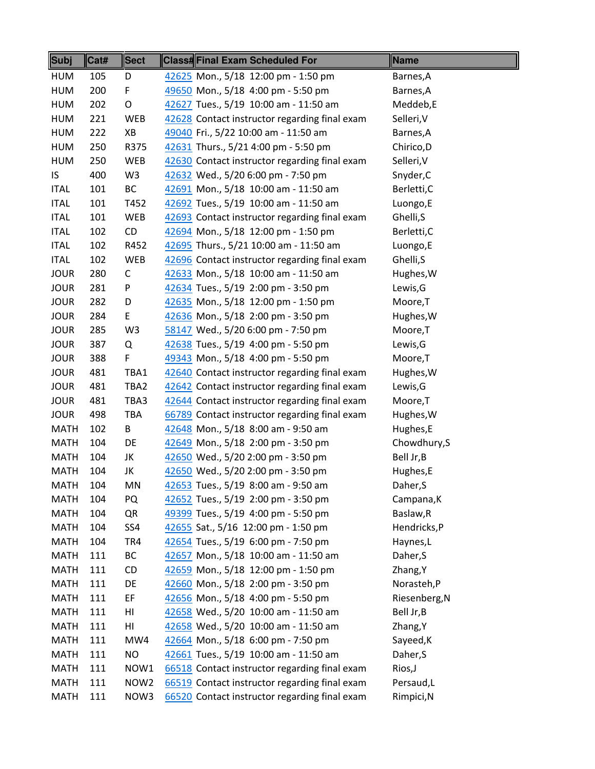| <b>Subj</b> | Cat# | <b>Sect</b>      | <b>Class#Final Exam Scheduled For</b>         | Name          |
|-------------|------|------------------|-----------------------------------------------|---------------|
| <b>HUM</b>  | 105  | D                | 42625 Mon., 5/18 12:00 pm - 1:50 pm           | Barnes, A     |
| <b>HUM</b>  | 200  | F                | 49650 Mon., 5/18 4:00 pm - 5:50 pm            | Barnes, A     |
| <b>HUM</b>  | 202  | O                | 42627 Tues., 5/19 10:00 am - 11:50 am         | Meddeb,E      |
| <b>HUM</b>  | 221  | WEB              | 42628 Contact instructor regarding final exam | Selleri, V    |
| HUM         | 222  | XB               | 49040 Fri., 5/22 10:00 am - 11:50 am          | Barnes, A     |
| <b>HUM</b>  | 250  | R375             | 42631 Thurs., 5/21 4:00 pm - 5:50 pm          | Chirico, D    |
| <b>HUM</b>  | 250  | <b>WEB</b>       | 42630 Contact instructor regarding final exam | Selleri, V    |
| IS.         | 400  | W <sub>3</sub>   | 42632 Wed., 5/20 6:00 pm - 7:50 pm            | Snyder, C     |
| <b>ITAL</b> | 101  | BC               | 42691 Mon., 5/18 10:00 am - 11:50 am          | Berletti,C    |
| <b>ITAL</b> | 101  | T452             | 42692 Tues., 5/19 10:00 am - 11:50 am         | Luongo,E      |
| <b>ITAL</b> | 101  | WEB              | 42693 Contact instructor regarding final exam | Ghelli, S     |
| <b>ITAL</b> | 102  | CD               | 42694 Mon., 5/18 12:00 pm - 1:50 pm           | Berletti,C    |
| <b>ITAL</b> | 102  | R452             | 42695 Thurs., 5/21 10:00 am - 11:50 am        | Luongo,E      |
| <b>ITAL</b> | 102  | WEB              | 42696 Contact instructor regarding final exam | Ghelli, S     |
| <b>JOUR</b> | 280  | $\mathsf{C}$     | 42633 Mon., 5/18 10:00 am - 11:50 am          | Hughes, W     |
| <b>JOUR</b> | 281  | P                | 42634 Tues., 5/19 2:00 pm - 3:50 pm           | Lewis, G      |
| <b>JOUR</b> | 282  | D                | 42635 Mon., 5/18 12:00 pm - 1:50 pm           | Moore, T      |
| <b>JOUR</b> | 284  | E                | 42636 Mon., 5/18 2:00 pm - 3:50 pm            | Hughes, W     |
| <b>JOUR</b> | 285  | W <sub>3</sub>   | 58147 Wed., 5/20 6:00 pm - 7:50 pm            | Moore,T       |
| <b>JOUR</b> | 387  | Q                | 42638 Tues., 5/19 4:00 pm - 5:50 pm           | Lewis, G      |
| <b>JOUR</b> | 388  | F                | 49343 Mon., 5/18 4:00 pm - 5:50 pm            | Moore, T      |
| <b>JOUR</b> | 481  | TBA1             | 42640 Contact instructor regarding final exam | Hughes, W     |
| <b>JOUR</b> | 481  | TBA2             | 42642 Contact instructor regarding final exam | Lewis, G      |
| <b>JOUR</b> | 481  | TBA3             | 42644 Contact instructor regarding final exam | Moore,T       |
| <b>JOUR</b> | 498  | TBA              | 66789 Contact instructor regarding final exam | Hughes, W     |
| <b>MATH</b> | 102  | B                | 42648 Mon., 5/18 8:00 am - 9:50 am            | Hughes,E      |
| <b>MATH</b> | 104  | DE               | 42649 Mon., 5/18 2:00 pm - 3:50 pm            | Chowdhury, S  |
| <b>MATH</b> | 104  | JK               | 42650 Wed., 5/20 2:00 pm - 3:50 pm            | Bell Jr, B    |
| <b>MATH</b> | 104  | JK               | 42650 Wed., 5/20 2:00 pm - 3:50 pm            | Hughes,E      |
| <b>MATH</b> | 104  | MN               | 42653 Tues., 5/19 8:00 am - 9:50 am           | Daher, S      |
| <b>MATH</b> | 104  | PQ               | 42652 Tues., 5/19 2:00 pm - 3:50 pm           | Campana, K    |
| <b>MATH</b> | 104  | QR               | 49399 Tues., 5/19 4:00 pm - 5:50 pm           | Baslaw, R     |
| <b>MATH</b> | 104  | SS4              | 42655 Sat., 5/16 12:00 pm - 1:50 pm           | Hendricks,P   |
| <b>MATH</b> | 104  | TR4              | 42654 Tues., 5/19 6:00 pm - 7:50 pm           | Haynes,L      |
| <b>MATH</b> | 111  | ВC               | 42657 Mon., 5/18 10:00 am - 11:50 am          | Daher, S      |
| <b>MATH</b> | 111  | CD               | 42659 Mon., 5/18 12:00 pm - 1:50 pm           | Zhang, Y      |
| <b>MATH</b> | 111  | DE               | 42660 Mon., 5/18 2:00 pm - 3:50 pm            | Norasteh,P    |
| <b>MATH</b> | 111  | EF               | 42656 Mon., 5/18 4:00 pm - 5:50 pm            | Riesenberg, N |
| <b>MATH</b> | 111  | HI               | 42658 Wed., 5/20 10:00 am - 11:50 am          | Bell Jr, B    |
| <b>MATH</b> | 111  | HI               | 42658 Wed., 5/20 10:00 am - 11:50 am          | Zhang, Y      |
| <b>MATH</b> | 111  | MW4              | 42664 Mon., 5/18 6:00 pm - 7:50 pm            | Sayeed, K     |
| <b>MATH</b> | 111  | NO               | 42661 Tues., 5/19 10:00 am - 11:50 am         | Daher, S      |
| <b>MATH</b> | 111  | NOW1             | 66518 Contact instructor regarding final exam | Rios, J       |
| <b>MATH</b> | 111  | NOW <sub>2</sub> | 66519 Contact instructor regarding final exam | Persaud,L     |
| <b>MATH</b> | 111  | NOW3             | 66520 Contact instructor regarding final exam | Rimpici, N    |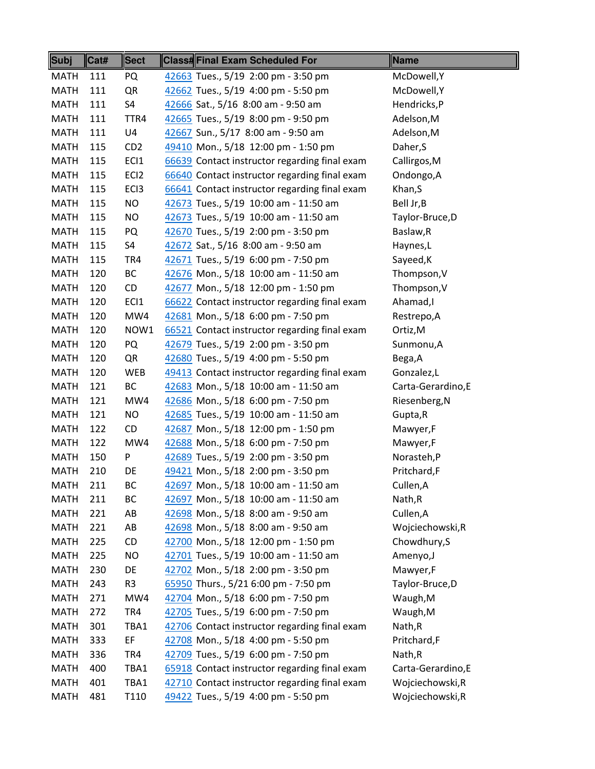| <b>Subj</b> | Cat# | <b>Sect</b>      | <b>Class#Final Exam Scheduled For</b>         | Name               |
|-------------|------|------------------|-----------------------------------------------|--------------------|
| <b>MATH</b> | 111  | PQ               | 42663 Tues., 5/19 2:00 pm - 3:50 pm           | McDowell, Y        |
| <b>MATH</b> | 111  | QR               | 42662 Tues., 5/19 4:00 pm - 5:50 pm           | McDowell, Y        |
| <b>MATH</b> | 111  | S4               | 42666 Sat., 5/16 8:00 am - 9:50 am            | Hendricks,P        |
| <b>MATH</b> | 111  | TTR4             | 42665 Tues., 5/19 8:00 pm - 9:50 pm           | Adelson, M         |
| <b>MATH</b> | 111  | U4               | 42667 Sun., 5/17 8:00 am - 9:50 am            | Adelson, M         |
| <b>MATH</b> | 115  | CD <sub>2</sub>  | 49410 Mon., 5/18 12:00 pm - 1:50 pm           | Daher, S           |
| <b>MATH</b> | 115  | ECI1             | 66639 Contact instructor regarding final exam | Callirgos, M       |
| <b>MATH</b> | 115  | EC <sub>12</sub> | 66640 Contact instructor regarding final exam | Ondongo, A         |
| <b>MATH</b> | 115  | EC <sub>13</sub> | 66641 Contact instructor regarding final exam | Khan, S            |
| <b>MATH</b> | 115  | NO.              | 42673 Tues., 5/19 10:00 am - 11:50 am         | Bell Jr, B         |
| <b>MATH</b> | 115  | NO.              | 42673 Tues., 5/19 10:00 am - 11:50 am         | Taylor-Bruce, D    |
| <b>MATH</b> | 115  | PQ               | 42670 Tues., 5/19 2:00 pm - 3:50 pm           | Baslaw, R          |
| <b>MATH</b> | 115  | S4               | 42672 Sat., 5/16 8:00 am - 9:50 am            | Haynes,L           |
| <b>MATH</b> | 115  | TR4              | 42671 Tues., 5/19 6:00 pm - 7:50 pm           | Sayeed, K          |
| <b>MATH</b> | 120  | BC               | 42676 Mon., 5/18 10:00 am - 11:50 am          | Thompson, V        |
| <b>MATH</b> | 120  | CD               | 42677 Mon., 5/18 12:00 pm - 1:50 pm           | Thompson, V        |
| <b>MATH</b> | 120  | ECI1             | 66622 Contact instructor regarding final exam | Ahamad,I           |
| <b>MATH</b> | 120  | MW4              | 42681 Mon., 5/18 6:00 pm - 7:50 pm            | Restrepo, A        |
| <b>MATH</b> | 120  | NOW1             | 66521 Contact instructor regarding final exam | Ortiz, M           |
| <b>MATH</b> | 120  | PQ               | 42679 Tues., 5/19 2:00 pm - 3:50 pm           | Sunmonu, A         |
| <b>MATH</b> | 120  | QR               | 42680 Tues., 5/19 4:00 pm - 5:50 pm           | Bega, A            |
| <b>MATH</b> | 120  | <b>WEB</b>       | 49413 Contact instructor regarding final exam | Gonzalez,L         |
| <b>MATH</b> | 121  | ВC               | 42683 Mon., 5/18 10:00 am - 11:50 am          | Carta-Gerardino, E |
| <b>MATH</b> | 121  | MW4              | 42686 Mon., 5/18 6:00 pm - 7:50 pm            | Riesenberg, N      |
| <b>MATH</b> | 121  | NO.              | 42685 Tues., 5/19 10:00 am - 11:50 am         | Gupta, R           |
| <b>MATH</b> | 122  | CD               | 42687 Mon., 5/18 12:00 pm - 1:50 pm           | Mawyer,F           |
| <b>MATH</b> | 122  | MW4              | 42688 Mon., 5/18 6:00 pm - 7:50 pm            | Mawyer,F           |
| <b>MATH</b> | 150  | P                | 42689 Tues., 5/19 2:00 pm - 3:50 pm           | Norasteh,P         |
| <b>MATH</b> | 210  | DE               | 49421 Mon., 5/18 2:00 pm - 3:50 pm            | Pritchard,F        |
| <b>MATH</b> | 211  | ВC               | 42697 Mon., 5/18 10:00 am - 11:50 am          | Cullen, A          |
| <b>MATH</b> | 211  | BC               | 42697 Mon., 5/18 10:00 am - 11:50 am          | Nath,R             |
| <b>MATH</b> | 221  | AB               | 42698 Mon., 5/18 8:00 am - 9:50 am            | Cullen, A          |
| <b>MATH</b> | 221  | AB               | 42698 Mon., 5/18 8:00 am - 9:50 am            | Wojciechowski, R   |
| <b>MATH</b> | 225  | CD               | 42700 Mon., 5/18 12:00 pm - 1:50 pm           | Chowdhury, S       |
| <b>MATH</b> | 225  | <b>NO</b>        | 42701 Tues., 5/19 10:00 am - 11:50 am         | Amenyo, J          |
| <b>MATH</b> | 230  | DE               | 42702 Mon., 5/18 2:00 pm - 3:50 pm            | Mawyer,F           |
| <b>MATH</b> | 243  | R <sub>3</sub>   | 65950 Thurs., 5/21 6:00 pm - 7:50 pm          | Taylor-Bruce, D    |
| <b>MATH</b> | 271  | MW4              | 42704 Mon., 5/18 6:00 pm - 7:50 pm            | Waugh, M           |
| <b>MATH</b> | 272  | TR4              | 42705 Tues., 5/19 6:00 pm - 7:50 pm           | Waugh, M           |
| <b>MATH</b> | 301  | TBA1             | 42706 Contact instructor regarding final exam | Nath, R            |
| <b>MATH</b> | 333  | EF               | 42708 Mon., 5/18 4:00 pm - 5:50 pm            | Pritchard,F        |
| <b>MATH</b> | 336  | TR4              | 42709 Tues., 5/19 6:00 pm - 7:50 pm           | Nath, R            |
| <b>MATH</b> | 400  | TBA1             | 65918 Contact instructor regarding final exam | Carta-Gerardino, E |
| <b>MATH</b> | 401  | TBA1             | 42710 Contact instructor regarding final exam | Wojciechowski, R   |
| <b>MATH</b> | 481  | T110             | 49422 Tues., 5/19 4:00 pm - 5:50 pm           | Wojciechowski, R   |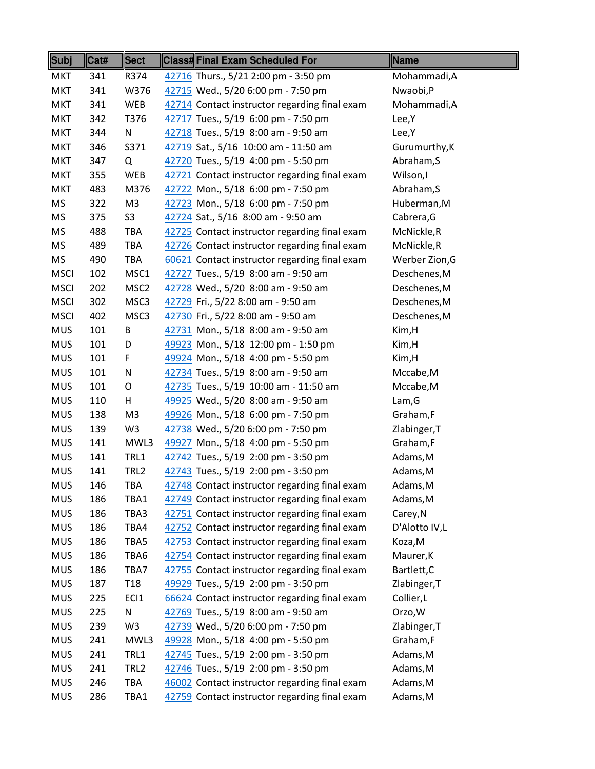| Subj        | Cat# | <b>Sect</b>      | <b>Class#Final Exam Scheduled For</b>         | <b>Name</b>    |
|-------------|------|------------------|-----------------------------------------------|----------------|
| <b>MKT</b>  | 341  | R374             | 42716 Thurs., 5/21 2:00 pm - 3:50 pm          | Mohammadi, A   |
| <b>MKT</b>  | 341  | W376             | 42715 Wed., 5/20 6:00 pm - 7:50 pm            | Nwaobi,P       |
| <b>MKT</b>  | 341  | <b>WEB</b>       | 42714 Contact instructor regarding final exam | Mohammadi, A   |
| <b>MKT</b>  | 342  | T376             | 42717 Tues., 5/19 6:00 pm - 7:50 pm           | Lee, Y         |
| <b>MKT</b>  | 344  | N                | 42718 Tues., 5/19 8:00 am - 9:50 am           | Lee, Y         |
| <b>MKT</b>  | 346  | S371             | 42719 Sat., 5/16 10:00 am - 11:50 am          | Gurumurthy, K  |
| <b>MKT</b>  | 347  | Q                | 42720 Tues., 5/19 4:00 pm - 5:50 pm           | Abraham, S     |
| <b>MKT</b>  | 355  | <b>WEB</b>       | 42721 Contact instructor regarding final exam | Wilson,I       |
| <b>MKT</b>  | 483  | M376             | 42722 Mon., 5/18 6:00 pm - 7:50 pm            | Abraham, S     |
| MS          | 322  | M <sub>3</sub>   | 42723 Mon., 5/18 6:00 pm - 7:50 pm            | Huberman, M    |
| <b>MS</b>   | 375  | S3               | 42724 Sat., 5/16 8:00 am - 9:50 am            | Cabrera, G     |
| <b>MS</b>   | 488  | <b>TBA</b>       | 42725 Contact instructor regarding final exam | McNickle,R     |
| <b>MS</b>   | 489  | <b>TBA</b>       | 42726 Contact instructor regarding final exam | McNickle, R    |
| MS          | 490  | <b>TBA</b>       | 60621 Contact instructor regarding final exam | Werber Zion, G |
| <b>MSCI</b> | 102  | MSC1             | 42727 Tues., 5/19 8:00 am - 9:50 am           | Deschenes, M   |
| <b>MSCI</b> | 202  | MSC <sub>2</sub> | 42728 Wed., 5/20 8:00 am - 9:50 am            | Deschenes, M   |
| <b>MSCI</b> | 302  | MSC3             | 42729 Fri., 5/22 8:00 am - 9:50 am            | Deschenes, M   |
| <b>MSCI</b> | 402  | MSC3             | 42730 Fri., 5/22 8:00 am - 9:50 am            | Deschenes, M   |
| <b>MUS</b>  | 101  | B                | 42731 Mon., 5/18 8:00 am - 9:50 am            | Kim, H         |
| <b>MUS</b>  | 101  | D                | 49923 Mon., 5/18 12:00 pm - 1:50 pm           | Kim,H          |
| <b>MUS</b>  | 101  | F                | 49924 Mon., 5/18 4:00 pm - 5:50 pm            | Kim,H          |
| <b>MUS</b>  | 101  | N                | 42734 Tues., 5/19 8:00 am - 9:50 am           | Mccabe, M      |
| <b>MUS</b>  | 101  | O                | 42735 Tues., 5/19 10:00 am - 11:50 am         | Mccabe, M      |
| <b>MUS</b>  | 110  | H                | 49925 Wed., 5/20 8:00 am - 9:50 am            | Lam, G         |
| <b>MUS</b>  | 138  | M <sub>3</sub>   | 49926 Mon., 5/18 6:00 pm - 7:50 pm            | Graham,F       |
| <b>MUS</b>  | 139  | W <sub>3</sub>   | 42738 Wed., 5/20 6:00 pm - 7:50 pm            | Zlabinger, T   |
| <b>MUS</b>  | 141  | MWL3             | 49927 Mon., 5/18 4:00 pm - 5:50 pm            | Graham,F       |
| <b>MUS</b>  | 141  | TRL1             | 42742 Tues., 5/19 2:00 pm - 3:50 pm           | Adams, M       |
| <b>MUS</b>  | 141  | TRL <sub>2</sub> | 42743 Tues., 5/19 2:00 pm - 3:50 pm           | Adams, M       |
| <b>MUS</b>  | 146  | TBA              | 42748 Contact instructor regarding final exam | Adams, M       |
| <b>MUS</b>  | 186  | TBA1             | 42749 Contact instructor regarding final exam | Adams, M       |
| <b>MUS</b>  | 186  | TBA3             | 42751 Contact instructor regarding final exam | Carey, N       |
| <b>MUS</b>  | 186  | TBA4             | 42752 Contact instructor regarding final exam | D'Alotto IV,L  |
| <b>MUS</b>  | 186  | TBA5             | 42753 Contact instructor regarding final exam | Koza, M        |
| <b>MUS</b>  | 186  | TBA6             | 42754 Contact instructor regarding final exam | Maurer, K      |
| <b>MUS</b>  | 186  | TBA7             | 42755 Contact instructor regarding final exam | Bartlett, C    |
| <b>MUS</b>  | 187  | T <sub>18</sub>  | 49929 Tues., 5/19 2:00 pm - 3:50 pm           | Zlabinger, T   |
| <b>MUS</b>  | 225  | EC <sub>1</sub>  | 66624 Contact instructor regarding final exam | Collier, L     |
| <b>MUS</b>  | 225  | N                | 42769 Tues., 5/19 8:00 am - 9:50 am           | Orzo, W        |
| <b>MUS</b>  | 239  | W <sub>3</sub>   | 42739 Wed., 5/20 6:00 pm - 7:50 pm            | Zlabinger, T   |
| <b>MUS</b>  | 241  | MWL3             | 49928 Mon., 5/18 4:00 pm - 5:50 pm            | Graham,F       |
| <b>MUS</b>  | 241  | TRL1             | 42745 Tues., 5/19 2:00 pm - 3:50 pm           | Adams, M       |
| <b>MUS</b>  | 241  | TRL <sub>2</sub> | 42746 Tues., 5/19 2:00 pm - 3:50 pm           | Adams, M       |
| <b>MUS</b>  | 246  | TBA              | 46002 Contact instructor regarding final exam | Adams, M       |
| <b>MUS</b>  | 286  | TBA1             | 42759 Contact instructor regarding final exam | Adams, M       |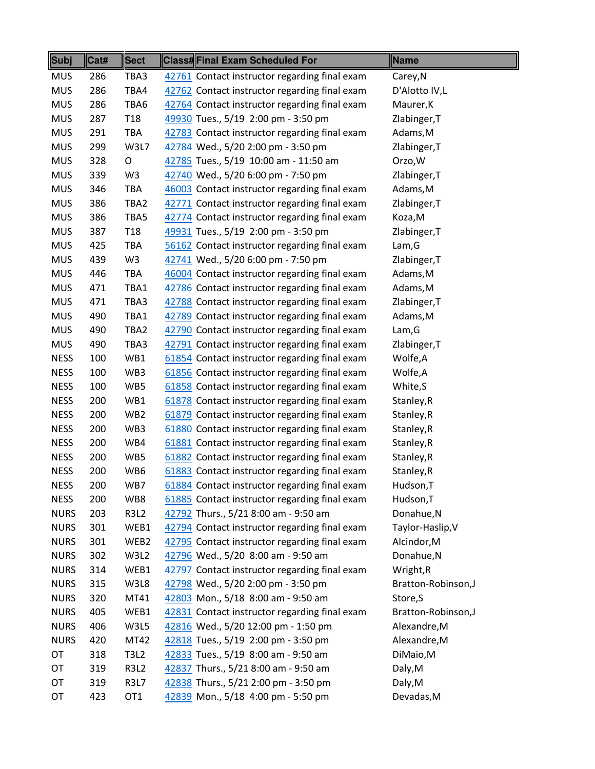| Subj        | Cat# | <b>Sect</b>     | <b>Class#Final Exam Scheduled For</b>         | <b>Name</b>        |
|-------------|------|-----------------|-----------------------------------------------|--------------------|
| <b>MUS</b>  | 286  | TBA3            | 42761 Contact instructor regarding final exam | Carey, N           |
| <b>MUS</b>  | 286  | TBA4            | 42762 Contact instructor regarding final exam | D'Alotto IV,L      |
| <b>MUS</b>  | 286  | TBA6            | 42764 Contact instructor regarding final exam | Maurer, K          |
| <b>MUS</b>  | 287  | T <sub>18</sub> | 49930 Tues., 5/19 2:00 pm - 3:50 pm           | Zlabinger, T       |
| <b>MUS</b>  | 291  | TBA             | 42783 Contact instructor regarding final exam | Adams, M           |
| <b>MUS</b>  | 299  | W3L7            | 42784 Wed., 5/20 2:00 pm - 3:50 pm            | Zlabinger, T       |
| <b>MUS</b>  | 328  | $\circ$         | 42785 Tues., 5/19 10:00 am - 11:50 am         | Orzo, W            |
| <b>MUS</b>  | 339  | W <sub>3</sub>  | 42740 Wed., 5/20 6:00 pm - 7:50 pm            | Zlabinger, T       |
| <b>MUS</b>  | 346  | TBA             | 46003 Contact instructor regarding final exam | Adams, M           |
| <b>MUS</b>  | 386  | TBA2            | 42771 Contact instructor regarding final exam | Zlabinger, T       |
| <b>MUS</b>  | 386  | TBA5            | 42774 Contact instructor regarding final exam | Koza, M            |
| <b>MUS</b>  | 387  | T <sub>18</sub> | 49931 Tues., 5/19 2:00 pm - 3:50 pm           | Zlabinger, T       |
| <b>MUS</b>  | 425  | TBA             | 56162 Contact instructor regarding final exam | Lam, G             |
| <b>MUS</b>  | 439  | W <sub>3</sub>  | 42741 Wed., 5/20 6:00 pm - 7:50 pm            | Zlabinger, T       |
| <b>MUS</b>  | 446  | TBA             | 46004 Contact instructor regarding final exam | Adams, M           |
| <b>MUS</b>  | 471  | TBA1            | 42786 Contact instructor regarding final exam | Adams, M           |
| <b>MUS</b>  | 471  | TBA3            | 42788 Contact instructor regarding final exam | Zlabinger, T       |
| <b>MUS</b>  | 490  | TBA1            | 42789 Contact instructor regarding final exam | Adams, M           |
| <b>MUS</b>  | 490  | TBA2            | 42790 Contact instructor regarding final exam | Lam, G             |
| <b>MUS</b>  | 490  | TBA3            | 42791 Contact instructor regarding final exam | Zlabinger, T       |
| <b>NESS</b> | 100  | WB1             | 61854 Contact instructor regarding final exam | Wolfe,A            |
| <b>NESS</b> | 100  | WB3             | 61856 Contact instructor regarding final exam | Wolfe,A            |
| <b>NESS</b> | 100  | WB5             | 61858 Contact instructor regarding final exam | White, S           |
| <b>NESS</b> | 200  | WB1             | 61878 Contact instructor regarding final exam | Stanley, R         |
| <b>NESS</b> | 200  | WB <sub>2</sub> | 61879 Contact instructor regarding final exam | Stanley, R         |
| <b>NESS</b> | 200  | WB3             | 61880 Contact instructor regarding final exam | Stanley, R         |
| <b>NESS</b> | 200  | WB4             | 61881 Contact instructor regarding final exam | Stanley, R         |
| <b>NESS</b> | 200  | WB5             | 61882 Contact instructor regarding final exam | Stanley, R         |
| <b>NESS</b> | 200  | WB6             | 61883 Contact instructor regarding final exam | Stanley, R         |
| <b>NESS</b> | 200  | WB7             | 61884 Contact instructor regarding final exam | Hudson, T          |
| <b>NESS</b> | 200  | WB8             | 61885 Contact instructor regarding final exam | Hudson, T          |
| <b>NURS</b> | 203  | <b>R3L2</b>     | 42792 Thurs., 5/21 8:00 am - 9:50 am          | Donahue, N         |
| <b>NURS</b> | 301  | WEB1            | 42794 Contact instructor regarding final exam | Taylor-Haslip, V   |
| <b>NURS</b> | 301  | WEB2            | 42795 Contact instructor regarding final exam | Alcindor, M        |
| <b>NURS</b> | 302  | W3L2            | 42796 Wed., 5/20 8:00 am - 9:50 am            | Donahue, N         |
| <b>NURS</b> | 314  | WEB1            | 42797 Contact instructor regarding final exam | Wright, R          |
| <b>NURS</b> | 315  | W3L8            | 42798 Wed., 5/20 2:00 pm - 3:50 pm            | Bratton-Robinson,J |
| <b>NURS</b> | 320  | MT41            | 42803 Mon., 5/18 8:00 am - 9:50 am            | Store, S           |
| <b>NURS</b> | 405  | WEB1            | 42831 Contact instructor regarding final exam | Bratton-Robinson,J |
| <b>NURS</b> | 406  | W3L5            | 42816 Wed., 5/20 12:00 pm - 1:50 pm           | Alexandre, M       |
| <b>NURS</b> | 420  | MT42            | 42818 Tues., 5/19 2:00 pm - 3:50 pm           | Alexandre, M       |
| OT          | 318  | <b>T3L2</b>     | 42833 Tues., 5/19 8:00 am - 9:50 am           | DiMaio, M          |
| OT          | 319  | <b>R3L2</b>     | 42837 Thurs., 5/21 8:00 am - 9:50 am          | Daly, M            |
| OT          | 319  | <b>R3L7</b>     | 42838 Thurs., 5/21 2:00 pm - 3:50 pm          | Daly, M            |
| OT          | 423  | OT <sub>1</sub> | 42839 Mon., 5/18 4:00 pm - 5:50 pm            | Devadas, M         |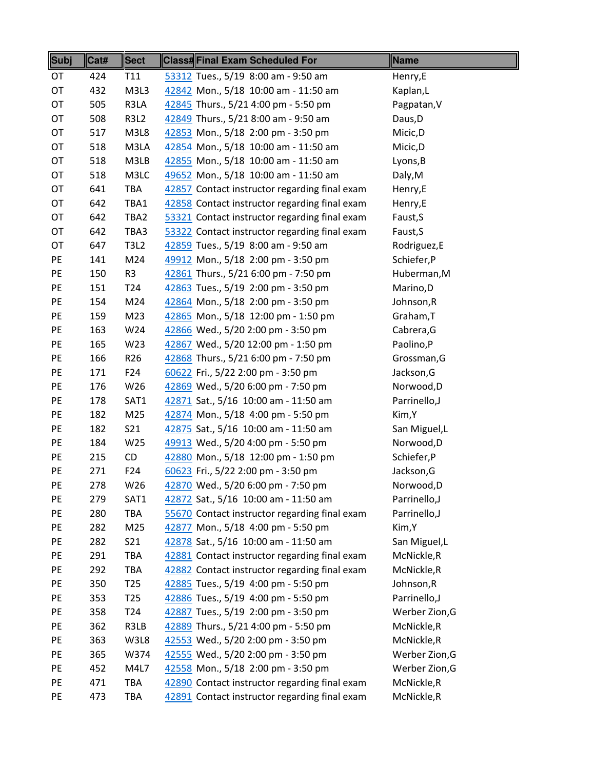| Subj | Cat# | <b>Sect</b>     | <b>Class#Final Exam Scheduled For</b>         | Name           |
|------|------|-----------------|-----------------------------------------------|----------------|
| OT   | 424  | T11             | 53312 Tues., 5/19 8:00 am - 9:50 am           | Henry,E        |
| OT   | 432  | M3L3            | 42842 Mon., 5/18 10:00 am - 11:50 am          | Kaplan,L       |
| OT   | 505  | R3LA            | 42845 Thurs., 5/21 4:00 pm - 5:50 pm          | Pagpatan, V    |
| OT   | 508  | <b>R3L2</b>     | 42849 Thurs., 5/21 8:00 am - 9:50 am          | Daus, D        |
| OT   | 517  | M3L8            | 42853 Mon., 5/18 2:00 pm - 3:50 pm            | Micic, D       |
| OT   | 518  | M3LA            | 42854 Mon., 5/18 10:00 am - 11:50 am          | Micic, D       |
| OT   | 518  | M3LB            | 42855 Mon., 5/18 10:00 am - 11:50 am          | Lyons, B       |
| OT   | 518  | M3LC            | 49652 Mon., 5/18 10:00 am - 11:50 am          | Daly, M        |
| OT   | 641  | <b>TBA</b>      | 42857 Contact instructor regarding final exam | Henry,E        |
| OT   | 642  | TBA1            | 42858 Contact instructor regarding final exam | Henry,E        |
| OT   | 642  | TBA2            | 53321 Contact instructor regarding final exam | Faust, S       |
| OT   | 642  | TBA3            | 53322 Contact instructor regarding final exam | Faust, S       |
| OT   | 647  | <b>T3L2</b>     | 42859 Tues., 5/19 8:00 am - 9:50 am           | Rodriguez,E    |
| PE   | 141  | M24             | 49912 Mon., 5/18 2:00 pm - 3:50 pm            | Schiefer, P    |
| PE   | 150  | R3              | 42861 Thurs., 5/21 6:00 pm - 7:50 pm          | Huberman, M    |
| PE   | 151  | T <sub>24</sub> | 42863 Tues., 5/19 2:00 pm - 3:50 pm           | Marino,D       |
| PE   | 154  | M24             | 42864 Mon., 5/18 2:00 pm - 3:50 pm            | Johnson, R     |
| PE   | 159  | M23             | 42865 Mon., 5/18 12:00 pm - 1:50 pm           | Graham, T      |
| PE   | 163  | W24             | 42866 Wed., 5/20 2:00 pm - 3:50 pm            | Cabrera, G     |
| PE   | 165  | W23             | 42867 Wed., 5/20 12:00 pm - 1:50 pm           | Paolino,P      |
| PE   | 166  | R <sub>26</sub> | 42868 Thurs., 5/21 6:00 pm - 7:50 pm          | Grossman, G    |
| PE   | 171  | F24             | 60622 Fri., 5/22 2:00 pm - 3:50 pm            | Jackson, G     |
| PE   | 176  | W26             | 42869 Wed., 5/20 6:00 pm - 7:50 pm            | Norwood, D     |
| PE   | 178  | SAT1            | 42871 Sat., 5/16 10:00 am - 11:50 am          | Parrinello, J  |
| PE   | 182  | M25             | 42874 Mon., 5/18 4:00 pm - 5:50 pm            | Kim, Y         |
| PE   | 182  | S21             | 42875 Sat., 5/16 10:00 am - 11:50 am          | San Miguel, L  |
| PE   | 184  | W25             | 49913 Wed., 5/20 4:00 pm - 5:50 pm            | Norwood, D     |
| PE   | 215  | <b>CD</b>       | 42880 Mon., 5/18 12:00 pm - 1:50 pm           | Schiefer, P    |
| PE   | 271  | F24             | 60623 Fri., 5/22 2:00 pm - 3:50 pm            | Jackson, G     |
| PE   | 278  | W26             | 42870 Wed., 5/20 6:00 pm - 7:50 pm            | Norwood,D      |
| PE   | 279  | SAT1            | 42872 Sat., 5/16 10:00 am - 11:50 am          | Parrinello, J  |
| PE   | 280  | <b>TBA</b>      | 55670 Contact instructor regarding final exam | Parrinello, J  |
| PE   | 282  | M25             | 42877 Mon., 5/18 4:00 pm - 5:50 pm            | Kim, Y         |
| PE   | 282  | S21             | 42878 Sat., 5/16 10:00 am - 11:50 am          | San Miguel, L  |
| PE   | 291  | TBA             | 42881 Contact instructor regarding final exam | McNickle, R    |
| PE   | 292  | TBA             | 42882 Contact instructor regarding final exam | McNickle, R    |
| PE   | 350  | T <sub>25</sub> | 42885 Tues., 5/19 4:00 pm - 5:50 pm           | Johnson, R     |
| PE   | 353  | T <sub>25</sub> | 42886 Tues., 5/19 4:00 pm - 5:50 pm           | Parrinello, J  |
| PE   | 358  | T <sub>24</sub> | 42887 Tues., 5/19 2:00 pm - 3:50 pm           | Werber Zion, G |
| PE   | 362  | R3LB            | 42889 Thurs., 5/21 4:00 pm - 5:50 pm          | McNickle,R     |
| PE   | 363  | W3L8            | 42553 Wed., 5/20 2:00 pm - 3:50 pm            | McNickle, R    |
| PE   | 365  | W374            | 42555 Wed., 5/20 2:00 pm - 3:50 pm            | Werber Zion, G |
| PE   | 452  | M4L7            | 42558 Mon., 5/18 2:00 pm - 3:50 pm            | Werber Zion, G |
| PE   | 471  | TBA             | 42890 Contact instructor regarding final exam | McNickle, R    |
| PE   | 473  | TBA             | 42891 Contact instructor regarding final exam | McNickle, R    |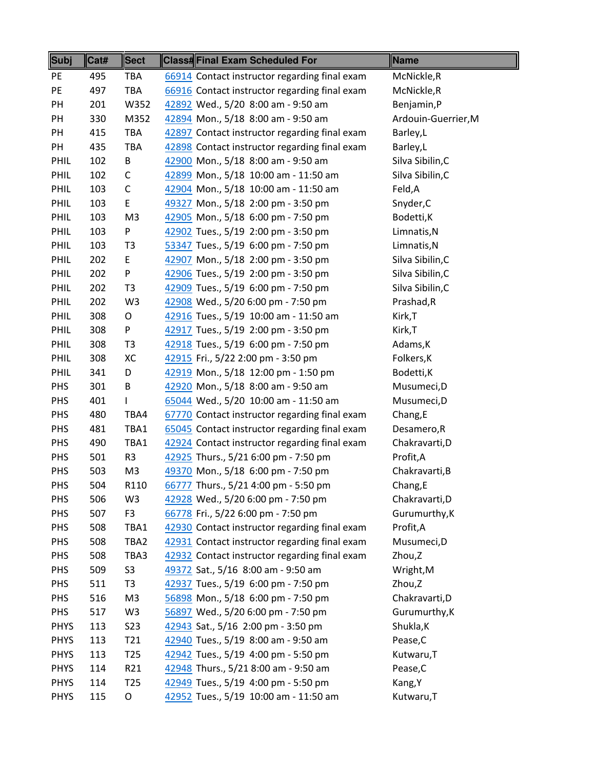| <b>Subj</b> | Cat# | <b>Sect</b>     | <b>Class#Final Exam Scheduled For</b>         | Name                |
|-------------|------|-----------------|-----------------------------------------------|---------------------|
| PE          | 495  | <b>TBA</b>      | 66914 Contact instructor regarding final exam | McNickle,R          |
| PE          | 497  | <b>TBA</b>      | 66916 Contact instructor regarding final exam | McNickle,R          |
| PH          | 201  | W352            | 42892 Wed., 5/20 8:00 am - 9:50 am            | Benjamin,P          |
| PH          | 330  | M352            | 42894 Mon., 5/18 8:00 am - 9:50 am            | Ardouin-Guerrier, M |
| PH          | 415  | <b>TBA</b>      | 42897 Contact instructor regarding final exam | Barley,L            |
| PH          | 435  | <b>TBA</b>      | 42898 Contact instructor regarding final exam | Barley,L            |
| PHIL        | 102  | B               | 42900 Mon., 5/18 8:00 am - 9:50 am            | Silva Sibilin, C    |
| PHIL        | 102  | C               | 42899 Mon., 5/18 10:00 am - 11:50 am          | Silva Sibilin, C    |
| PHIL        | 103  | $\mathsf C$     | 42904 Mon., 5/18 10:00 am - 11:50 am          | Feld,A              |
| PHIL        | 103  | E               | 49327 Mon., 5/18 2:00 pm - 3:50 pm            | Snyder, C           |
| PHIL        | 103  | M <sub>3</sub>  | 42905 Mon., 5/18 6:00 pm - 7:50 pm            | Bodetti, K          |
| PHIL        | 103  | P               | 42902 Tues., 5/19 2:00 pm - 3:50 pm           | Limnatis, N         |
| PHIL        | 103  | T <sub>3</sub>  | 53347 Tues., 5/19 6:00 pm - 7:50 pm           | Limnatis, N         |
| PHIL        | 202  | E               | 42907 Mon., 5/18 2:00 pm - 3:50 pm            | Silva Sibilin, C    |
| PHIL        | 202  | P               | 42906 Tues., 5/19 2:00 pm - 3:50 pm           | Silva Sibilin, C    |
| PHIL        | 202  | T <sub>3</sub>  | 42909 Tues., 5/19 6:00 pm - 7:50 pm           | Silva Sibilin, C    |
| PHIL        | 202  | W <sub>3</sub>  | 42908 Wed., 5/20 6:00 pm - 7:50 pm            | Prashad, R          |
| PHIL        | 308  | O               | 42916 Tues., 5/19 10:00 am - 11:50 am         | Kirk, T             |
| PHIL        | 308  | P               | 42917 Tues., 5/19 2:00 pm - 3:50 pm           | Kirk,T              |
| PHIL        | 308  | T <sub>3</sub>  | 42918 Tues., 5/19 6:00 pm - 7:50 pm           | Adams, K            |
| PHIL        | 308  | XC              | 42915 Fri., 5/22 2:00 pm - 3:50 pm            | Folkers, K          |
| PHIL        | 341  | D               | 42919 Mon., 5/18 12:00 pm - 1:50 pm           | Bodetti, K          |
| <b>PHS</b>  | 301  | В               | 42920 Mon., 5/18 8:00 am - 9:50 am            | Musumeci, D         |
| <b>PHS</b>  | 401  | L               | 65044 Wed., 5/20 10:00 am - 11:50 am          | Musumeci,D          |
| <b>PHS</b>  | 480  | TBA4            | 67770 Contact instructor regarding final exam | Chang, E            |
| PHS         | 481  | TBA1            | 65045 Contact instructor regarding final exam | Desamero, R         |
| <b>PHS</b>  | 490  | TBA1            | 42924 Contact instructor regarding final exam | Chakravarti, D      |
| <b>PHS</b>  | 501  | R <sub>3</sub>  | 42925 Thurs., 5/21 6:00 pm - 7:50 pm          | Profit, A           |
| PHS         | 503  | M <sub>3</sub>  | 49370 Mon., 5/18 6:00 pm - 7:50 pm            | Chakravarti, B      |
| PHS         | 504  | R110            | 66777 Thurs., 5/21 4:00 pm - 5:50 pm          | Chang,E             |
| PHS         | 506  | W <sub>3</sub>  | 42928 Wed., 5/20 6:00 pm - 7:50 pm            | Chakravarti, D      |
| PHS         | 507  | F <sub>3</sub>  | 66778 Fri., 5/22 6:00 pm - 7:50 pm            | Gurumurthy, K       |
| PHS         | 508  | TBA1            | 42930 Contact instructor regarding final exam | Profit, A           |
| PHS         | 508  | TBA2            | 42931 Contact instructor regarding final exam | Musumeci,D          |
| <b>PHS</b>  | 508  | TBA3            | 42932 Contact instructor regarding final exam | Zhou,Z              |
| PHS         | 509  | S <sub>3</sub>  | 49372 Sat., 5/16 8:00 am - 9:50 am            | Wright, M           |
| PHS         | 511  | T <sub>3</sub>  | 42937 Tues., 5/19 6:00 pm - 7:50 pm           | Zhou,Z              |
| <b>PHS</b>  | 516  | M <sub>3</sub>  | 56898 Mon., 5/18 6:00 pm - 7:50 pm            | Chakravarti, D      |
| <b>PHS</b>  | 517  | W <sub>3</sub>  | 56897 Wed., 5/20 6:00 pm - 7:50 pm            | Gurumurthy, K       |
| <b>PHYS</b> | 113  | <b>S23</b>      | 42943 Sat., 5/16 2:00 pm - 3:50 pm            | Shukla, K           |
| <b>PHYS</b> | 113  | T21             | 42940 Tues., 5/19 8:00 am - 9:50 am           | Pease, C            |
| <b>PHYS</b> | 113  | T <sub>25</sub> | 42942 Tues., 5/19 4:00 pm - 5:50 pm           | Kutwaru, T          |
| <b>PHYS</b> | 114  | R21             | 42948 Thurs., 5/21 8:00 am - 9:50 am          | Pease, C            |
| <b>PHYS</b> | 114  | T <sub>25</sub> | 42949 Tues., 5/19 4:00 pm - 5:50 pm           | Kang, Y             |
| <b>PHYS</b> | 115  | O               | 42952 Tues., 5/19 10:00 am - 11:50 am         | Kutwaru, T          |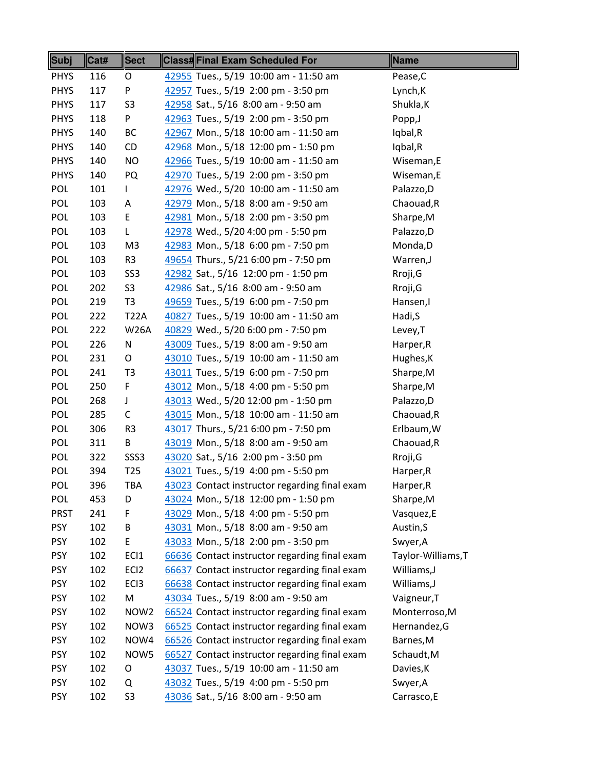| Subj        | Cat# | <b>Sect</b>      | Class#Final Exam Scheduled For                | <b>Name</b>        |
|-------------|------|------------------|-----------------------------------------------|--------------------|
| <b>PHYS</b> | 116  | O                | 42955 Tues., 5/19 10:00 am - 11:50 am         | Pease, C           |
| <b>PHYS</b> | 117  | P                | 42957 Tues., 5/19 2:00 pm - 3:50 pm           | Lynch, K           |
| <b>PHYS</b> | 117  | S <sub>3</sub>   | 42958 Sat., 5/16 8:00 am - 9:50 am            | Shukla, K          |
| <b>PHYS</b> | 118  | P                | 42963 Tues., 5/19 2:00 pm - 3:50 pm           | Popp,J             |
| <b>PHYS</b> | 140  | BC               | 42967 Mon., 5/18 10:00 am - 11:50 am          | Iqbal,R            |
| <b>PHYS</b> | 140  | CD               | 42968 Mon., 5/18 12:00 pm - 1:50 pm           | Iqbal,R            |
| <b>PHYS</b> | 140  | <b>NO</b>        | 42966 Tues., 5/19 10:00 am - 11:50 am         | Wiseman,E          |
| <b>PHYS</b> | 140  | PQ               | 42970 Tues., 5/19 2:00 pm - 3:50 pm           | Wiseman,E          |
| POL         | 101  | L                | 42976 Wed., 5/20 10:00 am - 11:50 am          | Palazzo, D         |
| POL         | 103  | Α                | 42979 Mon., 5/18 8:00 am - 9:50 am            | Chaouad, R         |
| <b>POL</b>  | 103  | E                | 42981 Mon., 5/18 2:00 pm - 3:50 pm            | Sharpe, M          |
| <b>POL</b>  | 103  | L                | 42978 Wed., 5/20 4:00 pm - 5:50 pm            | Palazzo, D         |
| POL         | 103  | M3               | 42983 Mon., 5/18 6:00 pm - 7:50 pm            | Monda, D           |
| POL         | 103  | R <sub>3</sub>   | 49654 Thurs., 5/21 6:00 pm - 7:50 pm          | Warren, J          |
| POL         | 103  | SS <sub>3</sub>  | 42982 Sat., 5/16 12:00 pm - 1:50 pm           | Rroji, G           |
| <b>POL</b>  | 202  | S <sub>3</sub>   | 42986 Sat., 5/16 8:00 am - 9:50 am            | Rroji, G           |
| <b>POL</b>  | 219  | T <sub>3</sub>   | 49659 Tues., 5/19 6:00 pm - 7:50 pm           | Hansen,I           |
| POL         | 222  | <b>T22A</b>      | 40827 Tues., 5/19 10:00 am - 11:50 am         | Hadi, S            |
| POL         | 222  | <b>W26A</b>      | 40829 Wed., 5/20 6:00 pm - 7:50 pm            | Levey, T           |
| POL         | 226  | N                | 43009 Tues., 5/19 8:00 am - 9:50 am           | Harper, R          |
| POL         | 231  | O                | 43010 Tues., 5/19 10:00 am - 11:50 am         | Hughes, K          |
| <b>POL</b>  | 241  | T <sub>3</sub>   | 43011 Tues., 5/19 6:00 pm - 7:50 pm           | Sharpe, M          |
| <b>POL</b>  | 250  | F                | 43012 Mon., 5/18 4:00 pm - 5:50 pm            | Sharpe, M          |
| <b>POL</b>  | 268  | J                | 43013 Wed., 5/20 12:00 pm - 1:50 pm           | Palazzo, D         |
| <b>POL</b>  | 285  | C                | 43015 Mon., 5/18 10:00 am - 11:50 am          | Chaouad, R         |
| <b>POL</b>  | 306  | R <sub>3</sub>   | 43017 Thurs., 5/21 6:00 pm - 7:50 pm          | Erlbaum, W         |
| <b>POL</b>  | 311  | B                | 43019 Mon., 5/18 8:00 am - 9:50 am            | Chaouad, R         |
| <b>POL</b>  | 322  | SSS <sub>3</sub> | 43020 Sat., 5/16 2:00 pm - 3:50 pm            | Rroji, G           |
| <b>POL</b>  | 394  | T <sub>25</sub>  | 43021 Tues., 5/19 4:00 pm - 5:50 pm           | Harper, R          |
| <b>POL</b>  | 396  | TBA              | 43023 Contact instructor regarding final exam | Harper, R          |
| <b>POL</b>  | 453  | D                | 43024 Mon., 5/18 12:00 pm - 1:50 pm           | Sharpe, M          |
| <b>PRST</b> | 241  | F                | 43029 Mon., 5/18 4:00 pm - 5:50 pm            | Vasquez,E          |
| <b>PSY</b>  | 102  | B                | 43031 Mon., 5/18 8:00 am - 9:50 am            | Austin, S          |
| <b>PSY</b>  | 102  | E                | 43033 Mon., 5/18 2:00 pm - 3:50 pm            | Swyer, A           |
| <b>PSY</b>  | 102  | EC <sub>1</sub>  | 66636 Contact instructor regarding final exam | Taylor-Williams, T |
| <b>PSY</b>  | 102  | EC <sub>12</sub> | 66637 Contact instructor regarding final exam | Williams, J        |
| <b>PSY</b>  | 102  | EC <sub>13</sub> | 66638 Contact instructor regarding final exam | Williams, J        |
| <b>PSY</b>  | 102  | M                | 43034 Tues., 5/19 8:00 am - 9:50 am           | Vaigneur, T        |
| <b>PSY</b>  | 102  | NOW <sub>2</sub> | 66524 Contact instructor regarding final exam | Monterroso, M      |
| <b>PSY</b>  | 102  | NOW3             | 66525 Contact instructor regarding final exam | Hernandez, G       |
| <b>PSY</b>  | 102  | NOW4             | 66526 Contact instructor regarding final exam | Barnes, M          |
| <b>PSY</b>  | 102  | NOW5             | 66527 Contact instructor regarding final exam | Schaudt, M         |
| <b>PSY</b>  | 102  | O                | 43037 Tues., 5/19 10:00 am - 11:50 am         | Davies, K          |
| <b>PSY</b>  | 102  | Q                | 43032 Tues., 5/19 4:00 pm - 5:50 pm           | Swyer, A           |
| <b>PSY</b>  | 102  | S3               | 43036 Sat., 5/16 8:00 am - 9:50 am            | Carrasco, E        |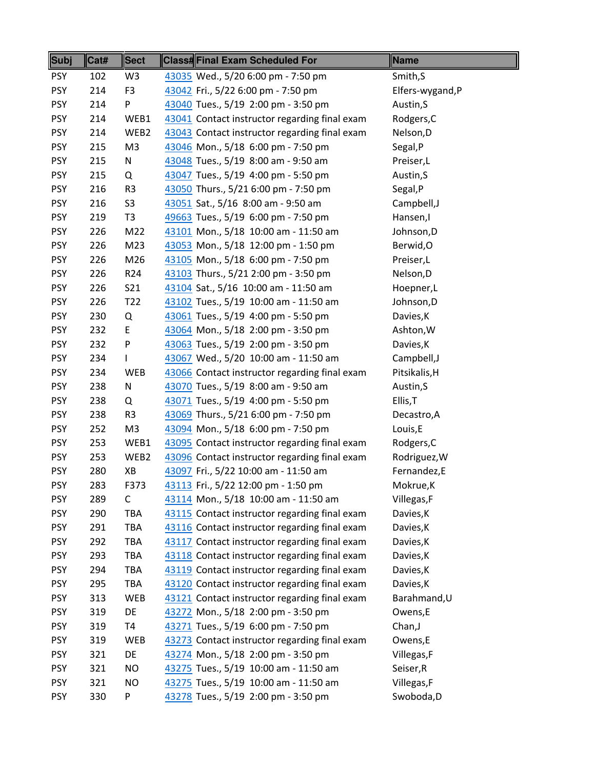| Subj       | Cat# | <b>Sect</b>     | <b>Class#Final Exam Scheduled For</b>         | <b>Name</b>     |
|------------|------|-----------------|-----------------------------------------------|-----------------|
| <b>PSY</b> | 102  | W <sub>3</sub>  | 43035 Wed., 5/20 6:00 pm - 7:50 pm            | Smith, S        |
| <b>PSY</b> | 214  | F <sub>3</sub>  | 43042 Fri., 5/22 6:00 pm - 7:50 pm            | Elfers-wygand,P |
| <b>PSY</b> | 214  | P               | 43040 Tues., 5/19 2:00 pm - 3:50 pm           | Austin, S       |
| <b>PSY</b> | 214  | WEB1            | 43041 Contact instructor regarding final exam | Rodgers, C      |
| <b>PSY</b> | 214  | WEB2            | 43043 Contact instructor regarding final exam | Nelson, D       |
| <b>PSY</b> | 215  | M <sub>3</sub>  | 43046 Mon., 5/18 6:00 pm - 7:50 pm            | Segal, P        |
| <b>PSY</b> | 215  | ${\sf N}$       | 43048 Tues., 5/19 8:00 am - 9:50 am           | Preiser,L       |
| <b>PSY</b> | 215  | Q               | 43047 Tues., 5/19 4:00 pm - 5:50 pm           | Austin, S       |
| <b>PSY</b> | 216  | R <sub>3</sub>  | 43050 Thurs., 5/21 6:00 pm - 7:50 pm          | Segal, P        |
| <b>PSY</b> | 216  | S <sub>3</sub>  | 43051 Sat., 5/16 8:00 am - 9:50 am            | Campbell, J     |
| <b>PSY</b> | 219  | T <sub>3</sub>  | 49663 Tues., 5/19 6:00 pm - 7:50 pm           | Hansen,I        |
| <b>PSY</b> | 226  | M22             | 43101 Mon., 5/18 10:00 am - 11:50 am          | Johnson, D      |
| <b>PSY</b> | 226  | M23             | 43053 Mon., 5/18 12:00 pm - 1:50 pm           | Berwid, O       |
| <b>PSY</b> | 226  | M26             | 43105 Mon., 5/18 6:00 pm - 7:50 pm            | Preiser,L       |
| <b>PSY</b> | 226  | R <sub>24</sub> | 43103 Thurs., 5/21 2:00 pm - 3:50 pm          | Nelson, D       |
| <b>PSY</b> | 226  | S21             | 43104 Sat., 5/16 10:00 am - 11:50 am          | Hoepner,L       |
| <b>PSY</b> | 226  | T <sub>22</sub> | 43102 Tues., 5/19 10:00 am - 11:50 am         | Johnson, D      |
| <b>PSY</b> | 230  | Q               | 43061 Tues., 5/19 4:00 pm - 5:50 pm           | Davies, K       |
| <b>PSY</b> | 232  | E               | 43064 Mon., 5/18 2:00 pm - 3:50 pm            | Ashton, W       |
| <b>PSY</b> | 232  | P               | 43063 Tues., 5/19 2:00 pm - 3:50 pm           | Davies, K       |
| <b>PSY</b> | 234  | I               | 43067 Wed., 5/20 10:00 am - 11:50 am          | Campbell, J     |
| <b>PSY</b> | 234  | WEB             | 43066 Contact instructor regarding final exam | Pitsikalis, H   |
| <b>PSY</b> | 238  | N               | 43070 Tues., 5/19 8:00 am - 9:50 am           | Austin, S       |
| <b>PSY</b> | 238  | Q               | 43071 Tues., 5/19 4:00 pm - 5:50 pm           | Ellis, T        |
| <b>PSY</b> | 238  | R <sub>3</sub>  | 43069 Thurs., 5/21 6:00 pm - 7:50 pm          | Decastro, A     |
| <b>PSY</b> | 252  | M <sub>3</sub>  | 43094 Mon., 5/18 6:00 pm - 7:50 pm            | Louis,E         |
| <b>PSY</b> | 253  | WEB1            | 43095 Contact instructor regarding final exam | Rodgers, C      |
| <b>PSY</b> | 253  | WEB2            | 43096 Contact instructor regarding final exam | Rodriguez, W    |
| <b>PSY</b> | 280  | XB              | 43097 Fri., 5/22 10:00 am - 11:50 am          | Fernandez,E     |
| <b>PSY</b> | 283  | F373            | 43113 Fri., 5/22 12:00 pm - 1:50 pm           | Mokrue,K        |
| <b>PSY</b> | 289  | C               | 43114 Mon., 5/18 10:00 am - 11:50 am          | Villegas, F     |
| <b>PSY</b> | 290  | TBA             | 43115 Contact instructor regarding final exam | Davies, K       |
| <b>PSY</b> | 291  | <b>TBA</b>      | 43116 Contact instructor regarding final exam | Davies, K       |
| <b>PSY</b> | 292  | <b>TBA</b>      | 43117 Contact instructor regarding final exam | Davies, K       |
| <b>PSY</b> | 293  | TBA             | 43118 Contact instructor regarding final exam | Davies, K       |
| <b>PSY</b> | 294  | TBA             | 43119 Contact instructor regarding final exam | Davies, K       |
| <b>PSY</b> | 295  | TBA             | 43120 Contact instructor regarding final exam | Davies, K       |
| <b>PSY</b> | 313  | <b>WEB</b>      | 43121 Contact instructor regarding final exam | Barahmand, U    |
| <b>PSY</b> | 319  | DE              | 43272 Mon., 5/18 2:00 pm - 3:50 pm            | Owens,E         |
| <b>PSY</b> | 319  | T <sub>4</sub>  | 43271 Tues., 5/19 6:00 pm - 7:50 pm           | Chan, J         |
| <b>PSY</b> | 319  | WEB             | 43273 Contact instructor regarding final exam | Owens,E         |
| <b>PSY</b> | 321  | DE              | 43274 Mon., 5/18 2:00 pm - 3:50 pm            | Villegas, F     |
| <b>PSY</b> | 321  | <b>NO</b>       | 43275 Tues., 5/19 10:00 am - 11:50 am         | Seiser, R       |
| <b>PSY</b> | 321  | <b>NO</b>       | 43275 Tues., 5/19 10:00 am - 11:50 am         | Villegas, F     |
| <b>PSY</b> | 330  | P               | 43278 Tues., 5/19 2:00 pm - 3:50 pm           | Swoboda,D       |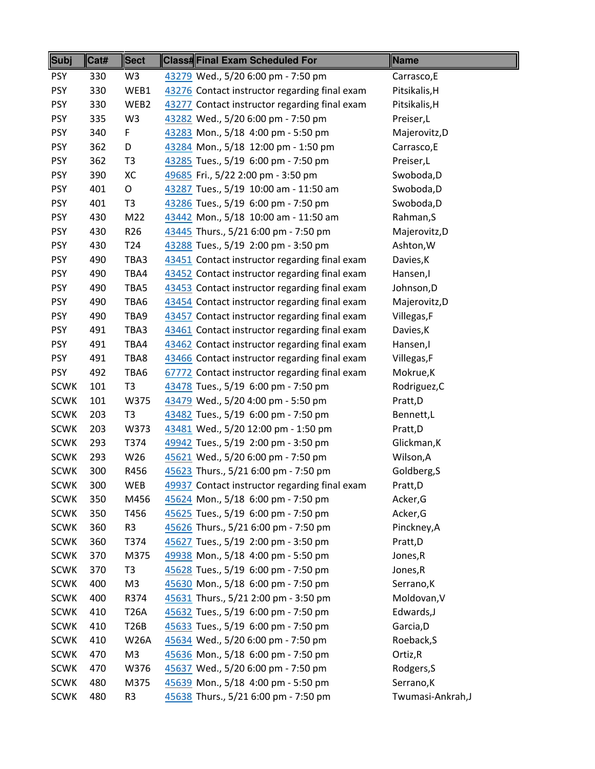| Subj        | Cat# | <b>Sect</b>     | <b>Class#Final Exam Scheduled For</b>         | Name              |
|-------------|------|-----------------|-----------------------------------------------|-------------------|
| <b>PSY</b>  | 330  | W <sub>3</sub>  | 43279 Wed., 5/20 6:00 pm - 7:50 pm            | Carrasco, E       |
| <b>PSY</b>  | 330  | WEB1            | 43276 Contact instructor regarding final exam | Pitsikalis, H     |
| <b>PSY</b>  | 330  | WEB2            | 43277 Contact instructor regarding final exam | Pitsikalis, H     |
| <b>PSY</b>  | 335  | W <sub>3</sub>  | 43282 Wed., 5/20 6:00 pm - 7:50 pm            | Preiser,L         |
| <b>PSY</b>  | 340  | F               | 43283 Mon., 5/18 4:00 pm - 5:50 pm            | Majerovitz,D      |
| <b>PSY</b>  | 362  | D               | 43284 Mon., 5/18 12:00 pm - 1:50 pm           | Carrasco, E       |
| <b>PSY</b>  | 362  | T <sub>3</sub>  | 43285 Tues., 5/19 6:00 pm - 7:50 pm           | Preiser,L         |
| <b>PSY</b>  | 390  | XC              | 49685 Fri., 5/22 2:00 pm - 3:50 pm            | Swoboda,D         |
| <b>PSY</b>  | 401  | O               | 43287 Tues., 5/19 10:00 am - 11:50 am         | Swoboda,D         |
| <b>PSY</b>  | 401  | T <sub>3</sub>  | 43286 Tues., 5/19 6:00 pm - 7:50 pm           | Swoboda,D         |
| <b>PSY</b>  | 430  | M22             | 43442 Mon., 5/18 10:00 am - 11:50 am          | Rahman, S         |
| <b>PSY</b>  | 430  | R <sub>26</sub> | 43445 Thurs., 5/21 6:00 pm - 7:50 pm          | Majerovitz,D      |
| <b>PSY</b>  | 430  | T <sub>24</sub> | 43288 Tues., 5/19 2:00 pm - 3:50 pm           | Ashton, W         |
| <b>PSY</b>  | 490  | TBA3            | 43451 Contact instructor regarding final exam | Davies, K         |
| <b>PSY</b>  | 490  | TBA4            | 43452 Contact instructor regarding final exam | Hansen,I          |
| <b>PSY</b>  | 490  | TBA5            | 43453 Contact instructor regarding final exam | Johnson, D        |
| <b>PSY</b>  | 490  | TBA6            | 43454 Contact instructor regarding final exam | Majerovitz,D      |
| <b>PSY</b>  | 490  | TBA9            | 43457 Contact instructor regarding final exam | Villegas, F       |
| <b>PSY</b>  | 491  | TBA3            | 43461 Contact instructor regarding final exam | Davies, K         |
| <b>PSY</b>  | 491  | TBA4            | 43462 Contact instructor regarding final exam | Hansen,I          |
| <b>PSY</b>  | 491  | TBA8            | 43466 Contact instructor regarding final exam | Villegas, F       |
| <b>PSY</b>  | 492  | TBA6            | 67772 Contact instructor regarding final exam | Mokrue, K         |
| <b>SCWK</b> | 101  | T <sub>3</sub>  | 43478 Tues., 5/19 6:00 pm - 7:50 pm           | Rodriguez, C      |
| <b>SCWK</b> | 101  | W375            | 43479 Wed., 5/20 4:00 pm - 5:50 pm            | Pratt,D           |
| <b>SCWK</b> | 203  | T <sub>3</sub>  | 43482 Tues., 5/19 6:00 pm - 7:50 pm           | Bennett,L         |
| <b>SCWK</b> | 203  | W373            | 43481 Wed., 5/20 12:00 pm - 1:50 pm           | Pratt,D           |
| <b>SCWK</b> | 293  | T374            | 49942 Tues., 5/19 2:00 pm - 3:50 pm           | Glickman, K       |
| <b>SCWK</b> | 293  | W26             | 45621 Wed., 5/20 6:00 pm - 7:50 pm            | Wilson, A         |
| <b>SCWK</b> | 300  | R456            | 45623 Thurs., 5/21 6:00 pm - 7:50 pm          | Goldberg, S       |
| <b>SCWK</b> | 300  | <b>WEB</b>      | 49937 Contact instructor regarding final exam | Pratt,D           |
| <b>SCWK</b> | 350  | M456            | 45624 Mon., 5/18 6:00 pm - 7:50 pm            | Acker, G          |
| <b>SCWK</b> | 350  | T456            | 45625 Tues., 5/19 6:00 pm - 7:50 pm           | Acker, G          |
| <b>SCWK</b> | 360  | R <sub>3</sub>  | 45626 Thurs., 5/21 6:00 pm - 7:50 pm          | Pinckney, A       |
| <b>SCWK</b> | 360  | T374            | 45627 Tues., 5/19 2:00 pm - 3:50 pm           | Pratt,D           |
| <b>SCWK</b> | 370  | M375            | 49938 Mon., 5/18 4:00 pm - 5:50 pm            | Jones, R          |
| <b>SCWK</b> | 370  | T <sub>3</sub>  | 45628 Tues., 5/19 6:00 pm - 7:50 pm           | Jones, R          |
| <b>SCWK</b> | 400  | M3              | 45630 Mon., 5/18 6:00 pm - 7:50 pm            | Serrano, K        |
| <b>SCWK</b> | 400  | R374            | 45631 Thurs., 5/21 2:00 pm - 3:50 pm          | Moldovan, V       |
| <b>SCWK</b> | 410  | <b>T26A</b>     | 45632 Tues., 5/19 6:00 pm - 7:50 pm           | Edwards,J         |
| <b>SCWK</b> | 410  | T26B            | 45633 Tues., 5/19 6:00 pm - 7:50 pm           | Garcia, D         |
| <b>SCWK</b> | 410  | <b>W26A</b>     | 45634 Wed., 5/20 6:00 pm - 7:50 pm            | Roeback, S        |
| <b>SCWK</b> | 470  | M <sub>3</sub>  | 45636 Mon., 5/18 6:00 pm - 7:50 pm            | Ortiz, R          |
| <b>SCWK</b> | 470  | W376            | 45637 Wed., 5/20 6:00 pm - 7:50 pm            | Rodgers, S        |
| <b>SCWK</b> | 480  | M375            | 45639 Mon., 5/18 4:00 pm - 5:50 pm            | Serrano, K        |
| <b>SCWK</b> | 480  | R <sub>3</sub>  | 45638 Thurs., 5/21 6:00 pm - 7:50 pm          | Twumasi-Ankrah, J |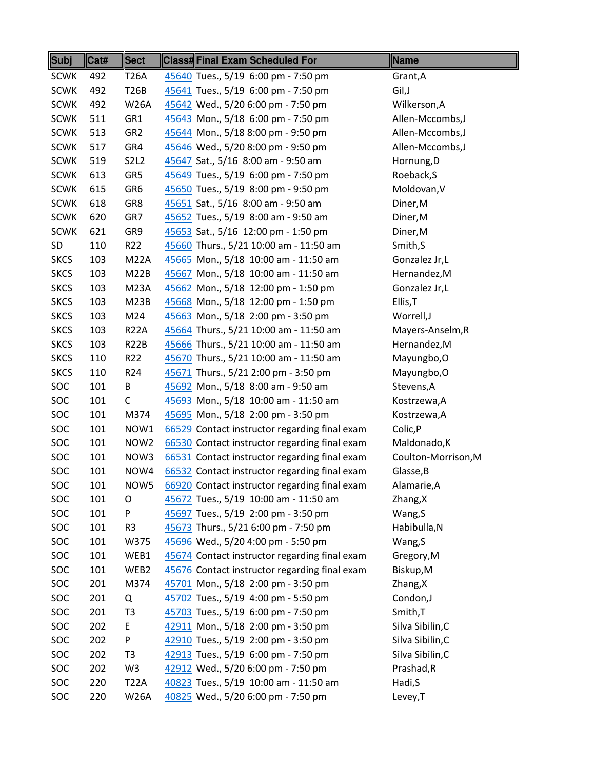| Subj        | Cat# | <b>Sect</b>      | <b>Class#Final Exam Scheduled For</b>         | Name                |
|-------------|------|------------------|-----------------------------------------------|---------------------|
| <b>SCWK</b> | 492  | <b>T26A</b>      | 45640 Tues., 5/19 6:00 pm - 7:50 pm           | Grant, A            |
| <b>SCWK</b> | 492  | <b>T26B</b>      | 45641 Tues., 5/19 6:00 pm - 7:50 pm           | Gil,J               |
| <b>SCWK</b> | 492  | <b>W26A</b>      | 45642 Wed., 5/20 6:00 pm - 7:50 pm            | Wilkerson, A        |
| <b>SCWK</b> | 511  | GR1              | 45643 Mon., 5/18 6:00 pm - 7:50 pm            | Allen-Mccombs,J     |
| <b>SCWK</b> | 513  | GR <sub>2</sub>  | 45644 Mon., 5/18 8:00 pm - 9:50 pm            | Allen-Mccombs, J    |
| <b>SCWK</b> | 517  | GR4              | 45646 Wed., 5/20 8:00 pm - 9:50 pm            | Allen-Mccombs, J    |
| <b>SCWK</b> | 519  | <b>S2L2</b>      | 45647 Sat., 5/16 8:00 am - 9:50 am            | Hornung, D          |
| <b>SCWK</b> | 613  | GR5              | 45649 Tues., 5/19 6:00 pm - 7:50 pm           | Roeback, S          |
| <b>SCWK</b> | 615  | GR6              | 45650 Tues., 5/19 8:00 pm - 9:50 pm           | Moldovan, V         |
| <b>SCWK</b> | 618  | GR8              | 45651 Sat., 5/16 8:00 am - 9:50 am            | Diner, M            |
| <b>SCWK</b> | 620  | GR7              | 45652 Tues., 5/19 8:00 am - 9:50 am           | Diner, M            |
| <b>SCWK</b> | 621  | GR9              | 45653 Sat., 5/16 12:00 pm - 1:50 pm           | Diner, M            |
| SD          | 110  | R <sub>22</sub>  | 45660 Thurs., 5/21 10:00 am - 11:50 am        | Smith, S            |
| <b>SKCS</b> | 103  | <b>M22A</b>      | 45665 Mon., 5/18 10:00 am - 11:50 am          | Gonzalez Jr,L       |
| <b>SKCS</b> | 103  | M22B             | 45667 Mon., 5/18 10:00 am - 11:50 am          | Hernandez, M        |
| <b>SKCS</b> | 103  | <b>M23A</b>      | 45662 Mon., 5/18 12:00 pm - 1:50 pm           | Gonzalez Jr,L       |
| <b>SKCS</b> | 103  | M23B             | 45668 Mon., 5/18 12:00 pm - 1:50 pm           | Ellis, T            |
| <b>SKCS</b> | 103  | M24              | 45663 Mon., 5/18 2:00 pm - 3:50 pm            | Worrell,J           |
| <b>SKCS</b> | 103  | <b>R22A</b>      | 45664 Thurs., 5/21 10:00 am - 11:50 am        | Mayers-Anselm, R    |
| <b>SKCS</b> | 103  | <b>R22B</b>      | 45666 Thurs., 5/21 10:00 am - 11:50 am        | Hernandez, M        |
| <b>SKCS</b> | 110  | R22              | 45670 Thurs., 5/21 10:00 am - 11:50 am        | Mayungbo, O         |
| <b>SKCS</b> | 110  | R <sub>24</sub>  | 45671 Thurs., 5/21 2:00 pm - 3:50 pm          | Mayungbo, O         |
| SOC         | 101  | В                | 45692 Mon., 5/18 8:00 am - 9:50 am            | Stevens, A          |
| SOC         | 101  | C                | 45693 Mon., 5/18 10:00 am - 11:50 am          | Kostrzewa, A        |
| SOC         | 101  | M374             | 45695 Mon., 5/18 2:00 pm - 3:50 pm            | Kostrzewa, A        |
| SOC         | 101  | NOW1             | 66529 Contact instructor regarding final exam | Colic, P            |
| SOC         | 101  | NOW <sub>2</sub> | 66530 Contact instructor regarding final exam | Maldonado, K        |
| SOC         | 101  | NOW3             | 66531 Contact instructor regarding final exam | Coulton-Morrison, M |
| SOC         | 101  | NOW4             | 66532 Contact instructor regarding final exam | Glasse, B           |
| <b>SOC</b>  | 101  | NOW5             | 66920 Contact instructor regarding final exam | Alamarie,A          |
| <b>SOC</b>  | 101  | O                | 45672 Tues., 5/19 10:00 am - 11:50 am         | Zhang, X            |
| SOC         | 101  | P                | 45697 Tues., 5/19 2:00 pm - 3:50 pm           | Wang, S             |
| SOC         | 101  | R <sub>3</sub>   | 45673 Thurs., 5/21 6:00 pm - 7:50 pm          | Habibulla, N        |
| <b>SOC</b>  | 101  | W375             | 45696 Wed., 5/20 4:00 pm - 5:50 pm            | Wang, S             |
| <b>SOC</b>  | 101  | WEB1             | 45674 Contact instructor regarding final exam | Gregory, M          |
| SOC         | 101  | WEB2             | 45676 Contact instructor regarding final exam | Biskup, M           |
| SOC         | 201  | M374             | 45701 Mon., 5/18 2:00 pm - 3:50 pm            | Zhang, X            |
| SOC         | 201  | Q                | 45702 Tues., 5/19 4:00 pm - 5:50 pm           | Condon,J            |
| <b>SOC</b>  | 201  | T <sub>3</sub>   | 45703 Tues., 5/19 6:00 pm - 7:50 pm           | Smith, T            |
| SOC         | 202  | E                | 42911 Mon., 5/18 2:00 pm - 3:50 pm            | Silva Sibilin, C    |
| <b>SOC</b>  | 202  | P                | 42910 Tues., 5/19 2:00 pm - 3:50 pm           | Silva Sibilin, C    |
| <b>SOC</b>  | 202  | T3               | 42913 Tues., 5/19 6:00 pm - 7:50 pm           | Silva Sibilin, C    |
| SOC         | 202  | W <sub>3</sub>   | 42912 Wed., 5/20 6:00 pm - 7:50 pm            | Prashad, R          |
| <b>SOC</b>  | 220  | <b>T22A</b>      | 40823 Tues., 5/19 10:00 am - 11:50 am         | Hadi, S             |
| SOC         | 220  | <b>W26A</b>      | 40825 Wed., 5/20 6:00 pm - 7:50 pm            | Levey, T            |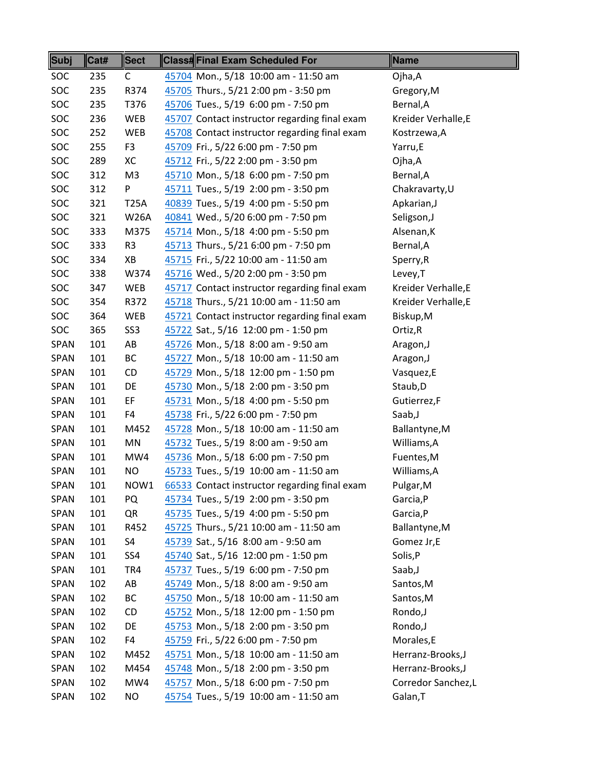| <b>Subj</b> | Cat# | <b>Sect</b>     | <b>Class#Final Exam Scheduled For</b>         | <b>Name</b>         |
|-------------|------|-----------------|-----------------------------------------------|---------------------|
| <b>SOC</b>  | 235  | C               | 45704 Mon., 5/18 10:00 am - 11:50 am          | Ojha,A              |
| SOC         | 235  | R374            | 45705 Thurs., 5/21 2:00 pm - 3:50 pm          | Gregory, M          |
| SOC         | 235  | T376            | 45706 Tues., 5/19 6:00 pm - 7:50 pm           | Bernal, A           |
| SOC         | 236  | <b>WEB</b>      | 45707 Contact instructor regarding final exam | Kreider Verhalle, E |
| SOC         | 252  | WEB             | 45708 Contact instructor regarding final exam | Kostrzewa, A        |
| SOC         | 255  | F <sub>3</sub>  | 45709 Fri., 5/22 6:00 pm - 7:50 pm            | Yarru,E             |
| SOC         | 289  | XC              | 45712 Fri., 5/22 2:00 pm - 3:50 pm            | Ojha,A              |
| SOC         | 312  | M3              | 45710 Mon., 5/18 6:00 pm - 7:50 pm            | Bernal, A           |
| SOC         | 312  | P               | 45711 Tues., 5/19 2:00 pm - 3:50 pm           | Chakravarty, U      |
| SOC         | 321  | <b>T25A</b>     | 40839 Tues., 5/19 4:00 pm - 5:50 pm           | Apkarian, J         |
| SOC         | 321  | <b>W26A</b>     | 40841 Wed., 5/20 6:00 pm - 7:50 pm            | Seligson, J         |
| SOC         | 333  | M375            | 45714 Mon., 5/18 4:00 pm - 5:50 pm            | Alsenan, K          |
| <b>SOC</b>  | 333  | R <sub>3</sub>  | 45713 Thurs., 5/21 6:00 pm - 7:50 pm          | Bernal, A           |
| SOC         | 334  | XB              | 45715 Fri., 5/22 10:00 am - 11:50 am          | Sperry, R           |
| SOC         | 338  | W374            | 45716 Wed., 5/20 2:00 pm - 3:50 pm            | Levey, T            |
| SOC         | 347  | <b>WEB</b>      | 45717 Contact instructor regarding final exam | Kreider Verhalle, E |
| SOC         | 354  | R372            | 45718 Thurs., 5/21 10:00 am - 11:50 am        | Kreider Verhalle, E |
| <b>SOC</b>  | 364  | WEB             | 45721 Contact instructor regarding final exam | Biskup, M           |
| SOC         | 365  | SS <sub>3</sub> | 45722 Sat., 5/16 12:00 pm - 1:50 pm           | Ortiz, R            |
| <b>SPAN</b> | 101  | AB              | 45726 Mon., 5/18 8:00 am - 9:50 am            | Aragon, J           |
| <b>SPAN</b> | 101  | BC              | 45727 Mon., 5/18 10:00 am - 11:50 am          | Aragon, J           |
| <b>SPAN</b> | 101  | CD              | 45729 Mon., 5/18 12:00 pm - 1:50 pm           | Vasquez,E           |
| <b>SPAN</b> | 101  | DE              | 45730 Mon., 5/18 2:00 pm - 3:50 pm            | Staub, D            |
| <b>SPAN</b> | 101  | EF              | 45731 Mon., 5/18 4:00 pm - 5:50 pm            | Gutierrez,F         |
| <b>SPAN</b> | 101  | F4              | 45738 Fri., 5/22 6:00 pm - 7:50 pm            | Saab, J             |
| <b>SPAN</b> | 101  | M452            | 45728 Mon., 5/18 10:00 am - 11:50 am          | Ballantyne, M       |
| <b>SPAN</b> | 101  | MN              | 45732 Tues., 5/19 8:00 am - 9:50 am           | Williams, A         |
| <b>SPAN</b> | 101  | MW4             | 45736 Mon., 5/18 6:00 pm - 7:50 pm            | Fuentes, M          |
| SPAN        | 101  | <b>NO</b>       | 45733 Tues., 5/19 10:00 am - 11:50 am         | Williams, A         |
| <b>SPAN</b> | 101  | NOW1            | 66533 Contact instructor regarding final exam | Pulgar, M           |
| <b>SPAN</b> | 101  | PQ              | 45734 Tues., 5/19 2:00 pm - 3:50 pm           | Garcia, P           |
| <b>SPAN</b> | 101  | QR              | 45735 Tues., 5/19 4:00 pm - 5:50 pm           | Garcia, P           |
| <b>SPAN</b> | 101  | R452            | 45725 Thurs., 5/21 10:00 am - 11:50 am        | Ballantyne, M       |
| <b>SPAN</b> | 101  | S4              | 45739 Sat., 5/16 8:00 am - 9:50 am            | Gomez Jr,E          |
| SPAN        | 101  | SS4             | 45740 Sat., 5/16 12:00 pm - 1:50 pm           | Solis, P            |
| <b>SPAN</b> | 101  | TR4             | 45737 Tues., 5/19 6:00 pm - 7:50 pm           | Saab, J             |
| SPAN        | 102  | AB              | 45749 Mon., 5/18 8:00 am - 9:50 am            | Santos, M           |
| <b>SPAN</b> | 102  | BC              | 45750 Mon., 5/18 10:00 am - 11:50 am          | Santos, M           |
| <b>SPAN</b> | 102  | CD              | 45752 Mon., 5/18 12:00 pm - 1:50 pm           | Rondo, J            |
| <b>SPAN</b> | 102  | DE              | 45753 Mon., 5/18 2:00 pm - 3:50 pm            | Rondo, J            |
| SPAN        | 102  | F4              | 45759 Fri., 5/22 6:00 pm - 7:50 pm            | Morales,E           |
| <b>SPAN</b> | 102  | M452            | 45751 Mon., 5/18 10:00 am - 11:50 am          | Herranz-Brooks,J    |
| <b>SPAN</b> | 102  | M454            | 45748 Mon., 5/18 2:00 pm - 3:50 pm            | Herranz-Brooks,J    |
| SPAN        | 102  | MW4             | 45757 Mon., 5/18 6:00 pm - 7:50 pm            | Corredor Sanchez,L  |
| <b>SPAN</b> | 102  | ΝO              | 45754 Tues., 5/19 10:00 am - 11:50 am         | Galan, T            |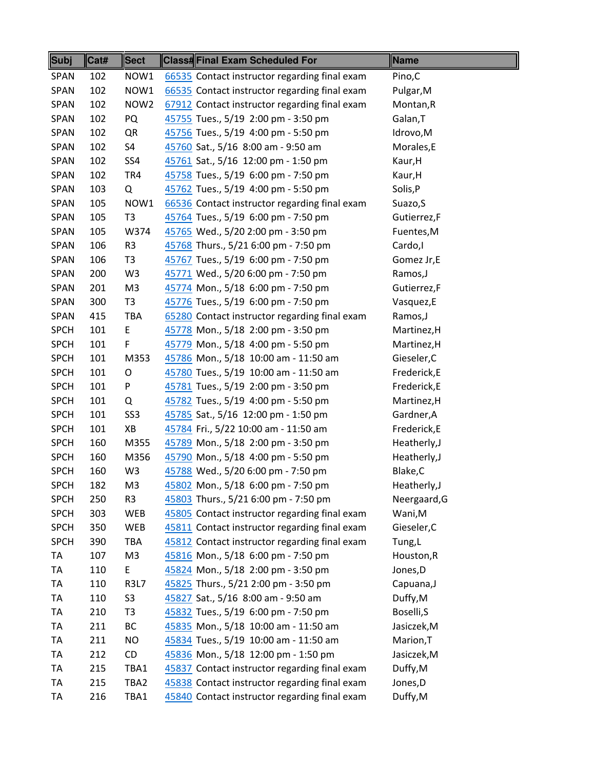| Subj        | Cat# | <b>Sect</b>      | <b>Class#Final Exam Scheduled For</b>         | Name         |
|-------------|------|------------------|-----------------------------------------------|--------------|
| <b>SPAN</b> | 102  | NOW1             | 66535 Contact instructor regarding final exam | Pino,C       |
| <b>SPAN</b> | 102  | NOW1             | 66535 Contact instructor regarding final exam | Pulgar, M    |
| <b>SPAN</b> | 102  | NOW <sub>2</sub> | 67912 Contact instructor regarding final exam | Montan, R    |
| <b>SPAN</b> | 102  | PQ               | 45755 Tues., 5/19 2:00 pm - 3:50 pm           | Galan, T     |
| <b>SPAN</b> | 102  | QR               | 45756 Tues., 5/19 4:00 pm - 5:50 pm           | Idrovo,M     |
| <b>SPAN</b> | 102  | S4               | 45760 Sat., 5/16 8:00 am - 9:50 am            | Morales,E    |
| <b>SPAN</b> | 102  | SS4              | 45761 Sat., 5/16 12:00 pm - 1:50 pm           | Kaur, H      |
| <b>SPAN</b> | 102  | TR4              | 45758 Tues., 5/19 6:00 pm - 7:50 pm           | Kaur, H      |
| SPAN        | 103  | Q                | 45762 Tues., 5/19 4:00 pm - 5:50 pm           | Solis, P     |
| <b>SPAN</b> | 105  | NOW1             | 66536 Contact instructor regarding final exam | Suazo, S     |
| <b>SPAN</b> | 105  | T <sub>3</sub>   | 45764 Tues., 5/19 6:00 pm - 7:50 pm           | Gutierrez,F  |
| <b>SPAN</b> | 105  | W374             | 45765 Wed., 5/20 2:00 pm - 3:50 pm            | Fuentes, M   |
| <b>SPAN</b> | 106  | R <sub>3</sub>   | 45768 Thurs., 5/21 6:00 pm - 7:50 pm          | Cardo, I     |
| <b>SPAN</b> | 106  | T <sub>3</sub>   | 45767 Tues., 5/19 6:00 pm - 7:50 pm           | Gomez Jr,E   |
| <b>SPAN</b> | 200  | W <sub>3</sub>   | 45771 Wed., 5/20 6:00 pm - 7:50 pm            | Ramos, J     |
| <b>SPAN</b> | 201  | M <sub>3</sub>   | 45774 Mon., 5/18 6:00 pm - 7:50 pm            | Gutierrez,F  |
| <b>SPAN</b> | 300  | T <sub>3</sub>   | 45776 Tues., 5/19 6:00 pm - 7:50 pm           | Vasquez,E    |
| <b>SPAN</b> | 415  | TBA              | 65280 Contact instructor regarding final exam | Ramos, J     |
| <b>SPCH</b> | 101  | E                | 45778 Mon., 5/18 2:00 pm - 3:50 pm            | Martinez, H  |
| <b>SPCH</b> | 101  | F                | 45779 Mon., 5/18 4:00 pm - 5:50 pm            | Martinez, H  |
| <b>SPCH</b> | 101  | M353             | 45786 Mon., 5/18 10:00 am - 11:50 am          | Gieseler, C  |
| <b>SPCH</b> | 101  | O                | 45780 Tues., 5/19 10:00 am - 11:50 am         | Frederick, E |
| <b>SPCH</b> | 101  | P                | 45781 Tues., 5/19 2:00 pm - 3:50 pm           | Frederick, E |
| <b>SPCH</b> | 101  | Q                | 45782 Tues., 5/19 4:00 pm - 5:50 pm           | Martinez, H  |
| <b>SPCH</b> | 101  | SS <sub>3</sub>  | 45785 Sat., 5/16 12:00 pm - 1:50 pm           | Gardner, A   |
| <b>SPCH</b> | 101  | XB               | 45784 Fri., 5/22 10:00 am - 11:50 am          | Frederick,E  |
| <b>SPCH</b> | 160  | M355             | 45789 Mon., 5/18 2:00 pm - 3:50 pm            | Heatherly, J |
| <b>SPCH</b> | 160  | M356             | 45790 Mon., 5/18 4:00 pm - 5:50 pm            | Heatherly, J |
| <b>SPCH</b> | 160  | W <sub>3</sub>   | 45788 Wed., 5/20 6:00 pm - 7:50 pm            | Blake, C     |
| <b>SPCH</b> | 182  | M <sub>3</sub>   | 45802 Mon., 5/18 6:00 pm - 7:50 pm            | Heatherly, J |
| <b>SPCH</b> | 250  | R <sub>3</sub>   | 45803 Thurs., 5/21 6:00 pm - 7:50 pm          | Neergaard, G |
| <b>SPCH</b> | 303  | WEB              | 45805 Contact instructor regarding final exam | Wani, M      |
| <b>SPCH</b> | 350  | <b>WEB</b>       | 45811 Contact instructor regarding final exam | Gieseler, C  |
| <b>SPCH</b> | 390  | TBA              | 45812 Contact instructor regarding final exam | Tung, L      |
| TA          | 107  | M3               | 45816 Mon., 5/18 6:00 pm - 7:50 pm            | Houston, R   |
| TA          | 110  | E                | 45824 Mon., 5/18 2:00 pm - 3:50 pm            | Jones, D     |
| TA          | 110  | <b>R3L7</b>      | 45825 Thurs., 5/21 2:00 pm - 3:50 pm          | Capuana, J   |
| TA          | 110  | S <sub>3</sub>   | 45827 Sat., 5/16 8:00 am - 9:50 am            | Duffy, M     |
| TA          | 210  | T <sub>3</sub>   | 45832 Tues., 5/19 6:00 pm - 7:50 pm           | Boselli, S   |
| TA          | 211  | ВC               | 45835 Mon., 5/18 10:00 am - 11:50 am          | Jasiczek, M  |
| TA          | 211  | <b>NO</b>        | 45834 Tues., 5/19 10:00 am - 11:50 am         | Marion, T    |
| TA          | 212  | CD               | 45836 Mon., 5/18 12:00 pm - 1:50 pm           | Jasiczek, M  |
| TA          | 215  | TBA1             | 45837 Contact instructor regarding final exam | Duffy, M     |
| TA          | 215  | TBA2             | 45838 Contact instructor regarding final exam | Jones, D     |
| TA          | 216  | TBA1             | 45840 Contact instructor regarding final exam | Duffy, M     |